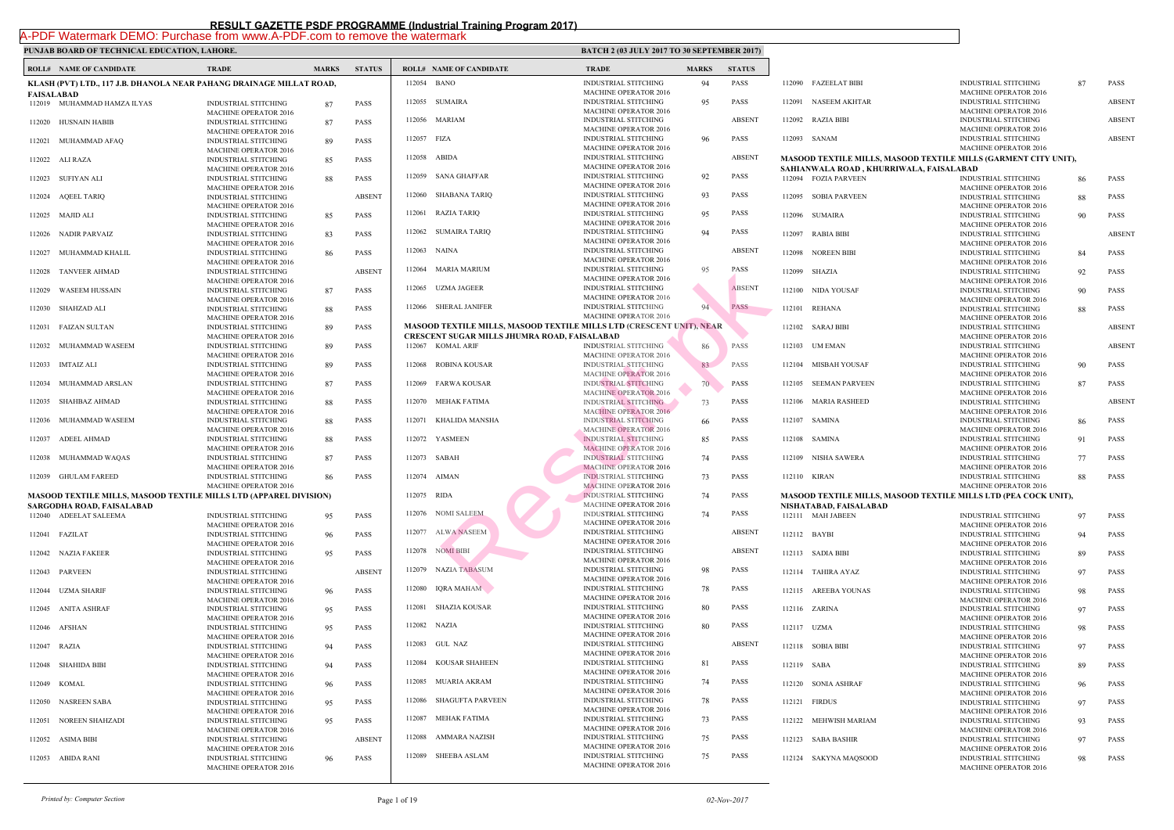## PUNJAB BOARD OF TECHNICAL EDUCATION, LAHORE.

 $\mathbf{I}$ 

|                   | <b>ROLL# NAME OF CANDIDATE</b>                                           | <b>TRADE</b>                                                | <b>MARKS</b> | <b>STATUS</b> |             | <b>ROLL# NAME OF CANDIDATE</b>                                  | <b>TRAL</b>                 |
|-------------------|--------------------------------------------------------------------------|-------------------------------------------------------------|--------------|---------------|-------------|-----------------------------------------------------------------|-----------------------------|
|                   | KLASH (PVT) LTD., 117 J.B. DHANOLA NEAR PAHANG DRAINAGE MILLAT ROAD,     |                                                             |              |               |             | 112054 BANO                                                     | <b>INDUS</b>                |
| <b>FAISALABAD</b> | 112019 MUHAMMAD HAMZA ILYAS                                              | <b>INDUSTRIAL STITCHING</b>                                 | 87           | <b>PASS</b>   |             | 112055 SUMAIRA                                                  | <b>MACH</b><br><b>INDUS</b> |
|                   |                                                                          | <b>MACHINE OPERATOR 2016</b>                                |              |               |             | 112056 MARIAM                                                   | <b>MACH</b><br><b>INDUS</b> |
| 112020            | HUSNAIN HABIB                                                            | <b>INDUSTRIAL STITCHING</b><br><b>MACHINE OPERATOR 2016</b> | 87           | <b>PASS</b>   |             |                                                                 | <b>MACH</b>                 |
|                   | 112021 MUHAMMAD AFAQ                                                     | <b>INDUSTRIAL STITCHING</b>                                 | 89           | <b>PASS</b>   | 112057 FIZA |                                                                 | <b>INDUS</b><br><b>MACH</b> |
|                   | 112022 ALI RAZA                                                          | <b>MACHINE OPERATOR 2016</b><br><b>INDUSTRIAL STITCHING</b> | 85           | <b>PASS</b>   | 112058      | ABIDA                                                           | <b>INDUS</b>                |
|                   | 112023 SUFIYAN ALI                                                       | <b>MACHINE OPERATOR 2016</b>                                |              | <b>PASS</b>   |             | 112059 SANA GHAFFAR                                             | <b>MACH</b><br><b>INDUS</b> |
|                   |                                                                          | <b>INDUSTRIAL STITCHING</b><br><b>MACHINE OPERATOR 2016</b> | 88           |               |             |                                                                 | <b>MACH</b>                 |
|                   | 112024 AQEEL TARIQ                                                       | <b>INDUSTRIAL STITCHING</b><br><b>MACHINE OPERATOR 2016</b> |              | <b>ABSENT</b> |             | 112060 SHABANA TARIQ                                            | <b>INDUS</b><br><b>MACH</b> |
|                   | 112025 MAJID ALI                                                         | <b>INDUSTRIAL STITCHING</b>                                 | 85           | <b>PASS</b>   |             | 112061 RAZIA TARIQ                                              | <b>INDUS</b>                |
| 112026            | NADIR PARVAIZ                                                            | <b>MACHINE OPERATOR 2016</b><br><b>INDUSTRIAL STITCHING</b> | 83           | <b>PASS</b>   |             | 112062 SUMAIRA TARIQ                                            | <b>MACH</b><br><b>INDUS</b> |
|                   |                                                                          | <b>MACHINE OPERATOR 2016</b>                                |              |               |             | 112063 NAINA                                                    | <b>MACH</b><br><b>INDUS</b> |
| 112027            | MUHAMMAD KHALIL                                                          | <b>INDUSTRIAL STITCHING</b><br><b>MACHINE OPERATOR 2016</b> | 86           | <b>PASS</b>   |             |                                                                 | <b>MACH</b>                 |
| 112028            | <b>TANVEER AHMAD</b>                                                     | <b>INDUSTRIAL STITCHING</b>                                 |              | <b>ABSENT</b> | 112064      | MARIA MARIUM                                                    | <b>INDUS</b><br><b>MACH</b> |
| 112029            | <b>WASEEM HUSSAIN</b>                                                    | <b>MACHINE OPERATOR 2016</b><br><b>INDUSTRIAL STITCHING</b> | 87           | <b>PASS</b>   |             | 112065 UZMA JAGEER                                              | <b>INDUS</b>                |
|                   |                                                                          | <b>MACHINE OPERATOR 2016</b>                                |              |               |             | 112066 SHERAL JANIFER                                           | <b>MACH</b><br><b>INDUS</b> |
| 112030            | SHAHZAD ALI                                                              | INDUSTRIAL STITCHING<br><b>MACHINE OPERATOR 2016</b>        | 88           | <b>PASS</b>   |             |                                                                 | <b>MACH</b>                 |
|                   | 112031 FAIZAN SULTAN                                                     | <b>INDUSTRIAL STITCHING</b>                                 | 89           | <b>PASS</b>   |             | <b>MASOOD TEXTILE MILLS, MASOOD TEXTILE MILLS</b>               |                             |
| 112032            | MUHAMMAD WASEEM                                                          | <b>MACHINE OPERATOR 2016</b><br><b>INDUSTRIAL STITCHING</b> | 89           | <b>PASS</b>   |             | CRESCENT SUGAR MILLS JHUMRA ROAD, FAISALA <br>112067 KOMAL ARIF | <b>INDUS</b>                |
| 112033            | IMTAIZ ALI                                                               | MACHINE OPERATOR 2016<br><b>INDUSTRIAL STITCHING</b>        | 89           | PASS          | 112068      | ROBINA KOUSAR                                                   | <b>MACH</b><br><b>INDUS</b> |
|                   |                                                                          | <b>MACHINE OPERATOR 2016</b>                                |              |               |             |                                                                 | <b>MACH</b>                 |
| 112034            | MUHAMMAD ARSLAN                                                          | <b>INDUSTRIAL STITCHING</b><br><b>MACHINE OPERATOR 2016</b> | 87           | <b>PASS</b>   |             | 112069 FARWA KOUSAR                                             | <b>INDUS</b><br><b>MACH</b> |
| 112035            | SHAHBAZ AHMAD                                                            | <b>INDUSTRIAL STITCHING</b>                                 | 88           | <b>PASS</b>   |             | 112070 MEHAK FATIMA                                             | <b>INDUS</b>                |
| 112036            | MUHAMMAD WASEEM                                                          | <b>MACHINE OPERATOR 2016</b><br>INDUSTRIAL STITCHING        | 88           | <b>PASS</b>   |             | 112071 KHALIDA MANSHA                                           | <b>MACH</b><br><b>INDUS</b> |
|                   |                                                                          | <b>MACHINE OPERATOR 2016</b>                                |              |               |             |                                                                 | <b>MACH</b>                 |
|                   | 112037 ADEEL AHMAD                                                       | <b>INDUSTRIAL STITCHING</b><br><b>MACHINE OPERATOR 2016</b> | 88           | <b>PASS</b>   |             | 112072 YASMEEN                                                  | <b>INDUS</b><br><b>MACH</b> |
| 112038            | MUHAMMAD WAQAS                                                           | <b>INDUSTRIAL STITCHING</b>                                 | 87           | PASS          |             | 112073 SABAH                                                    | <b>INDUS</b>                |
| 112039            | <b>GHULAM FAREED</b>                                                     | <b>MACHINE OPERATOR 2016</b><br><b>INDUSTRIAL STITCHING</b> | 86           | <b>PASS</b>   |             | 112074 AIMAN                                                    | <b>MACH</b><br><b>INDUS</b> |
|                   | <b>MASOOD TEXTILE MILLS, MASOOD TEXTILE MILLS LTD (APPAREL DIVISION)</b> | <b>MACHINE OPERATOR 2016</b>                                |              |               | 112075 RIDA |                                                                 | <b>MACH</b><br><b>INDUS</b> |
|                   | SARGODHA ROAD, FAISALABAD                                                |                                                             |              |               |             |                                                                 | <b>MACH</b>                 |
|                   | 112040 ADEELAT SALEEMA                                                   | <b>INDUSTRIAL STITCHING</b>                                 | 95           | <b>PASS</b>   |             | 112076 NOMI SALEEM                                              | <b>INDUS</b><br><b>MACH</b> |
|                   | 112041 FAZILAT                                                           | <b>MACHINE OPERATOR 2016</b><br>INDUSTRIAL STITCHING        | 96           | <b>PASS</b>   |             | 112077 ALWA NASEEM                                              | <b>INDUS</b>                |
|                   |                                                                          | <b>MACHINE OPERATOR 2016</b>                                |              |               |             | 112078 NOMI BIBI                                                | <b>MACH</b><br><b>INDUS</b> |
|                   | 112042 NAZIA FAKEER                                                      | <b>INDUSTRIAL STITCHING</b><br><b>MACHINE OPERATOR 2016</b> | 95           | <b>PASS</b>   |             |                                                                 | <b>MACH</b>                 |
| 112043            | PARVEEN                                                                  | <b>INDUSTRIAL STITCHING</b><br><b>MACHINE OPERATOR 2016</b> |              | <b>ABSENT</b> |             | 112079 NAZIA TABASUM                                            | <b>INDUS</b><br><b>MACH</b> |
|                   | 112044 UZMA SHARIF                                                       | <b>INDUSTRIAL STITCHING</b>                                 | 96           | <b>PASS</b>   | 112080      | <b>IORA MAHAM</b>                                               | <b>INDUS</b>                |
|                   | 112045 ANITA ASHRAF                                                      | <b>MACHINE OPERATOR 2016</b><br>INDUSTRIAL STITCHING        | 95           | <b>PASS</b>   | 112081      | <b>SHAZIA KOUSAR</b>                                            | <b>MACH</b><br><b>INDUS</b> |
|                   |                                                                          | MACHINE OPERATOR 2016                                       |              |               |             |                                                                 | <b>MACH</b>                 |
|                   | 112046 AFSHAN                                                            | INDUSTRIAL STITCHING<br><b>MACHINE OPERATOR 2016</b>        | 95           | PASS          |             | 112082 NAZIA                                                    | <b>INDUS</b><br><b>MACH</b> |
| 112047 RAZIA      |                                                                          | <b>INDUSTRIAL STITCHING</b>                                 | 94           | PASS          | 112083      | GUL NAZ                                                         | <b>INDUS</b>                |
| 112048            | SHAHIDA BIBI                                                             | <b>MACHINE OPERATOR 2016</b><br><b>INDUSTRIAL STITCHING</b> | 94           | <b>PASS</b>   | 112084      | KOUSAR SHAHEEN                                                  | <b>MACH</b><br><b>INDUS</b> |
|                   |                                                                          | <b>MACHINE OPERATOR 2016</b>                                |              |               |             |                                                                 | <b>MACH</b>                 |
| 112049            | KOMAL                                                                    | INDUSTRIAL STITCHING<br><b>MACHINE OPERATOR 2016</b>        | 96           | PASS          | 112085      | MUARIA AKRAM                                                    | <b>INDUS</b><br><b>MACH</b> |
| 112050            | <b>NASREEN SABA</b>                                                      | <b>INDUSTRIAL STITCHING</b>                                 | 95           | <b>PASS</b>   |             | 112086 SHAGUFTA PARVEEN                                         | <b>INDUS</b>                |
| 112051            | NOREEN SHAHZADI                                                          | <b>MACHINE OPERATOR 2016</b><br><b>INDUSTRIAL STITCHING</b> | 95           | PASS          | 112087      | MEHAK FATIMA                                                    | <b>MACH</b><br><b>INDUS</b> |
|                   |                                                                          | <b>MACHINE OPERATOR 2016</b>                                |              |               | 112088      | AMMARA NAZISH                                                   | <b>MACH</b><br><b>INDUS</b> |
| 112052            | ASIMA BIBI                                                               | <b>INDUSTRIAL STITCHING</b><br><b>MACHINE OPERATOR 2016</b> |              | <b>ABSENT</b> |             |                                                                 | <b>MACH</b>                 |
|                   | 112053 ABIDA RANI                                                        | INDUSTRIAL STITCHING                                        | 96           | <b>PASS</b>   |             | 112089 SHEEBA ASLAM                                             | <b>INDUS</b><br><b>MACH</b> |
|                   |                                                                          | <b>MACHINE OPERATOR 2016</b>                                |              |               |             |                                                                 |                             |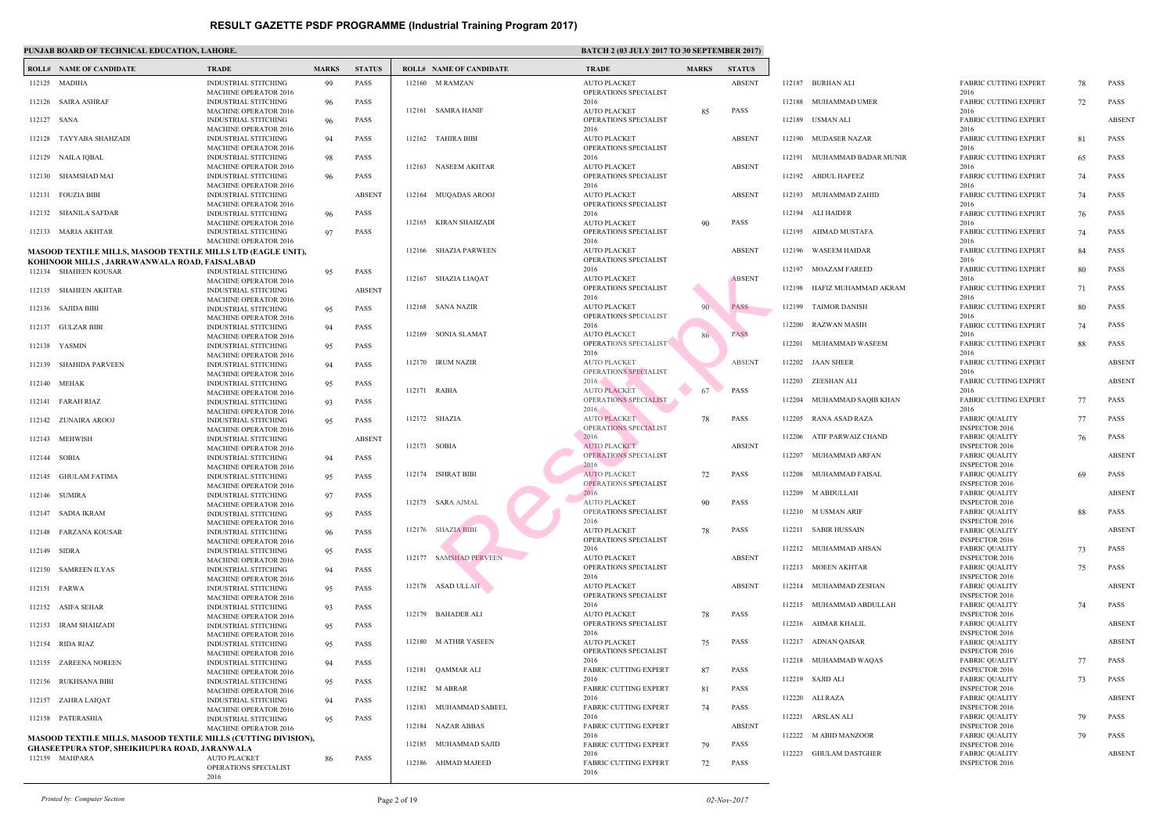|              | <b>ROLL# NAME OF CANDIDATE</b>                                        | <b>TRADE</b>                                                | <b>MARKS</b> | <b>STATUS</b> |              | <b>ROLL# NAME OF CANDIDATE</b> | <b>TRAD</b>           |
|--------------|-----------------------------------------------------------------------|-------------------------------------------------------------|--------------|---------------|--------------|--------------------------------|-----------------------|
|              | 112125 MADIHA                                                         | <b>INDUSTRIAL STITCHING</b><br><b>MACHINE OPERATOR 2016</b> | 99           | <b>PASS</b>   |              | 112160 M RAMZAN                | <b>AUTO</b><br>OPER/  |
|              | 112126 SAIRA ASHRAF                                                   | <b>INDUSTRIAL STITCHING</b><br><b>MACHINE OPERATOR 2016</b> | 96           | <b>PASS</b>   |              | 112161 SAMRA HANIF             | 2016<br><b>AUTO</b>   |
| 112127 SANA  |                                                                       | <b>INDUSTRIAL STITCHING</b>                                 | 96           | <b>PASS</b>   |              |                                | OPERA                 |
| 112128       | TAYYABA SHAHZADI                                                      | <b>MACHINE OPERATOR 2016</b><br><b>INDUSTRIAL STITCHING</b> | 94           | <b>PASS</b>   |              | 112162 TAHIRA BIBI             | 2016<br><b>AUTO</b>   |
| 112129       | NAILA IQBAL                                                           | <b>MACHINE OPERATOR 2016</b><br><b>INDUSTRIAL STITCHING</b> | 98           | <b>PASS</b>   |              |                                | OPERA<br>2016         |
| 112130       | SHAMSHAD MAI                                                          | <b>MACHINE OPERATOR 2016</b><br><b>INDUSTRIAL STITCHING</b> | 96           | <b>PASS</b>   |              | 112163 NASEEM AKHTAR           | <b>AUTO</b><br>OPER/  |
|              | 112131 FOUZIA BIBI                                                    | <b>MACHINE OPERATOR 2016</b><br><b>INDUSTRIAL STITCHING</b> |              | <b>ABSENT</b> |              | 112164 MUQADAS AROOJ           | 2016<br><b>AUTO</b>   |
|              |                                                                       | <b>MACHINE OPERATOR 2016</b>                                |              |               |              |                                | OPER/                 |
| 112132       | SHANILA SAFDAR                                                        | <b>INDUSTRIAL STITCHING</b><br><b>MACHINE OPERATOR 2016</b> | 96           | <b>PASS</b>   |              | 112165 KIRAN SHAHZADI          | 2016<br><b>AUTO</b>   |
|              | 112133 MARIA AKHTAR                                                   | <b>INDUSTRIAL STITCHING</b><br><b>MACHINE OPERATOR 2016</b> | 97           | <b>PASS</b>   |              |                                | OPERA<br>2016         |
|              | <b>MASOOD TEXTILE MILLS, MASOOD TEXTILE MILLS LTD (EAGLE UNIT),</b>   |                                                             |              |               |              | 112166 SHAZIA PARWEEN          | <b>AUTO</b>           |
|              | KOHINOOR MILLS, JARRAWANWALA ROAD, FAISALABAD                         |                                                             |              |               |              |                                | OPER/<br>2016         |
| 112134       | SHAHEEN KOUSAR                                                        | <b>INDUSTRIAL STITCHING</b><br><b>MACHINE OPERATOR 2016</b> | 95           | PASS          |              | 112167 SHAZIA LIAQAT           | <b>AUTO</b>           |
| 112135       | SHAHEEN AKHTAR                                                        | <b>INDUSTRIAL STITCHING</b><br><b>MACHINE OPERATOR 2016</b> |              | <b>ABSENT</b> |              |                                | OPER/<br>2016         |
|              | 112136 SAJIDA BIBI                                                    | <b>INDUSTRIAL STITCHING</b>                                 | 95           | <b>PASS</b>   |              | 112168 SANA NAZIR              | <b>AUTO</b><br>OPER/  |
|              | 112137 GULZAR BIBI                                                    | <b>MACHINE OPERATOR 2016</b><br><b>INDUSTRIAL STITCHING</b> | 94           | <b>PASS</b>   |              | 112169 SONIA SLAMAT            | 2016<br><b>AUTO</b>   |
|              | 112138 YASMIN                                                         | <b>MACHINE OPERATOR 2016</b><br><b>INDUSTRIAL STITCHING</b> | 95           | <b>PASS</b>   |              |                                | OPER/                 |
| 112139       | <b>SHAHIDA PARVEEN</b>                                                | <b>MACHINE OPERATOR 2016</b><br><b>INDUSTRIAL STITCHING</b> | 94           | <b>PASS</b>   |              | 112170 IRUM NAZIR              | 2016<br><b>AUTO</b>   |
|              | 112140 MEHAK                                                          | <b>MACHINE OPERATOR 2016</b><br><b>INDUSTRIAL STITCHING</b> |              | <b>PASS</b>   |              |                                | OPER/<br>2016         |
|              |                                                                       | MACHINE OPERATOR 2016                                       | 95           |               | 112171 RABIA |                                | <b>AUTO</b><br>OPERA  |
| 112141       | FARAH RIAZ                                                            | <b>INDUSTRIAL STITCHING</b><br><b>MACHINE OPERATOR 2016</b> | 93           | <b>PASS</b>   |              |                                | 2016                  |
| 112142       | ZUNAIRA AROOJ                                                         | <b>INDUSTRIAL STITCHING</b><br><b>MACHINE OPERATOR 2016</b> | 95           | <b>PASS</b>   |              | 112172 SHAZIA                  | <b>AUTO</b><br>OPERA  |
| 112143       | MEHWISH                                                               | <b>INDUSTRIAL STITCHING</b>                                 |              | <b>ABSENT</b> | 112173 SOBIA |                                | 2016<br><b>AUTO</b>   |
| 112144       | <b>SOBIA</b>                                                          | <b>MACHINE OPERATOR 2016</b><br><b>INDUSTRIAL STITCHING</b> | 94           | <b>PASS</b>   |              |                                | OPER/                 |
| 112145       | <b>GHULAM FATIMA</b>                                                  | <b>MACHINE OPERATOR 2016</b><br>INDUSTRIAL STITCHING        | 95           | <b>PASS</b>   |              | 112174 ISHRAT BIBI             | 2016<br><b>AUTO</b>   |
|              | 112146 SUMIRA                                                         | <b>MACHINE OPERATOR 2016</b><br><b>INDUSTRIAL STITCHING</b> | 97           | <b>PASS</b>   |              |                                | OPER/<br>2016         |
|              |                                                                       | <b>MACHINE OPERATOR 2016</b>                                |              |               |              | 112175 SARA AJMAL              | <b>AUTO</b><br>OPERA  |
|              | 112147 SADIA IKRAM                                                    | <b>INDUSTRIAL STITCHING</b><br><b>MACHINE OPERATOR 2016</b> | 95           | PASS          |              |                                | 2016                  |
|              | 112148 FARZANA KOUSAR                                                 | <b>INDUSTRIAL STITCHING</b><br><b>MACHINE OPERATOR 2016</b> | 96           | <b>PASS</b>   |              | 112176 SHAZIA BIBI             | <b>AUTO</b><br>OPERA  |
| 112149 SIDRA |                                                                       | <b>INDUSTRIAL STITCHING</b><br><b>MACHINE OPERATOR 2016</b> | 95           | PASS          |              | 112177 SAMSHAD PERVEEN         | 2016<br><b>AUTO</b>   |
|              | 112150 SAMREEN ILYAS                                                  | <b>INDUSTRIAL STITCHING</b>                                 | 94           | <b>PASS</b>   |              |                                | OPER/<br>2016         |
|              | 112151 FARWA                                                          | <b>MACHINE OPERATOR 2016</b><br><b>INDUSTRIAL STITCHING</b> | 95           | <b>PASS</b>   |              | 112178 ASAD ULLAH              | <b>AUTO</b>           |
| 112152       | ASIFA SEHAR                                                           | <b>MACHINE OPERATOR 2016</b><br><b>INDUSTRIAL STITCHING</b> | 93           | <b>PASS</b>   |              |                                | OPER/<br>2016         |
| 112153       | IRAM SHAHZADI                                                         | <b>MACHINE OPERATOR 2016</b><br><b>INDUSTRIAL STITCHING</b> | 95           | PASS          |              | 112179 BAHADER ALI             | <b>AUTO</b><br>OPER/  |
|              |                                                                       | <b>MACHINE OPERATOR 2016</b>                                |              |               |              | 112180 M ATHIR YASEEN          | 2016<br><b>AUTO</b>   |
| 112154       | RIDA RIAZ                                                             | <b>INDUSTRIAL STITCHING</b><br><b>MACHINE OPERATOR 2016</b> | 95           | <b>PASS</b>   |              |                                | OPER/                 |
|              | 112155 ZAREENA NOREEN                                                 | INDUSTRIAL STITCHING<br><b>MACHINE OPERATOR 2016</b>        | 94           | <b>PASS</b>   |              | 112181 QAMMAR ALI              | 2016<br>FABRI         |
|              | 112156 RUKHSANA BIBI                                                  | <b>INDUSTRIAL STITCHING</b><br><b>MACHINE OPERATOR 2016</b> | 95           | <b>PASS</b>   |              | 112182 M ABRAR                 | 2016<br>FABRI         |
|              | 112157 ZAHRA LAIQAT                                                   | <b>INDUSTRIAL STITCHING</b>                                 | 94           | PASS          |              | 112183 MUHAMMAD SABEEL         | 2016<br>FABRI         |
|              | 112158 PATERASHIA                                                     | <b>MACHINE OPERATOR 2016</b><br><b>INDUSTRIAL STITCHING</b> | 95           | <b>PASS</b>   |              |                                | 2016                  |
|              | <b>MASOOD TEXTILE MILLS, MASOOD TEXTILE MILLS (CUTTING DIVISION),</b> | <b>MACHINE OPERATOR 2016</b>                                |              |               |              | 112184 NAZAR ABBAS             | FABRI<br>2016         |
|              | <b>GHASEETPURA STOP, SHEIKHUPURA ROAD, JARANWALA</b>                  |                                                             |              |               |              | 112185 MUHAMMAD SAJID          | FABRI                 |
|              | 112159 MAHPARA                                                        | <b>AUTO PLACKET</b><br>OPERATIONS SPECIALIST<br>2016        | 86           | PASS          |              | 112186 AHMAD MAJEED            | 2016<br>FABRI<br>2016 |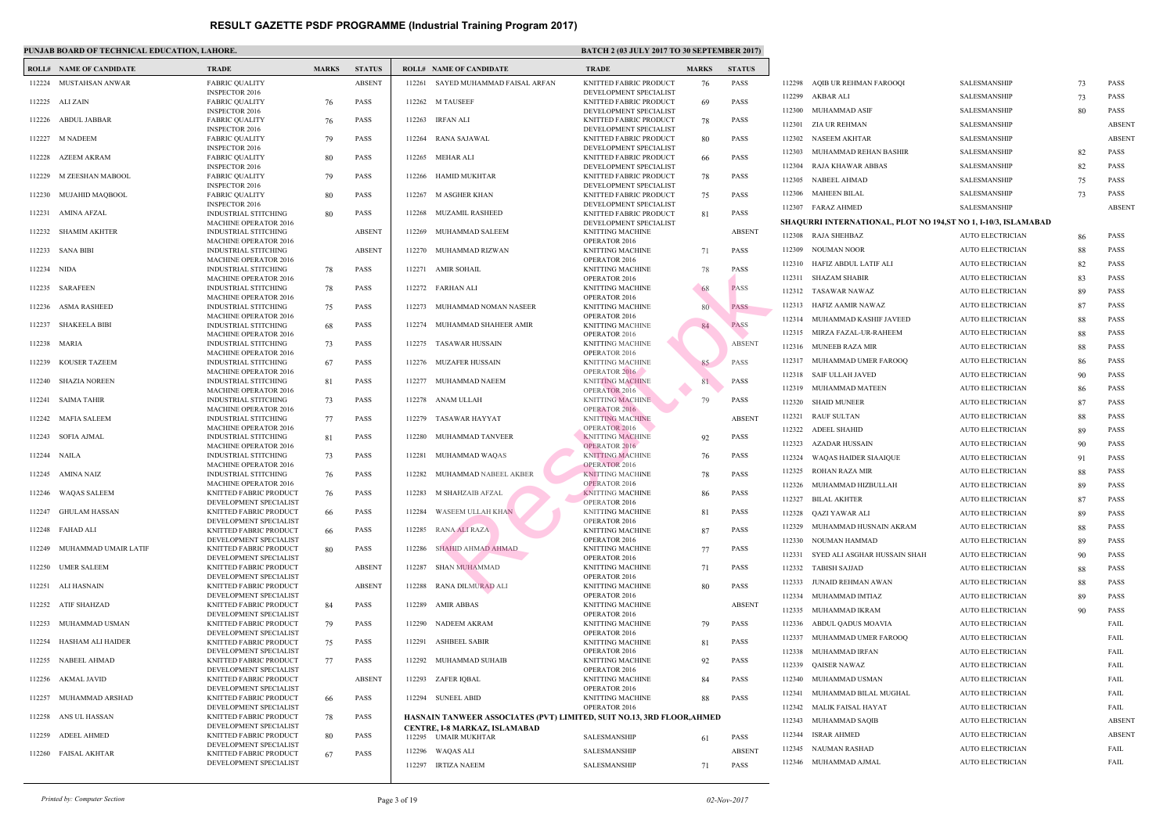|              | <b>ROLL# NAME OF CANDIDATE</b> | <b>TRADE</b>                                                | <b>MARKS</b> | <b>STATUS</b> |        | <b>ROLL# NAME OF CANDIDATE</b>                               | <b>TRAL</b>                  |
|--------------|--------------------------------|-------------------------------------------------------------|--------------|---------------|--------|--------------------------------------------------------------|------------------------------|
|              | 112224 MUSTAHSAN ANWAR         | <b>FABRIC OUALITY</b><br><b>INSPECTOR 2016</b>              |              | <b>ABSENT</b> | 112261 | SAYED MUHAMMAD FAISAL ARFAN                                  | <b>KNITT</b><br><b>DEVEI</b> |
|              | 112225 ALIZAIN                 | <b>FABRIC QUALITY</b><br><b>INSPECTOR 2016</b>              | 76           | <b>PASS</b>   | 112262 | <b>M TAUSEEF</b>                                             | <b>KNITT</b><br><b>DEVEI</b> |
|              | 112226 ABDUL JABBAR            | <b>FABRIC QUALITY</b><br><b>INSPECTOR 2016</b>              | 76           | <b>PASS</b>   | 112263 | <b>IRFAN ALI</b>                                             | <b>KNITT</b><br><b>DEVEI</b> |
|              | 112227 M NADEEM                | <b>FABRIC QUALITY</b><br><b>INSPECTOR 2016</b>              | 79           | <b>PASS</b>   | 112264 | RANA SAJAWAL                                                 | <b>KNITT</b><br><b>DEVEI</b> |
|              | 112228 AZEEM AKRAM             | <b>FABRIC QUALITY</b>                                       | 80           | <b>PASS</b>   |        | 112265 MEHAR ALI                                             | <b>KNITT</b>                 |
| 112229       | M ZEESHAN MABOOL               | <b>INSPECTOR 2016</b><br><b>FABRIC QUALITY</b>              | 79           | <b>PASS</b>   | 112266 | HAMID MUKHTAR                                                | <b>DEVEI</b><br><b>KNITT</b> |
| 112230       | MUJAHID MAQBOOL                | <b>INSPECTOR 2016</b><br><b>FABRIC OUALITY</b>              | 80           | <b>PASS</b>   | 112267 | M ASGHER KHAN                                                | <b>DEVEI</b><br><b>KNITT</b> |
| 112231       | AMINA AFZAL                    | <b>INSPECTOR 2016</b><br><b>INDUSTRIAL STITCHING</b>        | 80           | <b>PASS</b>   | 112268 | <b>MUZAMIL RASHEED</b>                                       | <b>DEVEI</b><br><b>KNITT</b> |
| 112232       | <b>SHAMIM AKHTER</b>           | <b>MACHINE OPERATOR 2016</b><br><b>INDUSTRIAL STITCHING</b> |              | <b>ABSENT</b> | 112269 | MUHAMMAD SALEEM                                              | <b>DEVEI</b><br><b>KNITT</b> |
|              | 112233 SANA BIBI               | <b>MACHINE OPERATOR 2016</b><br><b>INDUSTRIAL STITCHING</b> |              | <b>ABSENT</b> | 112270 | MUHAMMAD RIZWAN                                              | OPER/<br><b>KNITT</b>        |
| 112234 NIDA  |                                | <b>MACHINE OPERATOR 2016</b><br><b>INDUSTRIAL STITCHING</b> | 78           | <b>PASS</b>   | 112271 | <b>AMIR SOHAIL</b>                                           | OPER/<br><b>KNITT</b>        |
|              |                                | <b>MACHINE OPERATOR 2016</b>                                |              |               |        |                                                              | OPER/                        |
|              | 112235 SARAFEEN                | <b>INDUSTRIAL STITCHING</b><br><b>MACHINE OPERATOR 2016</b> | 78           | <b>PASS</b>   |        | 112272 FARHAN ALI                                            | <b>KNITT</b><br>OPER/        |
| 112236       | <b>ASMA RASHEED</b>            | <b>INDUSTRIAL STITCHING</b><br><b>MACHINE OPERATOR 2016</b> | 75           | <b>PASS</b>   | 112273 | MUHAMMAD NOMAN NASEER                                        | <b>KNITT</b><br>OPER/        |
| 112237       | <b>SHAKEELA BIBI</b>           | <b>INDUSTRIAL STITCHING</b>                                 | 68           | <b>PASS</b>   | 112274 | MUHAMMAD SHAHEER AMIR                                        | <b>KNITT</b>                 |
| 112238       | MARIA                          | <b>MACHINE OPERATOR 2016</b><br>INDUSTRIAL STITCHING        | 73           | <b>PASS</b>   | 112275 | <b>TASAWAR HUSSAIN</b>                                       | OPER/<br><b>KNITT</b>        |
| 112239       | <b>KOUSER TAZEEM</b>           | <b>MACHINE OPERATOR 2016</b><br><b>INDUSTRIAL STITCHING</b> | 67           | <b>PASS</b>   | 112276 | <b>MUZAFER HUSSAIN</b>                                       | OPER/<br><b>KNITT</b>        |
| 112240       | SHAZIA NOREEN                  | <b>MACHINE OPERATOR 2016</b><br><b>INDUSTRIAL STITCHING</b> | 81           | <b>PASS</b>   | 112277 | MUHAMMAD NAEEM                                               | OPER/<br><b>KNITT</b>        |
|              | 112241 SAIMA TAHIR             | <b>MACHINE OPERATOR 2016</b><br><b>INDUSTRIAL STITCHING</b> | 73           | <b>PASS</b>   | 112278 | ANAM ULLAH                                                   | OPER/<br><b>KNITT</b>        |
| 112242       | <b>MAFIA SALEEM</b>            | <b>MACHINE OPERATOR 2016</b><br><b>INDUSTRIAL STITCHING</b> | 77           | <b>PASS</b>   | 112279 | TASAWAR HAYYAT                                               | OPER/<br><b>KNITT</b>        |
| 112243       | <b>SOFIA AJMAL</b>             | <b>MACHINE OPERATOR 2016</b><br><b>INDUSTRIAL STITCHING</b> | 81           | <b>PASS</b>   | 112280 | MUHAMMAD TANVEER                                             | OPER/<br><b>KNITT</b>        |
| 112244 NAILA |                                | <b>MACHINE OPERATOR 2016</b><br><b>INDUSTRIAL STITCHING</b> | 73           | <b>PASS</b>   | 112281 | MUHAMMAD WAQAS                                               | OPER/<br><b>KNITT</b>        |
| 112245       | AMINA NAIZ                     | <b>MACHINE OPERATOR 2016</b><br>INDUSTRIAL STITCHING        | 76           | <b>PASS</b>   | 112282 | MUHAMMAD NABEEL AKBER                                        | OPER/<br><b>KNITT</b>        |
|              | 112246 WAQAS SALEEM            | <b>MACHINE OPERATOR 2016</b><br>KNITTED FABRIC PRODUCT      |              | <b>PASS</b>   |        | 112283 M SHAHZAIB AFZAL                                      | OPER/<br><b>KNITT</b>        |
|              |                                | DEVELOPMENT SPECIALIST                                      | 76           |               |        |                                                              | OPER/                        |
| 112247       | GHULAM HASSAN                  | KNITTED FABRIC PRODUCT<br>DEVELOPMENT SPECIALIST            | 66           | <b>PASS</b>   | 112284 | WASEEM ULLAH KHAN                                            | <b>KNITT</b><br>OPER/        |
|              | 112248 FAHAD ALI               | KNITTED FABRIC PRODUCT<br>DEVELOPMENT SPECIALIST            | 66           | <b>PASS</b>   | 112285 | RANA ALI RAZA                                                | <b>KNITT</b><br>OPER/        |
| 112249       | MUHAMMAD UMAIR LATIF           | KNITTED FABRIC PRODUCT<br>DEVELOPMENT SPECIALIST            | 80           | PASS          | 112286 | SHAHID AHMAD AHMAD                                           | <b>KNITT</b><br>OPER/        |
| 112250       | UMER SALEEM                    | KNITTED FABRIC PRODUCT<br>DEVELOPMENT SPECIALIST            |              | <b>ABSENT</b> | 112287 | <b>SHAN MUHAMMAD</b>                                         | <b>KNITT</b><br>OPER/        |
| 112251       | ALI HASNAIN                    | KNITTED FABRIC PRODUCT<br>DEVELOPMENT SPECIALIST            |              | <b>ABSENT</b> | 112288 | RANA DILMURAD ALI                                            | <b>KNITT</b><br>OPER/        |
| 112252       | ATIF SHAHZAD                   | KNITTED FABRIC PRODUCT<br>DEVELOPMENT SPECIALIST            | 84           | <b>PASS</b>   | 112289 | <b>AMIR ABBAS</b>                                            | <b>KNITT</b><br>OPER/        |
| 112253       | MUHAMMAD USMAN                 | KNITTED FABRIC PRODUCT<br>DEVELOPMENT SPECIALIST            | 79           | <b>PASS</b>   | 112290 | NADEEM AKRAM                                                 | <b>KNITT</b><br>OPER/        |
| 112254       | HASHAM ALI HAIDER              | KNITTED FABRIC PRODUCT                                      | 75           | PASS          | 112291 | <b>ASHBEEL SABIR</b>                                         | <b>KNITT</b>                 |
| 112255       | NABEEL AHMAD                   | DEVELOPMENT SPECIALIST<br>KNITTED FABRIC PRODUCT            | 77           | PASS          | 112292 | MUHAMMAD SUHAIB                                              | OPER/<br><b>KNITT</b>        |
| 112256       | AKMAL JAVID                    | DEVELOPMENT SPECIALIST<br>KNITTED FABRIC PRODUCT            |              | <b>ABSENT</b> | 112293 | ZAFER IQBAL                                                  | OPER/<br><b>KNITT</b>        |
| 112257       | MUHAMMAD ARSHAD                | DEVELOPMENT SPECIALIST<br>KNITTED FABRIC PRODUCT            | 66           | <b>PASS</b>   |        | 112294 SUNEEL ABID                                           | OPER/<br><b>KNITT</b>        |
| 112258       | ANS UL HASSAN                  | DEVELOPMENT SPECIALIST<br>KNITTED FABRIC PRODUCT            | 78           | PASS          |        | HASNAIN TANWEER ASSOCIATES (PVT) LIMITED, SI                 | OPER/                        |
| 112259       | ADEEL AHMED                    | DEVELOPMENT SPECIALIST<br>KNITTED FABRIC PRODUCT            | 80           | PASS          |        | <b>CENTRE, I-8 MARKAZ, ISLAMABAD</b><br>112295 UMAIR MUKHTAR | <b>SALES</b>                 |
| 112260       | FAISAL AKHTAR                  | DEVELOPMENT SPECIALIST<br>KNITTED FABRIC PRODUCT            | 67           | PASS          | 112296 | <b>WAQAS ALI</b>                                             | <b>SALES</b>                 |
|              |                                | DEVELOPMENT SPECIALIST                                      |              |               | 112297 | IRTIZA NAEEM                                                 | <b>SALES</b>                 |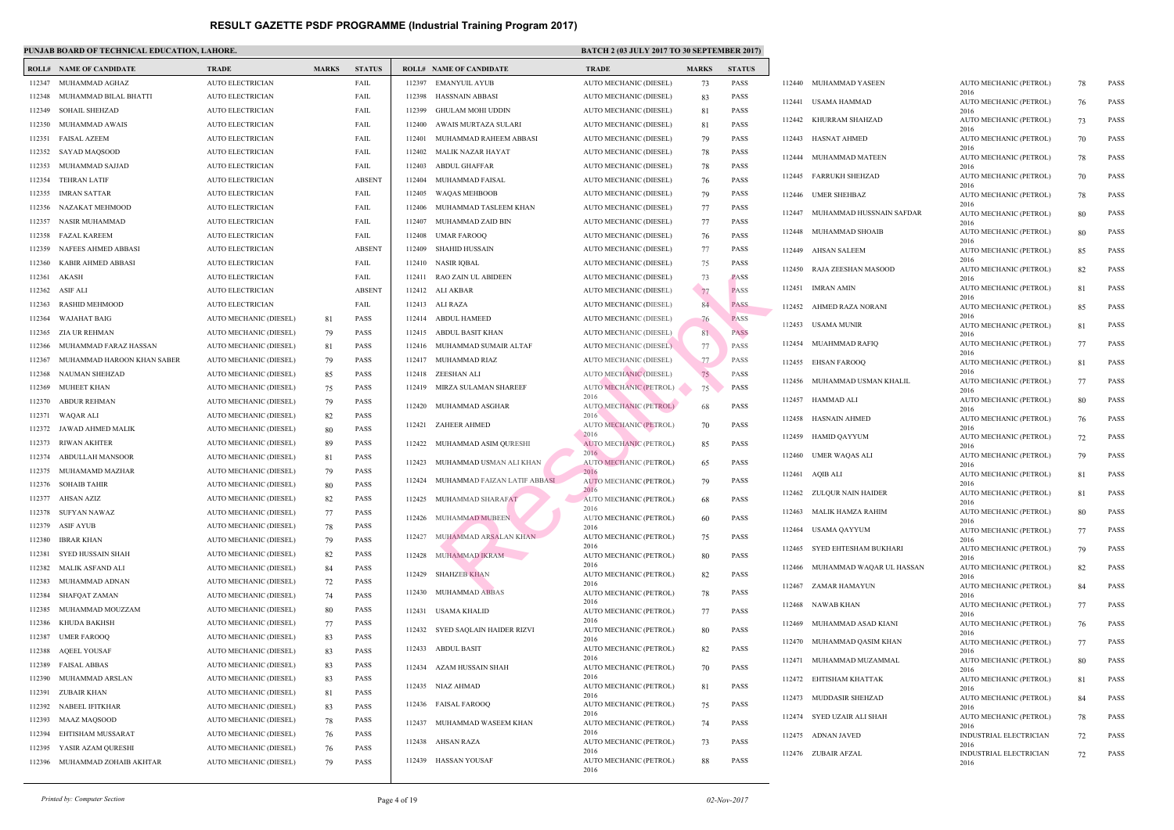|        | <b>ROLL# NAME OF CANDIDATE</b>       | <b>TRADE</b>                  | <b>MARKS</b> | <b>STATUS</b> |        | <b>ROLL# NAME OF CANDIDATE</b>      | <b>TRAL</b>                |
|--------|--------------------------------------|-------------------------------|--------------|---------------|--------|-------------------------------------|----------------------------|
| 112347 | MUHAMMAD AGHAZ                       | <b>AUTO ELECTRICIAN</b>       |              | FAIL          | 112397 | <b>EMANYUIL AYUB</b>                | <b>AUTO</b>                |
| 112348 | MUHAMMAD BILAL BHATTI                | <b>AUTO ELECTRICIAN</b>       |              | FAIL          | 112398 | HASSNAIN ABBASI                     | <b>AUTO</b>                |
| 112349 | <b>SOHAIL SHEHZAD</b>                | <b>AUTO ELECTRICIAN</b>       |              | FAIL          | 112399 | <b>GHULAM MOHI UDDIN</b>            | <b>AUTO</b>                |
| 112350 | MUHAMMAD AWAIS                       | <b>AUTO ELECTRICIAN</b>       |              | FAIL          | 112400 | AWAIS MURTAZA SULARI                | <b>AUTO</b>                |
| 112351 | <b>FAISAL AZEEM</b>                  | <b>AUTO ELECTRICIAN</b>       |              | FAIL          | 112401 | MUHAMMAD RAHEEM ABBASI              | <b>AUTO</b>                |
| 112352 | SAYAD MAQSOOD                        | <b>AUTO ELECTRICIAN</b>       |              | FAIL          | 112402 | MALIK NAZAR HAYAT                   | <b>AUTO</b>                |
| 112353 | MUHAMMAD SAJJAD                      | <b>AUTO ELECTRICIAN</b>       |              | FAIL          | 112403 | ABDUL GHAFFAR                       | <b>AUTO</b>                |
| 112354 | <b>TEHRAN LATIF</b>                  | <b>AUTO ELECTRICIAN</b>       |              | <b>ABSENT</b> | 112404 | MUHAMMAD FAISAL                     | <b>AUTO</b>                |
| 112355 | <b>IMRAN SATTAR</b>                  | <b>AUTO ELECTRICIAN</b>       |              | FAIL          | 112405 | WAQAS MEHBOOB                       | <b>AUTO</b>                |
| 112356 | NAZAKAT MEHMOOD                      | <b>AUTO ELECTRICIAN</b>       |              | FAIL          | 112406 | MUHAMMAD TASLEEM KHAN               | <b>AUTO</b>                |
| 112357 | NASIR MUHAMMAD                       | <b>AUTO ELECTRICIAN</b>       |              | FAIL          | 112407 | MUHAMMAD ZAID BIN                   | <b>AUTO</b>                |
| 112358 | FAZAL KAREEM                         | <b>AUTO ELECTRICIAN</b>       |              | FAIL          | 112408 | UMAR FAROOQ                         | <b>AUTO</b>                |
| 112359 | NAFEES AHMED ABBASI                  | <b>AUTO ELECTRICIAN</b>       |              | <b>ABSENT</b> | 112409 | <b>SHAHID HUSSAIN</b>               | <b>AUTO</b>                |
| 112360 | KABIR AHMED ABBASI                   | <b>AUTO ELECTRICIAN</b>       |              | FAIL          | 112410 | NASIR IQBAL                         | <b>AUTO</b>                |
| 112361 | AKASH                                | <b>AUTO ELECTRICIAN</b>       |              | FAIL          | 112411 | RAO ZAIN UL ABIDEEN                 | <b>AUTO</b>                |
|        |                                      |                               |              |               |        |                                     |                            |
| 112362 | ASIF ALI                             | <b>AUTO ELECTRICIAN</b>       |              | <b>ABSENT</b> |        | 112412 ALI AKBAR<br>112413 ALI RAZA | <b>AUTO</b>                |
| 112363 | RASHID MEHMOOD                       | <b>AUTO ELECTRICIAN</b>       |              | FAIL          |        |                                     | <b>AUTO</b>                |
| 112364 | WAJAHAT BAIG<br><b>ZIA UR REHMAN</b> | AUTO MECHANIC (DIESEL)        | 81           | PASS          | 112414 | ABDUL HAMEED<br>ABDUL BASIT KHAN    | <b>AUTO</b><br><b>AUTO</b> |
| 112365 |                                      | AUTO MECHANIC (DIESEL)        | 79           | <b>PASS</b>   | 112415 |                                     |                            |
| 112366 | MUHAMMAD FARAZ HASSAN                | AUTO MECHANIC (DIESEL)        | 81           | <b>PASS</b>   | 112416 | MUHAMMAD SUMAIR ALTAF               | <b>AUTO</b>                |
| 112367 | MUHAMMAD HAROON KHAN SABER           | AUTO MECHANIC (DIESEL)        | 79           | <b>PASS</b>   | 112417 | MUHAMMAD RIAZ                       | <b>AUTO</b>                |
| 112368 | NAUMAN SHEHZAD                       | AUTO MECHANIC (DIESEL)        | 85           | <b>PASS</b>   | 112418 | ZEESHAN ALI                         | <b>AUTO</b>                |
| 112369 | <b>MUHEET KHAN</b>                   | AUTO MECHANIC (DIESEL)        | 75           | <b>PASS</b>   | 112419 | MIRZA SULAMAN SHAREEF               | <b>AUTO</b><br>2016        |
| 112370 | ABDUR REHMAN                         | AUTO MECHANIC (DIESEL)        | 79           | <b>PASS</b>   | 112420 | MUHAMMAD ASGHAR                     | <b>AUTO</b>                |
| 112371 | WAQAR ALI                            | AUTO MECHANIC (DIESEL)        | 82           | <b>PASS</b>   | 112421 | ZAHEER AHMED                        | 2016<br><b>AUTO</b>        |
| 112372 | JAWAD AHMED MALIK                    | AUTO MECHANIC (DIESEL)        | 80           | <b>PASS</b>   |        |                                     | 2016                       |
| 112373 | RIWAN AKHTER                         | AUTO MECHANIC (DIESEL)        | 89           | <b>PASS</b>   | 112422 | MUHAMMAD ASIM QURESHI               | <b>AUTO</b><br>2016        |
| 112374 | ABDULLAH MANSOOR                     | AUTO MECHANIC (DIESEL)        | 81           | <b>PASS</b>   | 112423 | MUHAMMAD USMAN ALI KHAN             | <b>AUTO</b>                |
| 112375 | MUHAMAMD MAZHAR                      | AUTO MECHANIC (DIESEL)        | 79           | PASS          | 112424 | MUHAMMAD FAIZAN LATIF ABBASI        | 2016<br><b>AUTO</b>        |
|        | 112376 SOHAIB TAHIR                  | AUTO MECHANIC (DIESEL)        | 80           | PASS          |        |                                     | 2016                       |
|        | 112377 AHSAN AZIZ                    | AUTO MECHANIC (DIESEL)        | 82           | PASS          |        | 112425 MUHAMMAD SHARAFAT            | <b>AUTO</b><br>2016        |
| 112378 | SUFYAN NAWAZ                         | AUTO MECHANIC (DIESEL)        | 77           | PASS          | 112426 | MUHAMMAD MUBEEN                     | <b>AUTO</b>                |
| 112379 | ASIF AYUB                            | AUTO MECHANIC (DIESEL)        | 78           | PASS          |        | MUHAMMAD ARSALAN KHAN               | 2016                       |
| 112380 | <b>IBRAR KHAN</b>                    | AUTO MECHANIC (DIESEL)        | 79           | <b>PASS</b>   | 112427 |                                     | <b>AUTO</b><br>2016        |
| 112381 | SYED HUSSAIN SHAH                    | <b>AUTO MECHANIC (DIESEL)</b> | 82           | PASS          | 112428 | MUHAMMAD IKRAM                      | <b>AUTO</b>                |
| 112382 | MALIK ASFAND ALI                     | AUTO MECHANIC (DIESEL)        | 84           | PASS          | 112429 | <b>SHAHZEB KHAN</b>                 | 2016<br><b>AUTO</b>        |
| 112383 | MUHAMMAD ADNAN                       | AUTO MECHANIC (DIESEL)        | 72           | PASS          |        |                                     | 2016                       |
| 112384 | SHAFQAT ZAMAN                        | AUTO MECHANIC (DIESEL)        | 74           | <b>PASS</b>   | 112430 | MUHAMMAD ABBAS                      | <b>AUTO</b><br>2016        |
| 112385 | MUHAMMAD MOUZZAM                     | AUTO MECHANIC (DIESEL)        | 80           | PASS          | 112431 | <b>USAMA KHALID</b>                 | <b>AUTO</b>                |
| 112386 | KHUDA BAKHSH                         | AUTO MECHANIC (DIESEL)        | 77           | <b>PASS</b>   | 112432 | SYED SAQLAIN HAIDER RIZVI           | 2016<br><b>AUTO</b>        |
| 112387 | <b>UMER FAROOQ</b>                   | AUTO MECHANIC (DIESEL)        | 83           | PASS          |        |                                     | 2016                       |
| 112388 | <b>AQEEL YOUSAF</b>                  | AUTO MECHANIC (DIESEL)        | 83           | PASS          | 112433 | <b>ABDUL BASIT</b>                  | <b>AUTO</b><br>2016        |
| 112389 | <b>FAISAL ABBAS</b>                  | AUTO MECHANIC (DIESEL)        | 83           | PASS          | 112434 | AZAM HUSSAIN SHAH                   | <b>AUTO</b>                |
| 112390 | MUHAMMAD ARSLAN                      | AUTO MECHANIC (DIESEL)        | 83           | PASS          |        | 112435 NIAZ AHMAD                   | 2016<br><b>AUTO</b>        |
| 112391 | <b>ZUBAIR KHAN</b>                   | AUTO MECHANIC (DIESEL)        | 81           | PASS          |        |                                     | 2016                       |
| 112392 | NABEEL IFITKHAR                      | AUTO MECHANIC (DIESEL)        | 83           | PASS          | 112436 | <b>FAISAL FAROOQ</b>                | <b>AUTO</b>                |
| 112393 | <b>MAAZ MAQSOOD</b>                  | AUTO MECHANIC (DIESEL)        | 78           | PASS          | 112437 | MUHAMMAD WASEEM KHAN                | 2016<br><b>AUTO</b>        |
| 112394 | EHTISHAM MUSSARAT                    | AUTO MECHANIC (DIESEL)        | 76           | PASS          |        |                                     | 2016                       |
| 112395 | YASIR AZAM QURESHI                   | AUTO MECHANIC (DIESEL)        | 76           | PASS          | 112438 | AHSAN RAZA                          | <b>AUTO</b><br>2016        |
| 112396 | MUHAMMAD ZOHAIB AKHTAR               | AUTO MECHANIC (DIESEL)        | 79           | PASS          | 112439 | HASSAN YOUSAF                       | <b>AUTO</b>                |
|        |                                      |                               |              |               |        |                                     | 2016                       |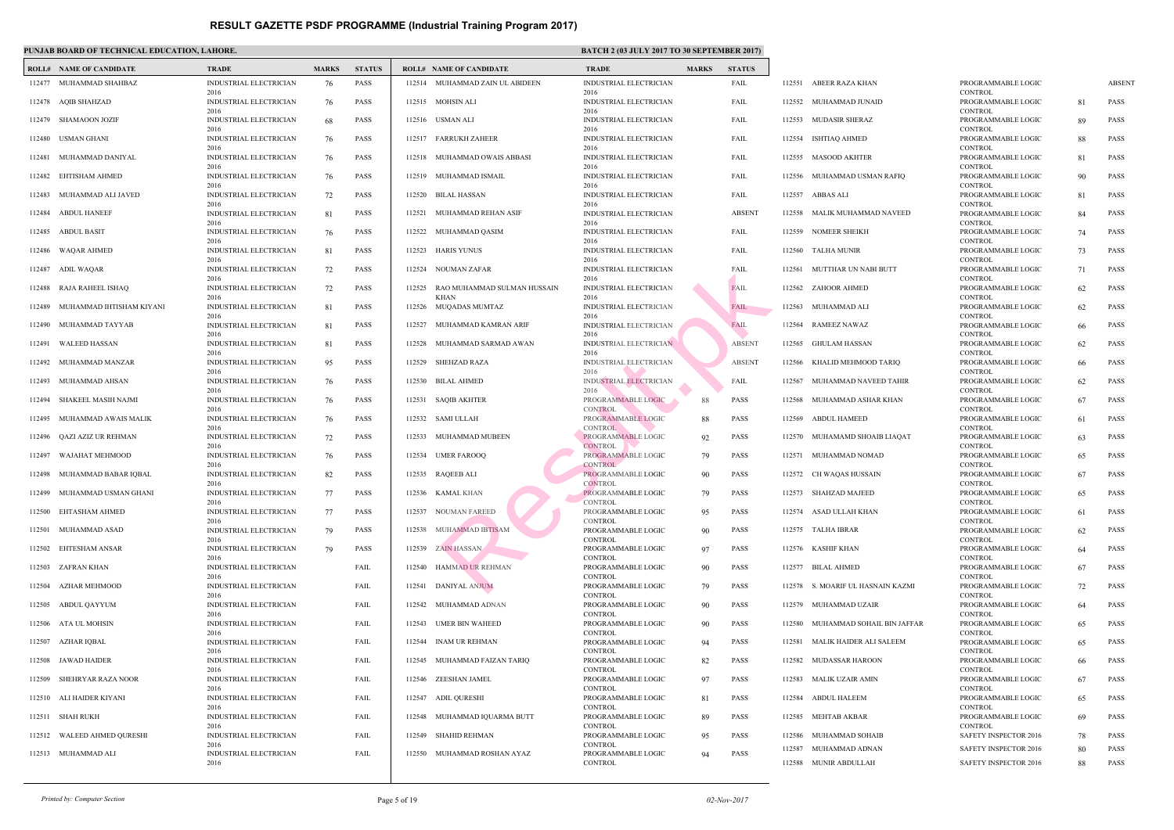|        | <b>ROLL# NAME OF CANDIDATE</b> | <b>TRADE</b>                           | <b>MARKS</b> | <b>STATUS</b> |        | <b>ROLL# NAME OF CANDIDATE</b>             | <b>TRAD</b>                  |
|--------|--------------------------------|----------------------------------------|--------------|---------------|--------|--------------------------------------------|------------------------------|
|        | 112477 MUHAMMAD SHAHBAZ        | INDUSTRIAL ELECTRICIAN                 | 76           | PASS          |        | 112514 MUHAMMAD ZAIN UL ABIDEEN            | <b>INDUS</b>                 |
| 112478 | AQIB SHAHZAD                   | 2016<br>INDUSTRIAL ELECTRICIAN<br>2016 | 76           | PASS          |        | 112515 MOHSIN ALI                          | 2016<br><b>INDUS</b><br>2016 |
| 112479 | <b>SHAMAOON JOZIF</b>          | <b>INDUSTRIAL ELECTRICIAN</b><br>2016  | 68           | <b>PASS</b>   |        | 112516 USMAN ALI                           | <b>INDUS</b><br>2016         |
| 112480 | USMAN GHANI                    | INDUSTRIAL ELECTRICIAN                 | 76           | <b>PASS</b>   |        | 112517 FARRUKH ZAHEER                      | <b>INDUS</b>                 |
| 112481 | MUHAMMAD DANIYAL               | 2016<br>INDUSTRIAL ELECTRICIAN         | 76           | PASS          |        | 112518 MUHAMMAD OWAIS ABBASI               | 2016<br><b>INDUS</b>         |
| 112482 | EHTISHAM AHMED                 | 2016<br>INDUSTRIAL ELECTRICIAN         | 76           | PASS          | 112519 | MUHAMMAD ISMAIL                            | 2016<br><b>INDUS</b>         |
| 112483 | MUHAMMAD ALI JAVED             | 2016<br>INDUSTRIAL ELECTRICIAN<br>2016 | 72           | PASS          |        | 112520 BILAL HASSAN                        | 2016<br><b>INDUS</b><br>2016 |
| 112484 | <b>ABDUL HANEEF</b>            | INDUSTRIAL ELECTRICIAN<br>2016         | 81           | <b>PASS</b>   |        | 112521 MUHAMMAD REHAN ASIF                 | <b>INDUS</b><br>2016         |
| 112485 | <b>ABDUL BASIT</b>             | <b>INDUSTRIAL ELECTRICIAN</b><br>2016  | 76           | PASS          |        | 112522 MUHAMMAD QASIM                      | <b>INDUS</b>                 |
| 112486 | <b>WAQAR AHMED</b>             | <b>INDUSTRIAL ELECTRICIAN</b><br>2016  | 81           | <b>PASS</b>   | 112523 | <b>HARIS YUNUS</b>                         | 2016<br><b>INDUS</b><br>2016 |
| 112487 | ADIL WAQAR                     | INDUSTRIAL ELECTRICIAN                 | 72           | PASS          |        | 112524 NOUMAN ZAFAR                        | <b>INDUS</b>                 |
| 112488 | RAJA RAHEEL ISHAQ              | 2016<br>INDUSTRIAL ELECTRICIAN<br>2016 | 72           | PASS          | 112525 | RAO MUHAMMAD SULMAN HUSSAIN<br><b>KHAN</b> | 2016<br><b>INDUS</b>         |
| 112489 | MUHAMMAD IHTISHAM KIYANI       | INDUSTRIAL ELECTRICIAN                 | 81           | PASS          |        | 112526 MUQADAS MUMTAZ                      | 2016<br><b>INDUS</b>         |
|        | 112490 MUHAMMAD TAYYAB         | 2016<br>INDUSTRIAL ELECTRICIAN         | 81           | PASS          |        | 112527 MUHAMMAD KAMRAN ARIF                | 2016<br><b>INDUS</b>         |
| 112491 | <b>WALEED HASSAN</b>           | 2016<br>INDUSTRIAL ELECTRICIAN         | 81           | PASS          |        | 112528 MUHAMMAD SARMAD AWAN                | 2016<br><b>INDUS</b>         |
| 112492 | MUHAMMAD MANZAR                | 2016<br>INDUSTRIAL ELECTRICIAN         | 95           | PASS          | 112529 | SHEHZAD RAZA                               | 2016<br><b>INDUS</b>         |
| 112493 | MUHAMMAD AHSAN                 | 2016<br>INDUSTRIAL ELECTRICIAN         | 76           | <b>PASS</b>   | 112530 | BILAL AHMED                                | 2016<br><b>INDUS</b>         |
| 112494 | SHAKEEL MASIH NAJMI            | 2016<br>INDUSTRIAL ELECTRICIAN         | 76           | PASS          |        | 112531 SAQIB AKHTER                        | 2016<br>PROGI                |
| 112495 | MUHAMMAD AWAIS MALIK           | 2016<br>INDUSTRIAL ELECTRICIAN         | 76           | PASS          |        | 112532 SAMI ULLAH                          | <b>CONTI</b><br>PROGI        |
|        | 112496 QAZI AZIZ UR REHMAN     | 2016<br>INDUSTRIAL ELECTRICIAN         | 72           | PASS          |        | 112533 MUHAMMAD MUBEEN                     | <b>CONTI</b><br>PROGI        |
| 112497 | WAJAHAT MEHMOOD                | 2016<br>INDUSTRIAL ELECTRICIAN         | 76           | PASS          |        | 112534 UMER FAROOQ                         | <b>CONTI</b><br><b>PROGI</b> |
| 112498 | MUHAMMAD BABAR IQBAL           | 2016<br>INDUSTRIAL ELECTRICIAN         | 82           | PASS          |        | 112535 RAQEEB ALI                          | <b>CONTI</b><br><b>PROGI</b> |
|        | 112499 MUHAMMAD USMAN GHANI    | 2016<br>INDUSTRIAL ELECTRICIAN         | 77           | PASS          |        | 112536 KAMAL KHAN                          | <b>CONT</b><br>PROGI         |
| 112500 | EHTASHAM AHMED                 | 2016<br>INDUSTRIAL ELECTRICIAN         | 77           | PASS          |        | 112537 NOUMAN FAREED                       | <b>CONT</b><br><b>PROGI</b>  |
| 112501 | MUHAMMAD ASAD                  | 2016<br>INDUSTRIAL ELECTRICIAN         | 79           | PASS          |        | 112538 MUHAMMAD IBTISAM                    | <b>CONTI</b><br>PROGI        |
| 112502 | EHTESHAM ANSAR                 | 2016<br>INDUSTRIAL ELECTRICIAN         | 79           | PASS          | 112539 | <b>ZAIN HASSAN</b>                         | <b>CONTI</b><br>PROGI        |
| 112503 | ZAFRAN KHAN                    | 2016<br>INDUSTRIAL ELECTRICIAN         |              | FAIL          |        | 112540 HAMMAD UR REHMAN                    | <b>CONTI</b><br><b>PROGI</b> |
| 112504 | <b>AZHAR MEHMOOD</b>           | 2016<br>INDUSTRIAL ELECTRICIAN         |              | FAIL          |        | 112541 DANIYAL ANJUM                       | <b>CONTI</b><br>PROGI        |
| 112505 | <b>ABDUL QAYYUM</b>            | 2016<br><b>INDUSTRIAL ELECTRICIAN</b>  |              | FAIL          |        | 112542 MUHAMMAD ADNAN                      | <b>CONTI</b><br><b>PROGI</b> |
| 112506 | ATA UL MOHSIN                  | 2016<br><b>INDUSTRIAL ELECTRICIAN</b>  |              | FAIL          | 112543 | UMER BIN WAHEED                            | <b>CONTI</b><br><b>PROGI</b> |
| 112507 | AZHAR IQBAL                    | 2016<br>INDUSTRIAL ELECTRICIAN         |              | FAIL          | 112544 | <b>INAM UR REHMAN</b>                      | <b>CONTI</b><br>PROGI        |
| 112508 | <b>JAWAD HAIDER</b>            | 2016<br>INDUSTRIAL ELECTRICIAN         |              | FAIL          | 112545 | MUHAMMAD FAIZAN TARIQ                      | <b>CONTI</b><br><b>PROGI</b> |
| 112509 | SHEHRYAR RAZA NOOR             | 2016<br><b>INDUSTRIAL ELECTRICIAN</b>  |              | FAIL          |        | 112546 ZEESHAN JAMEL                       | <b>CONTI</b><br>PROGI        |
|        | 112510 ALI HAIDER KIYANI       | 2016<br>INDUSTRIAL ELECTRICIAN         |              | FAIL          |        | 112547 ADIL QURESHI                        | <b>CONTI</b><br><b>PROGI</b> |
|        | 112511 SHAH RUKH               | 2016<br><b>INDUSTRIAL ELECTRICIAN</b>  |              | FAIL          |        | 112548 MUHAMMAD IQUARMA BUTT               | <b>CONTI</b><br><b>PROGI</b> |
| 112512 | WALEED AHMED QURESHI           | 2016<br><b>INDUSTRIAL ELECTRICIAN</b>  |              | FAIL          | 112549 | SHAHID REHMAN                              | <b>CONTI</b><br>PROGI        |
|        | 112513 MUHAMMAD ALI            | 2016<br>INDUSTRIAL ELECTRICIAN         |              | FAIL          |        | 112550 MUHAMMAD ROSHAN AYAZ                | <b>CONTI</b><br>PROGI        |
|        |                                | 2016                                   |              |               |        |                                            | <b>CONTI</b>                 |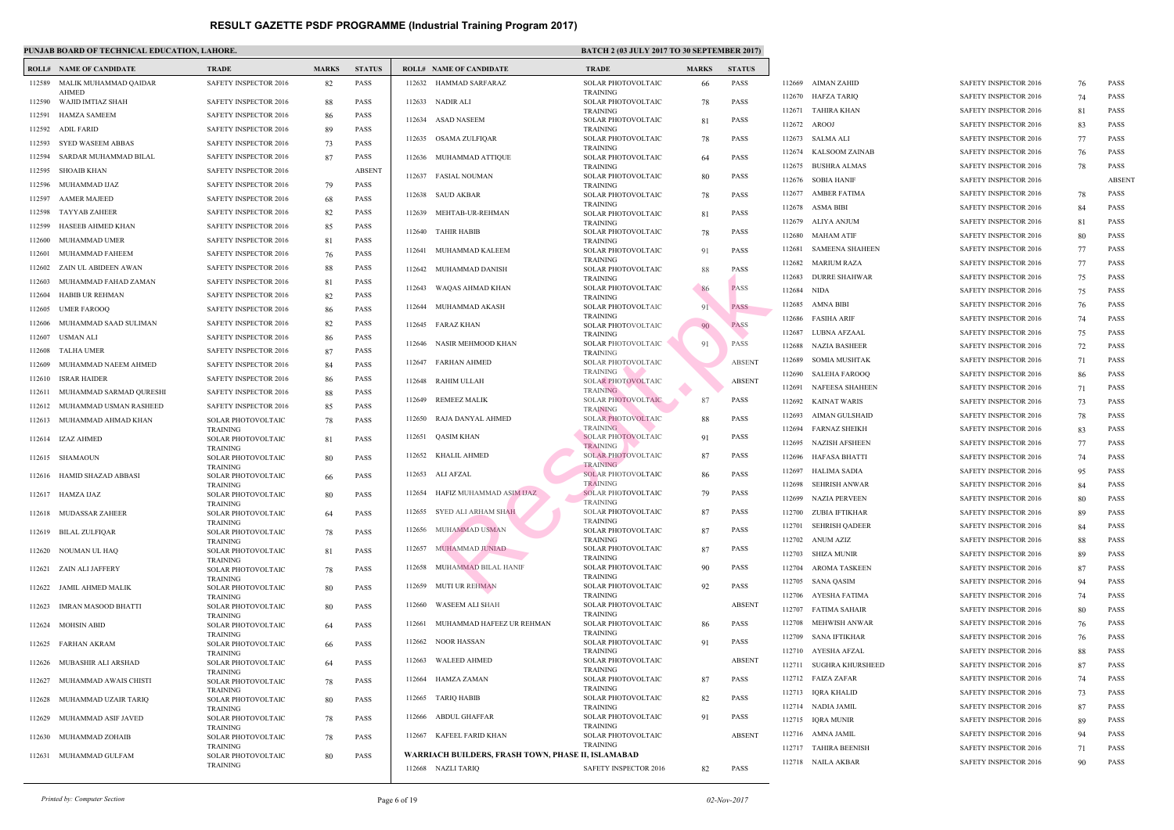|        | <b>ROLL# NAME OF CANDIDATE</b> | <b>TRADE</b>                          | <b>MARKS</b> | <b>STATUS</b> |        | <b>ROLL# NAME OF CANDIDATE</b>               | <b>TRAL</b>                  |
|--------|--------------------------------|---------------------------------------|--------------|---------------|--------|----------------------------------------------|------------------------------|
| 112589 | MALIK MUHAMMAD QAIDAR          | SAFETY INSPECTOR 2016                 | 82           | <b>PASS</b>   | 112632 | HAMMAD SARFARAZ                              | <b>SOLAI</b>                 |
|        | AHMED                          |                                       |              |               |        |                                              | <b>TRAIN</b>                 |
| 112590 | WAJID IMTIAZ SHAH              | SAFETY INSPECTOR 2016                 | 88           | <b>PASS</b>   |        | 112633 NADIR ALI                             | <b>SOLAI</b><br><b>TRAIN</b> |
| 112591 | HAMZA SAMEEM                   | <b>SAFETY INSPECTOR 2016</b>          | 86           | <b>PASS</b>   | 112634 | <b>ASAD NASEEM</b>                           | <b>SOLAI</b>                 |
| 112592 | ADIL FARID                     | SAFETY INSPECTOR 2016                 | 89           | <b>PASS</b>   | 112635 | OSAMA ZULFIQAR                               | <b>TRAIN</b><br><b>SOLAI</b> |
| 112593 | <b>SYED WASEEM ABBAS</b>       | SAFETY INSPECTOR 2016                 | 73           | <b>PASS</b>   |        |                                              | <b>TRAIN</b>                 |
| 112594 | SARDAR MUHAMMAD BILAL          | <b>SAFETY INSPECTOR 2016</b>          | 87           | <b>PASS</b>   | 112636 | MUHAMMAD ATTIQUE                             | <b>SOLAI</b><br><b>TRAIN</b> |
| 112595 | SHOAIB KHAN                    | <b>SAFETY INSPECTOR 2016</b>          |              | <b>ABSENT</b> | 112637 | <b>FASIAL NOUMAN</b>                         | <b>SOLAI</b>                 |
| 112596 | MUHAMMAD IJAZ                  | <b>SAFETY INSPECTOR 2016</b>          | 79           | <b>PASS</b>   |        | 112638 SAUD AKBAR                            | <b>TRAIN</b><br><b>SOLAI</b> |
| 112597 | <b>AAMER MAJEED</b>            | <b>SAFETY INSPECTOR 2016</b>          | 68           | <b>PASS</b>   |        |                                              | <b>TRAIN</b>                 |
| 112598 | <b>TAYYAB ZAHEER</b>           | SAFETY INSPECTOR 2016                 | 82           | <b>PASS</b>   | 112639 | MEHTAB-UR-REHMAN                             | <b>SOLAI</b><br><b>TRAIN</b> |
| 112599 | HASEEB AHMED KHAN              | SAFETY INSPECTOR 2016                 | 85           | <b>PASS</b>   | 112640 | TAHIR HABIB                                  | <b>SOLAI</b>                 |
| 112600 | MUHAMMAD UMER                  | <b>SAFETY INSPECTOR 2016</b>          | 81           | <b>PASS</b>   | 112641 | MUHAMMAD KALEEM                              | <b>TRAIN</b><br><b>SOLAI</b> |
| 112601 | MUHAMMAD FAHEEM                | SAFETY INSPECTOR 2016                 | 76           | <b>PASS</b>   |        |                                              | <b>TRAIN</b>                 |
| 112602 | ZAIN UL ABIDEEN AWAN           | SAFETY INSPECTOR 2016                 | 88           | <b>PASS</b>   | 112642 | MUHAMMAD DANISH                              | <b>SOLAI</b><br><b>TRAIN</b> |
| 112603 | MUHAMMAD FAHAD ZAMAN           | <b>SAFETY INSPECTOR 2016</b>          | 81           | <b>PASS</b>   | 112643 | WAQAS AHMAD KHAN                             | <b>SOLAI</b>                 |
| 112604 | HABIB UR REHMAN                | SAFETY INSPECTOR 2016                 | 82           | <b>PASS</b>   | 112644 | MUHAMMAD AKASH                               | <b>TRAIN</b><br><b>SOLAI</b> |
| 112605 | <b>UMER FAROOQ</b>             | SAFETY INSPECTOR 2016                 | 86           | <b>PASS</b>   |        |                                              | <b>TRAIN</b>                 |
| 112606 | MUHAMMAD SAAD SULIMAN          | <b>SAFETY INSPECTOR 2016</b>          | 82           | <b>PASS</b>   |        | 112645 FARAZ KHAN                            | <b>SOLAI</b>                 |
| 112607 | USMAN ALI                      | <b>SAFETY INSPECTOR 2016</b>          | 86           | <b>PASS</b>   | 112646 | NASIR MEHMOOD KHAN                           | <b>TRAIN</b><br><b>SOLAI</b> |
| 112608 | TALHA UMER                     | SAFETY INSPECTOR 2016                 | 87           | <b>PASS</b>   |        |                                              | <b>TRAIN</b>                 |
| 112609 | MUHAMMAD NAEEM AHMED           | SAFETY INSPECTOR 2016                 | 84           | <b>PASS</b>   | 112647 | <b>FARHAN AHMED</b>                          | <b>SOLAI</b><br><b>TRAIN</b> |
| 112610 | <b>ISRAR HAIDER</b>            | <b>SAFETY INSPECTOR 2016</b>          | 86           | <b>PASS</b>   | 112648 | <b>RAHIM ULLAH</b>                           | <b>SOLA</b>                  |
| 112611 | MUHAMMAD SARMAD QURESHI        | <b>SAFETY INSPECTOR 2016</b>          | 88           | <b>PASS</b>   | 112649 | <b>REMEEZ MALIK</b>                          | <b>TRAIN</b><br><b>SOLAI</b> |
|        | 112612 MUHAMMAD USMAN RASHEED  | SAFETY INSPECTOR 2016                 | 85           | <b>PASS</b>   |        |                                              | <b>TRAIN</b>                 |
| 112613 | MUHAMMAD AHMAD KHAN            | SOLAR PHOTOVOLTAIC<br><b>TRAINING</b> | 78           | <b>PASS</b>   | 112650 | RAJA DANYAL AHMED                            | <b>SOLAI</b><br><b>TRAIN</b> |
|        | 112614 IZAZ AHMED              | SOLAR PHOTOVOLTAIC                    | 81           | <b>PASS</b>   | 112651 | QASIM KHAN                                   | <b>SOLAI</b>                 |
| 112615 | SHAMAOUN                       | <b>TRAINING</b><br>SOLAR PHOTOVOLTAIC | 80           | PASS          | 112652 | KHALIL AHMED                                 | <b>TRAIN</b><br><b>SOLAI</b> |
|        |                                | <b>TRAINING</b>                       |              |               |        |                                              | <b>TRAIN</b>                 |
|        | 112616 HAMID SHAZAD ABBASI     | <b>SOLAR PHOTOVOLTAIC</b>             | 66           | <b>PASS</b>   |        | 112653 ALI AFZAL                             | <b>SOLAI</b><br><b>TRAIN</b> |
|        | 112617 HAMZA IJAZ              | <b>TRAINING</b><br>SOLAR PHOTOVOLTAIC | 80           | <b>PASS</b>   |        | 112654 HAFIZ MUHAMMAD ASIM IJAZ              | <b>SOLAI</b>                 |
|        |                                | <b>TRAINING</b>                       |              |               | 112655 | SYED ALI ARHAM SHAH                          | <b>TRAIN</b><br><b>SOLAI</b> |
|        | 112618 MUDASSAR ZAHEER         | SOLAR PHOTOVOLTAIC<br><b>TRAINING</b> | 64           | PASS          |        |                                              | <b>TRAIN</b>                 |
| 112619 | <b>BILAL ZULFIQAR</b>          | SOLAR PHOTOVOLTAIC                    | 78           | <b>PASS</b>   | 112656 | MUHAMMAD USMAN                               | <b>SOLAI</b><br><b>TRAIN</b> |
| 112620 | NOUMAN UL HAQ                  | <b>TRAINING</b><br>SOLAR PHOTOVOLTAIC | 81           | PASS          | 112657 | MUHAMMAD JUNIAD                              | <b>SOLAI</b>                 |
|        |                                | <b>TRAINING</b>                       |              |               | 112658 | MUHAMMAD BILAL HANIF                         | <b>TRAIN</b><br><b>SOLAI</b> |
| 112621 | ZAIN ALI JAFFERY               | SOLAR PHOTOVOLTAIC<br><b>TRAINING</b> | 78           | PASS          |        |                                              | <b>TRAIN</b>                 |
| 112622 | <b>JAMIL AHMED MALIK</b>       | SOLAR PHOTOVOLTAIC                    | 80           | PASS          | 112659 | MUTI UR REHMAN                               | <b>SOLAI</b><br><b>TRAIN</b> |
| 112623 | IMRAN MASOOD BHATTI            | <b>TRAINING</b><br>SOLAR PHOTOVOLTAIC | 80           | PASS          | 112660 | WASEEM ALI SHAH                              | <b>SOLAI</b>                 |
|        |                                | <b>TRAINING</b>                       |              |               |        |                                              | <b>TRAIN</b>                 |
| 112624 | <b>MOHSIN ABID</b>             | SOLAR PHOTOVOLTAIC<br><b>TRAINING</b> | 64           | <b>PASS</b>   | 112661 | MUHAMMAD HAFEEZ UR REHMAN                    | <b>SOLAI</b><br><b>TRAIN</b> |
| 112625 | FARHAN AKRAM                   | SOLAR PHOTOVOLTAIC                    | 66           | PASS          | 112662 | NOOR HASSAN                                  | <b>SOLAI</b>                 |
| 112626 | MUBASHIR ALI ARSHAD            | <b>TRAINING</b><br>SOLAR PHOTOVOLTAIC | 64           | <b>PASS</b>   | 112663 | <b>WALEED AHMED</b>                          | <b>TRAIN</b><br><b>SOLAI</b> |
|        |                                | <b>TRAINING</b>                       |              |               |        |                                              | <b>TRAIN</b>                 |
| 112627 | MUHAMMAD AWAIS CHISTI          | SOLAR PHOTOVOLTAIC<br><b>TRAINING</b> | 78           | <b>PASS</b>   | 112664 | HAMZA ZAMAN                                  | <b>SOLAI</b><br><b>TRAIN</b> |
| 112628 | MUHAMMAD UZAIR TARIQ           | SOLAR PHOTOVOLTAIC                    | 80           | PASS          | 112665 | TARIQ HABIB                                  | <b>SOLAI</b>                 |
|        |                                | <b>TRAINING</b>                       |              |               | 112666 | <b>ABDUL GHAFFAR</b>                         | <b>TRAIN</b><br><b>SOLAI</b> |
| 112629 | MUHAMMAD ASIF JAVED            | SOLAR PHOTOVOLTAIC<br><b>TRAINING</b> | 78           | <b>PASS</b>   |        |                                              | <b>TRAIN</b>                 |
| 112630 | MUHAMMAD ZOHAIB                | SOLAR PHOTOVOLTAIC                    | 78           | PASS          | 112667 | KAFEEL FARID KHAN                            | <b>SOLAI</b><br><b>TRAIN</b> |
|        | 112631 MUHAMMAD GULFAM         | <b>TRAINING</b><br>SOLAR PHOTOVOLTAIC | 80           | PASS          |        | WARRIACH BUILDERS, FRASH TOWN, PHASE II, ISL |                              |
|        |                                | <b>TRAINING</b>                       |              |               |        | 112668 NAZLI TARIQ                           | <b>SAFET</b>                 |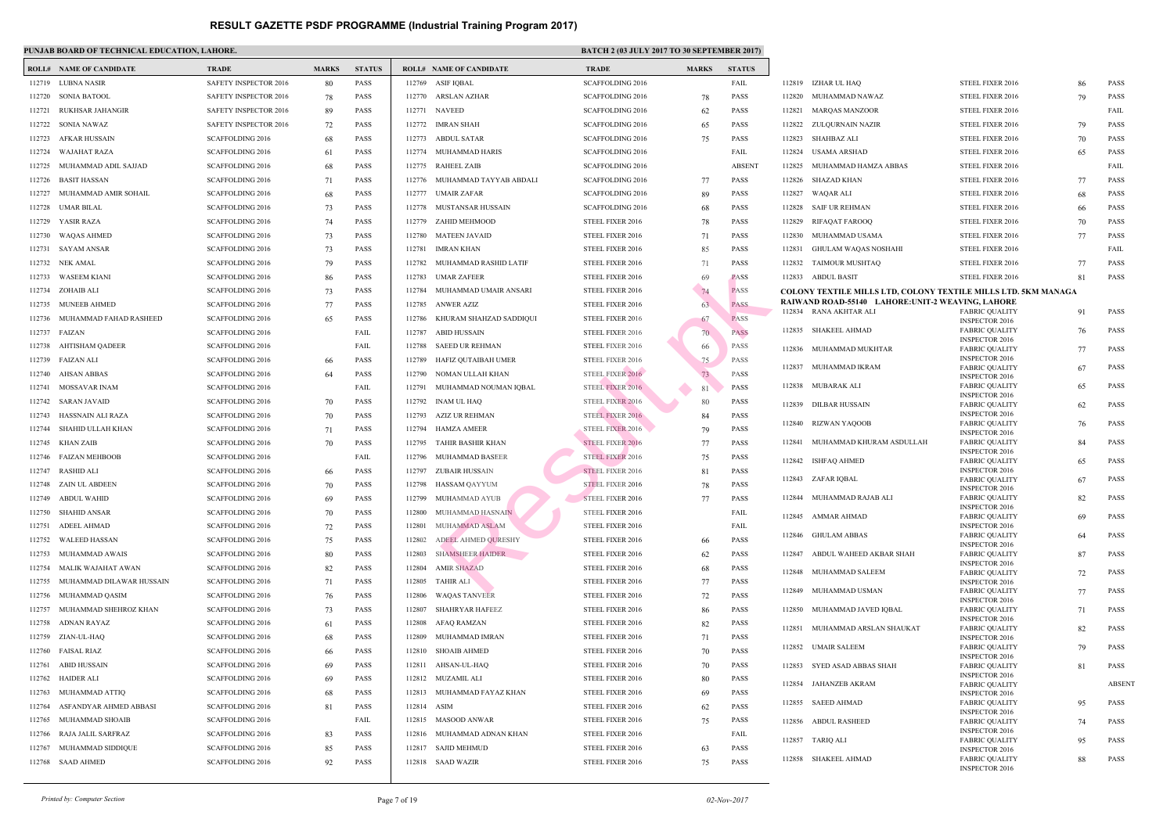|        | <b>ROLL# NAME OF CANDIDATE</b> | <b>TRADE</b>            | <b>MARKS</b> | <b>STATUS</b> |        | <b>ROLL# NAME OF CANDIDATE</b> | <b>TRAL</b>  |
|--------|--------------------------------|-------------------------|--------------|---------------|--------|--------------------------------|--------------|
|        | 112719 LUBNA NASIR             | SAFETY INSPECTOR 2016   | 80           | <b>PASS</b>   |        | 112769 ASIF IQBAL              | <b>SCAFF</b> |
| 112720 | <b>SONIA BATOOL</b>            | SAFETY INSPECTOR 2016   | 78           | <b>PASS</b>   | 112770 | ARSLAN AZHAR                   | <b>SCAFF</b> |
| 112721 | RUKHSAR JAHANGIR               | SAFETY INSPECTOR 2016   | 89           | <b>PASS</b>   | 112771 | <b>NAVEED</b>                  | <b>SCAFF</b> |
| 112722 | SONIA NAWAZ                    | SAFETY INSPECTOR 2016   | 72           | <b>PASS</b>   | 112772 | IMRAN SHAH                     | <b>SCAFF</b> |
| 112723 | AFKAR HUSSAIN                  | <b>SCAFFOLDING 2016</b> | 68           | <b>PASS</b>   | 112773 | <b>ABDUL SATAR</b>             | <b>SCAFF</b> |
| 112724 | WAJAHAT RAZA                   | <b>SCAFFOLDING 2016</b> | 61           | <b>PASS</b>   | 112774 | MUHAMMAD HARIS                 | <b>SCAFF</b> |
| 112725 | MUHAMMAD ADIL SAJJAD           | SCAFFOLDING 2016        | 68           | <b>PASS</b>   | 112775 | <b>RAHEEL ZAIB</b>             | <b>SCAFF</b> |
| 112726 | <b>BASIT HASSAN</b>            | <b>SCAFFOLDING 2016</b> | 71           | <b>PASS</b>   | 112776 | MUHAMMAD TAYYAB ABDALI         | <b>SCAFF</b> |
| 112727 | MUHAMMAD AMIR SOHAIL           | <b>SCAFFOLDING 2016</b> | 68           | <b>PASS</b>   | 112777 | UMAIR ZAFAR                    | <b>SCAFF</b> |
| 112728 | UMAR BILAL                     | <b>SCAFFOLDING 2016</b> | 73           | <b>PASS</b>   | 112778 | MUSTANSAR HUSSAIN              | <b>SCAFF</b> |
| 112729 | YASIR RAZA                     | <b>SCAFFOLDING 2016</b> | 74           | <b>PASS</b>   | 112779 | ZAHID MEHMOOD                  | <b>STEEL</b> |
| 112730 | <b>WAQAS AHMED</b>             | <b>SCAFFOLDING 2016</b> | 73           | <b>PASS</b>   | 112780 | <b>MATEEN JAVAID</b>           | <b>STEEL</b> |
| 112731 | SAYAM ANSAR                    | <b>SCAFFOLDING 2016</b> | 73           | <b>PASS</b>   | 112781 | <b>IMRAN KHAN</b>              | <b>STEEL</b> |
| 112732 | NEK AMAL                       | <b>SCAFFOLDING 2016</b> | 79           | <b>PASS</b>   | 112782 | MUHAMMAD RASHID LATIF          | <b>STEEL</b> |
| 112733 | WASEEM KIANI                   | <b>SCAFFOLDING 2016</b> | 86           | <b>PASS</b>   | 112783 | <b>UMAR ZAFEER</b>             | <b>STEEL</b> |
| 112734 | ZOHAIB ALI                     | <b>SCAFFOLDING 2016</b> | 73           | <b>PASS</b>   | 112784 | MUHAMMAD UMAIR ANSARI          | <b>STEEL</b> |
| 112735 | MUNEEB AHMED                   | <b>SCAFFOLDING 2016</b> | 77           | <b>PASS</b>   | 112785 | ANWER AZIZ                     | <b>STEEL</b> |
| 112736 | MUHAMMAD FAHAD RASHEED         | <b>SCAFFOLDING 2016</b> | 65           | <b>PASS</b>   | 112786 | KHURAM SHAHZAD SADDIQUI        | <b>STEEL</b> |
| 112737 | FAIZAN                         | <b>SCAFFOLDING 2016</b> |              | FAIL          | 112787 | <b>ABID HUSSAIN</b>            | <b>STEEL</b> |
| 112738 | AHTISHAM QADEER                | <b>SCAFFOLDING 2016</b> |              | FAIL          | 112788 | SAEED UR REHMAN                | <b>STEEL</b> |
| 112739 | FAIZAN ALI                     | <b>SCAFFOLDING 2016</b> | 66           | <b>PASS</b>   | 112789 | HAFIZ QUTAIBAH UMER            | <b>STEEL</b> |
| 112740 | <b>AHSAN ABBAS</b>             | <b>SCAFFOLDING 2016</b> | 64           | <b>PASS</b>   | 112790 | NOMAN ULLAH KHAN               | <b>STEEL</b> |
| 112741 | MOSSAVAR INAM                  | <b>SCAFFOLDING 2016</b> |              | FAIL          | 112791 | MUHAMMAD NOUMAN IQBAL          | <b>STEEL</b> |
| 112742 | <b>SARAN JAVAID</b>            | SCAFFOLDING 2016        | 70           | <b>PASS</b>   | 112792 | INAM UL HAQ                    | <b>STEEL</b> |
| 112743 | HASSNAIN ALI RAZA              | <b>SCAFFOLDING 2016</b> | 70           | <b>PASS</b>   | 112793 | AZIZ UR REHMAN                 | <b>STEEL</b> |
| 112744 | SHAHID ULLAH KHAN              | <b>SCAFFOLDING 2016</b> | 71           | <b>PASS</b>   | 112794 | HAMZA AMEER                    | <b>STEEL</b> |
| 112745 | KHAN ZAIB                      | <b>SCAFFOLDING 2016</b> | 70           | <b>PASS</b>   | 112795 | TAHIR BASHIR KHAN              | <b>STEEL</b> |
| 112746 | <b>FAIZAN MEHBOOB</b>          | <b>SCAFFOLDING 2016</b> |              | FAIL          | 112796 | MUHAMMAD BASEER                | <b>STEEL</b> |
| 112747 | RASHID ALI                     | <b>SCAFFOLDING 2016</b> | 66           | <b>PASS</b>   | 112797 | ZUBAIR HUSSAIN                 | <b>STEEL</b> |
|        | 112748 ZAIN UL ABDEEN          | <b>SCAFFOLDING 2016</b> | 70           | <b>PASS</b>   |        | 112798 HASSAM QAYYUM           | <b>STEEL</b> |
|        | 112749 ABDUL WAHID             | <b>SCAFFOLDING 2016</b> | 69           | PASS          |        | 112799 MUHAMMAD AYUB           | <b>STEEL</b> |
| 112750 | SHAHID ANSAR                   | <b>SCAFFOLDING 2016</b> | 70           | PASS          | 112800 | MUHAMMAD HASNAIN               | <b>STEEL</b> |
| 112751 | <b>ADEEL AHMAD</b>             | SCAFFOLDING 2016        | 72           | PASS          | 112801 | MUHAMMAD ASLAM                 | <b>STEEL</b> |
| 112752 | <b>WALEED HASSAN</b>           | <b>SCAFFOLDING 2016</b> | 75           | PASS          | 112802 | <b>ADEEL AHMED QURESHY</b>     | <b>STEEL</b> |
| 112753 | MUHAMMAD AWAIS                 | <b>SCAFFOLDING 2016</b> | 80           | PASS          | 112803 | <b>SHAMSHEER HAIDER</b>        | <b>STEEL</b> |
| 112754 | MALIK WAJAHAT AWAN             | <b>SCAFFOLDING 2016</b> | 82           | PASS          | 112804 | <b>AMIR SHAZAD</b>             | <b>STEEL</b> |
| 112755 | MUHAMMAD DILAWAR HUSSAIN       | <b>SCAFFOLDING 2016</b> | 71           | PASS          | 112805 | <b>TAHIR ALI</b>               | <b>STEEL</b> |
| 112756 | MUHAMMAD QASIM                 | <b>SCAFFOLDING 2016</b> | 76           | PASS          | 112806 | <b>WAOAS TANVEER</b>           | <b>STEEL</b> |
| 112757 | MUHAMMAD SHEHROZ KHAN          | <b>SCAFFOLDING 2016</b> | 73           | PASS          | 112807 | <b>SHAHRYAR HAFEEZ</b>         | <b>STEEL</b> |
| 112758 | <b>ADNAN RAYAZ</b>             | <b>SCAFFOLDING 2016</b> | 61           | <b>PASS</b>   | 112808 | <b>AFAQ RAMZAN</b>             | <b>STEEL</b> |
| 112759 | ZIAN-UL-HAQ                    | <b>SCAFFOLDING 2016</b> | 68           | PASS          | 112809 | MUHAMMAD IMRAN                 | <b>STEEL</b> |
| 112760 | <b>FAISAL RIAZ</b>             | <b>SCAFFOLDING 2016</b> | 66           | PASS          | 112810 | <b>SHOAIB AHMED</b>            | <b>STEEL</b> |
| 112761 | ABID HUSSAIN                   | <b>SCAFFOLDING 2016</b> | 69           | PASS          | 112811 | AHSAN-UL-HAQ                   | <b>STEEL</b> |
| 112762 | <b>HAIDER ALI</b>              | <b>SCAFFOLDING 2016</b> | 69           | PASS          | 112812 | MUZAMIL ALI                    | <b>STEEL</b> |
| 112763 | MUHAMMAD ATTIQ                 | <b>SCAFFOLDING 2016</b> | 68           | PASS          | 112813 | MUHAMMAD FAYAZ KHAN            | <b>STEEL</b> |
| 112764 | ASFANDYAR AHMED ABBASI         | <b>SCAFFOLDING 2016</b> | 81           | <b>PASS</b>   | 112814 | ASIM                           | <b>STEEL</b> |
| 112765 | MUHAMMAD SHOAIB                | <b>SCAFFOLDING 2016</b> |              | FAIL          | 112815 | <b>MASOOD ANWAR</b>            | <b>STEEL</b> |
| 112766 | RAJA JALIL SARFRAZ             | <b>SCAFFOLDING 2016</b> | 83           | PASS          | 112816 | MUHAMMAD ADNAN KHAN            | <b>STEEL</b> |
| 112767 | MUHAMMAD SIDDIQUE              | <b>SCAFFOLDING 2016</b> | 85           | <b>PASS</b>   | 112817 | <b>SAJID MEHMUD</b>            | <b>STEEL</b> |
| 112768 | <b>SAAD AHMED</b>              | <b>SCAFFOLDING 2016</b> | 92           | PASS          | 112818 | SAAD WAZIR                     | <b>STEEL</b> |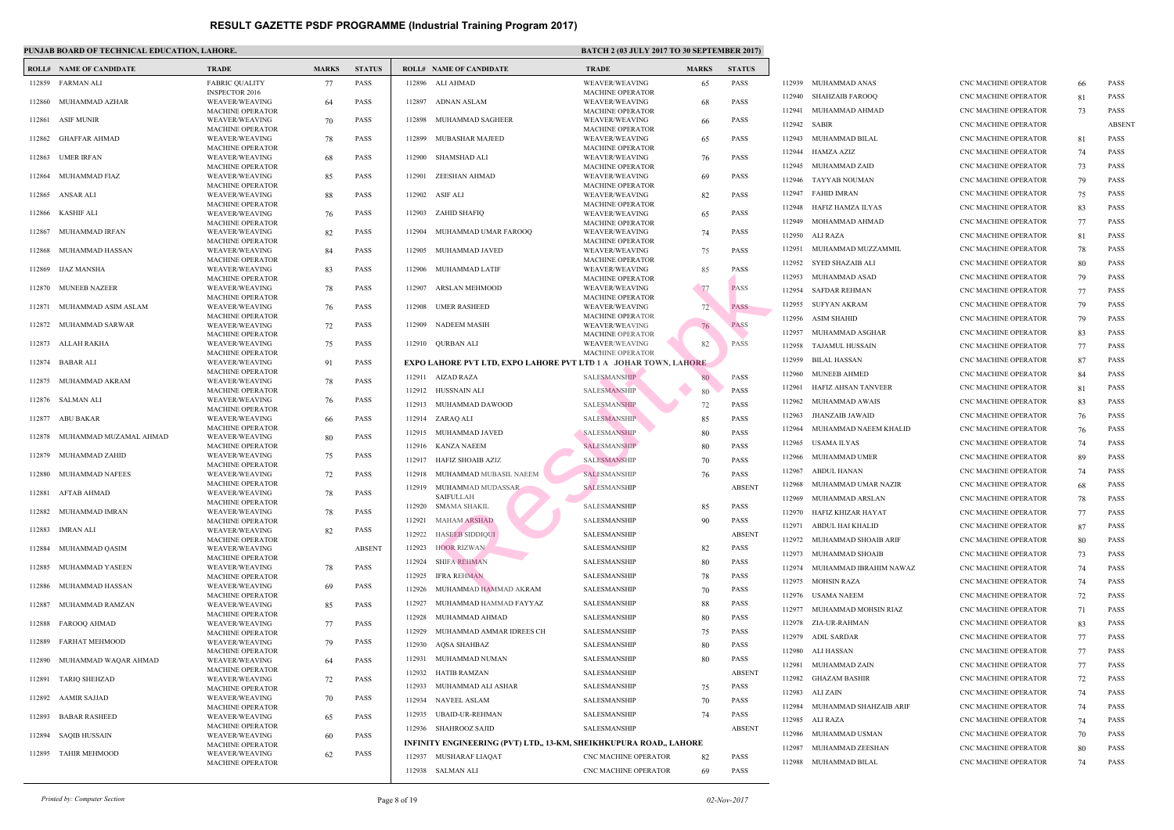|        | <b>ROLL# NAME OF CANDIDATE</b> | <b>TRADE</b>                                                         | <b>MARKS</b> | <b>STATUS</b> |                  | <b>ROLL# NAME OF CANDIDATE</b>                    | <b>TRAL</b>                        |
|--------|--------------------------------|----------------------------------------------------------------------|--------------|---------------|------------------|---------------------------------------------------|------------------------------------|
| 112859 | FARMAN ALI                     | <b>FABRIC OUALITY</b>                                                | 77           | PASS          |                  | 112896 ALI AHMAD                                  | <b>WEAV</b>                        |
| 112860 | MUHAMMAD AZHAR                 | <b>INSPECTOR 2016</b><br>WEAVER/WEAVING                              | 64           | PASS          | 112897           | ADNAN ASLAM                                       | <b>MACH</b><br>WEAV                |
| 112861 | <b>ASIF MUNIR</b>              | <b>MACHINE OPERATOR</b><br>WEAVER/WEAVING                            | 70           | PASS          | 112898           | MUHAMMAD SAGHEER                                  | <b>MACH</b><br>WEAV                |
| 112862 | GHAFFAR AHMAD                  | <b>MACHINE OPERATOR</b><br><b>WEAVER/WEAVING</b>                     | 78           | PASS          | 112899           | MUBASHAR MAJEED                                   | <b>MACH</b><br>WEAV                |
|        |                                | <b>MACHINE OPERATOR</b>                                              |              |               |                  |                                                   | <b>MACH</b>                        |
| 112863 | <b>UMER IRFAN</b>              | WEAVER/WEAVING<br><b>MACHINE OPERATOR</b>                            | 68           | PASS          | 112900           | SHAMSHAD ALI                                      | WEAV<br><b>MACH</b>                |
| 112864 | MUHAMMAD FIAZ                  | WEAVER/WEAVING                                                       | 85           | PASS          | 112901           | ZEESHAN AHMAD                                     | WEAV                               |
|        | 112865 ANSAR ALI               | <b>MACHINE OPERATOR</b><br>WEAVER/WEAVING<br><b>MACHINE OPERATOR</b> | 88           | PASS          |                  | 112902 ASIF ALI                                   | <b>MACH</b><br>WEAV<br><b>MACH</b> |
| 112866 | KASHIF ALI                     | WEAVER/WEAVING                                                       | 76           | PASS          | 112903           | ZAHID SHAFIQ                                      | WEAV                               |
| 112867 | MUHAMMAD IRFAN                 | <b>MACHINE OPERATOR</b><br>WEAVER/WEAVING                            | 82           | PASS          | 112904           | MUHAMMAD UMAR FAROOQ                              | <b>MACH</b><br>WEAV                |
|        |                                | <b>MACHINE OPERATOR</b>                                              |              |               |                  |                                                   | <b>MACH</b>                        |
| 112868 | MUHAMMAD HASSAN                | WEAVER/WEAVING<br><b>MACHINE OPERATOR</b>                            | 84           | PASS          | 112905           | MUHAMMAD JAVED                                    | WEAV<br><b>MACH</b>                |
| 112869 | <b>IJAZ MANSHA</b>             | WEAVER/WEAVING<br><b>MACHINE OPERATOR</b>                            | 83           | PASS          | 112906           | MUHAMMAD LATIF                                    | WEAV<br><b>MACH</b>                |
| 112870 | <b>MUNEEB NAZEER</b>           | WEAVER/WEAVING                                                       | 78           | PASS          | 112907           | ARSLAN MEHMOOD                                    | WEAV                               |
| 112871 | MUHAMMAD ASIM ASLAM            | <b>MACHINE OPERATOR</b><br>WEAVER/WEAVING                            | 76           | <b>PASS</b>   | 112908           | <b>UMER RASHEED</b>                               | <b>MACH</b><br>WEAV                |
|        |                                | <b>MACHINE OPERATOR</b>                                              |              |               |                  |                                                   | <b>MACH</b>                        |
|        | 112872 MUHAMMAD SARWAR         | <b>WEAVER/WEAVING</b><br><b>MACHINE OPERATOR</b>                     | 72           | PASS          | 112909           | NADEEM MASIH                                      | <b>WEAV</b><br><b>MACH</b>         |
|        | 112873 ALLAH RAKHA             | WEAVER/WEAVING<br><b>MACHINE OPERATOR</b>                            | 75           | PASS          |                  | 112910 QURBAN ALI                                 | WEAV<br><b>MACH</b>                |
| 112874 | <b>BABAR ALI</b>               | WEAVER/WEAVING                                                       | 91           | PASS          |                  | <b>EXPO LAHORE PVT LTD, EXPO LAHORE PVT LTD 1</b> |                                    |
| 112875 | MUHAMMAD AKRAM                 | <b>MACHINE OPERATOR</b><br><b>WEAVER/WEAVING</b>                     | 78           | PASS          |                  | 112911 AIZAD RAZA                                 | <b>SALES</b>                       |
|        |                                | <b>MACHINE OPERATOR</b>                                              |              |               |                  | 112912 HUSSNAIN ALI                               | <b>SALES</b>                       |
| 112876 | SALMAN ALI                     | WEAVER/WEAVING<br><b>MACHINE OPERATOR</b>                            | 76           | PASS          | 112913           | MUHAMMAD DAWOOD                                   | <b>SALES</b>                       |
|        | 112877 ABU BAKAR               | WEAVER/WEAVING<br><b>MACHINE OPERATOR</b>                            | 66           | PASS          | 112914           | ZARAQ ALI                                         | <b>SALES</b>                       |
|        | 112878 MUHAMMAD MUZAMAL AHMAD  | WEAVER/WEAVING                                                       | 80           | PASS          | 112915           | MUHAMMAD JAVED                                    | <b>SALES</b>                       |
| 112879 | MUHAMMAD ZAHID                 | <b>MACHINE OPERATOR</b><br><b>WEAVER/WEAVING</b>                     | 75           | PASS          |                  | 112916 KANZA NAEEM                                | <b>SALES</b>                       |
|        |                                | <b>MACHINE OPERATOR</b>                                              |              |               | 112917<br>112918 | HAFIZ SHOAIB AZIZ<br>MUHAMMAD MUBASIL NAEEM       | <b>SALES</b><br><b>SALES</b>       |
| 112880 | MUHAMMAD NAFEES                | WEAVER/WEAVING<br><b>MACHINE OPERATOR</b>                            | 72           | PASS          | 112919           | MUHAMMAD MUDASSAR                                 | <b>SALES</b>                       |
|        | 112881 AFTAB AHMAD             | WEAVER/WEAVING<br>MACHINE OPERATOR                                   | 78           | PASS          |                  | SAIFULLAH                                         |                                    |
|        | 112882 MUHAMMAD IMRAN          | WEAVER/WEAVING                                                       | 78           | PASS          | 112920           | <b>SMAMA SHAKIL</b>                               | <b>SALES</b>                       |
| 112883 | IMRAN ALI                      | <b>MACHINE OPERATOR</b><br><b>WEAVER/WEAVING</b>                     | 82           | PASS          | 112921           | <b>MAHAM ARSHAD</b>                               | <b>SALES</b>                       |
|        |                                | <b>MACHINE OPERATOR</b>                                              |              |               | 112922           | <b>HASEEB SIDDIQUI</b>                            | <b>SALES</b>                       |
| 112884 | MUHAMMAD QASIM                 | WEAVER/WEAVING<br><b>MACHINE OPERATOR</b>                            |              | <b>ABSENT</b> | 112923<br>112924 | <b>HOOR RIZWAN</b><br><b>SHIFA REHMAN</b>         | <b>SALES</b><br><b>SALES</b>       |
| 112885 | MUHAMMAD YASEEN                | WEAVER/WEAVING<br><b>MACHINE OPERATOR</b>                            | 78           | PASS          | 112925           | <b>IFRA REHMAN</b>                                | <b>SALES</b>                       |
| 112886 | MUHAMMAD HASSAN                | WEAVER/WEAVING                                                       | 69           | PASS          | 112926           | MUHAMMAD HAMMAD AKRAM                             | <b>SALES</b>                       |
| 112887 | MUHAMMAD RAMZAN                | <b>MACHINE OPERATOR</b><br>WEAVER/WEAVING                            | 85           | PASS          | 112927           | MUHAMMAD HAMMAD FAYYAZ                            | <b>SALES</b>                       |
| 112888 | FAROOQ AHMAD                   | <b>MACHINE OPERATOR</b><br>WEAVER/WEAVING                            | 77           | PASS          | 112928           | MUHAMMAD AHMAD                                    | <b>SALES</b>                       |
|        |                                | <b>MACHINE OPERATOR</b>                                              |              |               | 112929           | MUHAMMAD AMMAR IDREES CH                          | <b>SALES</b>                       |
| 112889 | FARHAT MEHMOOD                 | WEAVER/WEAVING<br><b>MACHINE OPERATOR</b>                            | 79           | PASS          | 112930           | AQSA SHAHBAZ                                      | <b>SALES</b>                       |
| 112890 | MUHAMMAD WAQAR AHMAD           | WEAVER/WEAVING<br><b>MACHINE OPERATOR</b>                            | 64           | PASS          | 112931           | MUHAMMAD NUMAN                                    | <b>SALES</b>                       |
| 112891 | <b>TARIQ SHEHZAD</b>           | WEAVER/WEAVING                                                       | 72           | PASS          | 112932           | <b>HATIB RAMZAN</b>                               | <b>SALES</b>                       |
|        | 112892 AAMIR SAJJAD            | <b>MACHINE OPERATOR</b><br>WEAVER/WEAVING                            | 70           | PASS          | 112933<br>112934 | MUHAMMAD ALI ASHAR<br>NAVEEL ASLAM                | <b>SALES</b><br><b>SALES</b>       |
|        |                                | <b>MACHINE OPERATOR</b>                                              |              |               | 112935           | <b>UBAID-UR-REHMAN</b>                            | <b>SALES</b>                       |
| 112893 | <b>BABAR RASHEED</b>           | WEAVER/WEAVING<br><b>MACHINE OPERATOR</b>                            | 65           | PASS          | 112936           | SHAHROOZ SAJID                                    | <b>SALES</b>                       |
| 112894 | <b>SAQIB HUSSAIN</b>           | WEAVER/WEAVING<br><b>MACHINE OPERATOR</b>                            | 60           | PASS          |                  | INFINITY ENGINEERING (PVT) LTD., 13-KM, SHEIKH    |                                    |
| 112895 | <b>TAHIR MEHMOOD</b>           | <b>WEAVER/WEAVING</b>                                                | 62           | PASS          |                  | 112937 MUSHARAF LIAQAT                            | CNC <sub>N</sub>                   |
|        |                                | <b>MACHINE OPERATOR</b>                                              |              |               |                  | 112938 SALMAN ALI                                 | CNC <sub>N</sub>                   |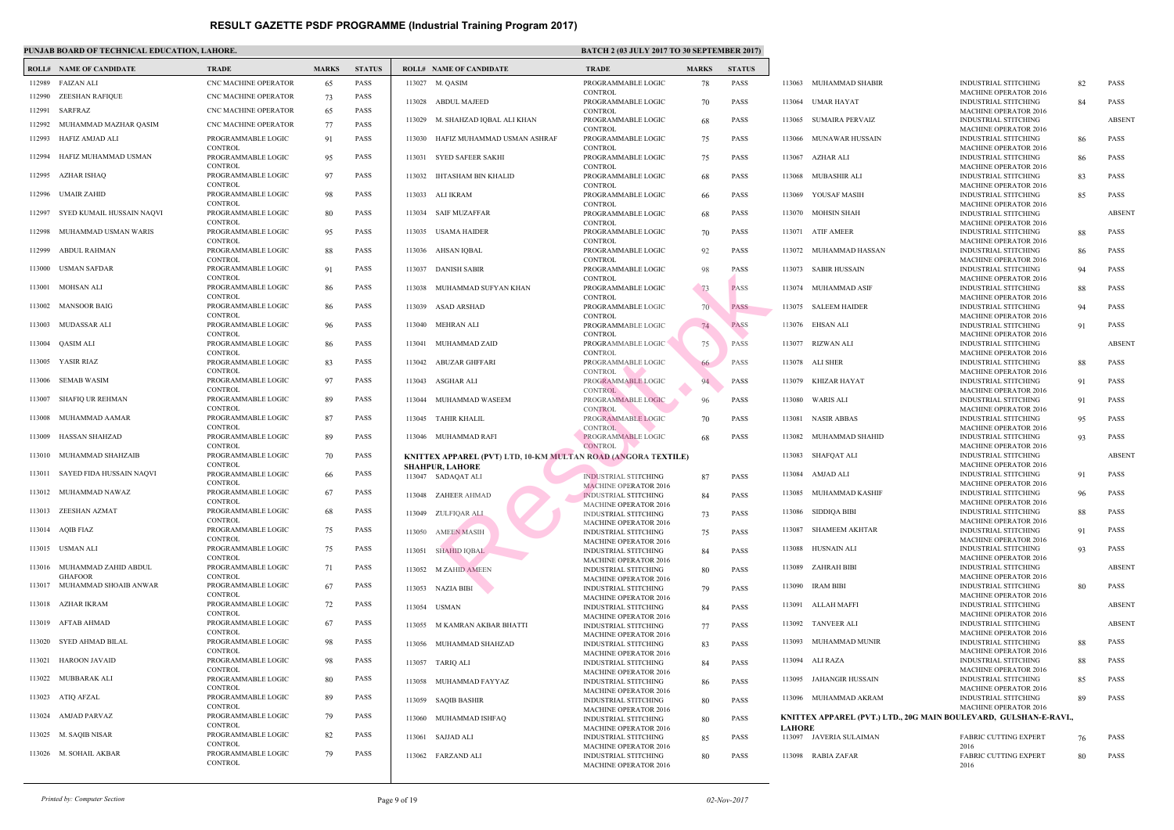|        | <b>ROLL# NAME OF CANDIDATE</b>                | <b>TRADE</b>                                           | <b>MARKS</b> | <b>STATUS</b> |        | <b>ROLL# NAME OF CANDIDATE</b>               | <b>TRAL</b>                           |
|--------|-----------------------------------------------|--------------------------------------------------------|--------------|---------------|--------|----------------------------------------------|---------------------------------------|
|        | 112989 FAIZAN ALI                             | CNC MACHINE OPERATOR                                   | 65           | <b>PASS</b>   |        | 113027 M. QASIM                              | <b>PROGI</b>                          |
| 112990 | ZEESHAN RAFIQUE                               | CNC MACHINE OPERATOR                                   | 73           | <b>PASS</b>   |        | 113028 ABDUL MAJEED                          | <b>CONTI</b><br><b>PROGI</b>          |
| 112991 | SARFRAZ                                       | CNC MACHINE OPERATOR                                   | 65           | <b>PASS</b>   |        |                                              | <b>CONTI</b>                          |
|        | 112992 MUHAMMAD MAZHAR QASIM                  | CNC MACHINE OPERATOR                                   | 77           | <b>PASS</b>   | 113029 | M. SHAHZAD IQBAL ALI KHAN                    | PROGI<br><b>CONTI</b>                 |
| 112993 | HAFIZ AMJAD ALI                               | PROGRAMMABLE LOGIC                                     | 91           | <b>PASS</b>   | 113030 | HAFIZ MUHAMMAD USMAN ASHRAF                  | <b>PROGI</b>                          |
| 112994 | HAFIZ MUHAMMAD USMAN                          | <b>CONTROL</b><br>PROGRAMMABLE LOGIC<br><b>CONTROL</b> | 95           | <b>PASS</b>   | 113031 | SYED SAFEER SAKHI                            | <b>CONTI</b><br>PROGI                 |
| 112995 | AZHAR ISHAQ                                   | PROGRAMMABLE LOGIC<br><b>CONTROL</b>                   | 97           | <b>PASS</b>   | 113032 | IHTASHAM BIN KHALID                          | <b>CONTI</b><br>PROGI<br><b>CONTI</b> |
|        | 112996 UMAIR ZAHID                            | PROGRAMMABLE LOGIC<br><b>CONTROL</b>                   | 98           | <b>PASS</b>   |        | 113033 ALI IKRAM                             | <b>PROGI</b><br><b>CONTI</b>          |
| 112997 | SYED KUMAIL HUSSAIN NAQVI                     | PROGRAMMABLE LOGIC<br><b>CONTROL</b>                   | 80           | <b>PASS</b>   |        | 113034 SAIF MUZAFFAR                         | <b>PROGI</b><br><b>CONTI</b>          |
| 112998 | MUHAMMAD USMAN WARIS                          | PROGRAMMABLE LOGIC<br><b>CONTROL</b>                   | 95           | <b>PASS</b>   | 113035 | USAMA HAIDER                                 | <b>PROGI</b><br><b>CONTI</b>          |
| 112999 | ABDUL RAHMAN                                  | PROGRAMMABLE LOGIC<br><b>CONTROL</b>                   | 88           | <b>PASS</b>   |        | 113036 AHSAN IQBAL                           | <b>PROGI</b><br><b>CONTI</b>          |
| 113000 | USMAN SAFDAR                                  | PROGRAMMABLE LOGIC<br><b>CONTROL</b>                   | 91           | <b>PASS</b>   | 113037 | <b>DANISH SABIR</b>                          | <b>PROGI</b><br><b>CONTI</b>          |
| 113001 | MOHSAN ALI                                    | PROGRAMMABLE LOGIC<br><b>CONTROL</b>                   | 86           | <b>PASS</b>   | 113038 | MUHAMMAD SUFYAN KHAN                         | <b>PROGI</b><br><b>CONTI</b>          |
| 113002 | <b>MANSOOR BAIG</b>                           | PROGRAMMABLE LOGIC<br><b>CONTROL</b>                   | 86           | <b>PASS</b>   | 113039 | ASAD ARSHAD                                  | PROGI<br><b>CONTI</b>                 |
|        | 113003 MUDASSAR ALI                           | PROGRAMMABLE LOGIC<br><b>CONTROL</b>                   | 96           | <b>PASS</b>   |        | 113040 MEHRAN ALI                            | <b>PROGI</b><br><b>CONTI</b>          |
|        | 113004 QASIM ALI                              | PROGRAMMABLE LOGIC<br><b>CONTROL</b>                   | 86           | <b>PASS</b>   | 113041 | MUHAMMAD ZAID                                | <b>PROGI</b><br><b>CONTI</b>          |
|        | 113005 YASIR RIAZ                             | PROGRAMMABLE LOGIC<br><b>CONTROL</b>                   | 83           | <b>PASS</b>   |        | 113042 ABUZAR GHFFARI                        | PROGI<br><b>CONTI</b>                 |
| 113006 | <b>SEMAB WASIM</b>                            | PROGRAMMABLE LOGIC<br><b>CONTROL</b>                   | 97           | <b>PASS</b>   | 113043 | ASGHAR ALI                                   | <b>PROGI</b><br><b>CONTI</b>          |
| 113007 | <b>SHAFIQ UR REHMAN</b>                       | PROGRAMMABLE LOGIC<br><b>CONTROL</b>                   | 89           | <b>PASS</b>   | 113044 | MUHAMMAD WASEEM                              | PROGI<br><b>CONTI</b>                 |
| 113008 | MUHAMMAD AAMAR                                | PROGRAMMABLE LOGIC<br><b>CONTROL</b>                   | 87           | <b>PASS</b>   |        | 113045 TAHIR KHALIL                          | <b>PROGI</b><br><b>CONTI</b>          |
| 113009 | HASSAN SHAHZAD                                | PROGRAMMABLE LOGIC<br><b>CONTROL</b>                   | 89           | <b>PASS</b>   |        | 113046 MUHAMMAD RAFI                         | <b>PROGI</b><br><b>CONT</b>           |
|        | 113010 MUHAMMAD SHAHZAIB                      | PROGRAMMABLE LOGIC<br><b>CONTROL</b>                   | 70           | <b>PASS</b>   |        | KNITTEX APPAREL (PVT) LTD, 10-KM MULTAN ROA  |                                       |
|        | 113011 SAYED FIDA HUSSAIN NAQVI               | PROGRAMMABLE LOGIC<br>CONTROL                          | 66           | <b>PASS</b>   |        | <b>SHAHPUR, LAHORE</b><br>113047 SADAQAT ALI | <b>INDUS</b>                          |
|        | 113012 MUHAMMAD NAWAZ                         | PROGRAMMABLE LOGIC<br>CONTROL                          | 67           | <b>PASS</b>   |        | 113048 ZAHEER AHMAD                          | <b>MACH</b><br><b>INDUS</b>           |
|        | 113013 ZEESHAN AZMAT                          | PROGRAMMABLE LOGIC<br><b>CONTROL</b>                   | 68           | <b>PASS</b>   |        | 113049 ZULFIQAR ALI                          | <b>MACH</b><br><b>INDUS</b>           |
|        | 113014 AQIB FIAZ                              | PROGRAMMABLE LOGIC<br><b>CONTROL</b>                   | 75           | <b>PASS</b>   |        | 113050 AMEEN MASIH                           | <b>MACH</b><br><b>INDUS</b>           |
|        | 113015 USMAN ALI                              | PROGRAMMABLE LOGIC<br><b>CONTROL</b>                   | 75           | PASS          |        | 113051 SHAHID IQBAL                          | <b>MACH</b><br><b>INDUS</b>           |
|        | 113016 MUHAMMAD ZAHID ABDUL<br><b>GHAFOOR</b> | PROGRAMMABLE LOGIC<br><b>CONTROL</b>                   | 71           | PASS          |        | 113052 M ZAHID AMEEN                         | <b>MACH</b><br><b>INDUS</b>           |
|        | 113017 MUHAMMAD SHOAIB ANWAR                  | PROGRAMMABLE LOGIC<br><b>CONTROL</b>                   | 67           | <b>PASS</b>   |        | 113053 NAZIA BIBI                            | <b>MACH</b><br><b>INDUS</b>           |
|        | 113018 AZHAR IKRAM                            | PROGRAMMABLE LOGIC<br><b>CONTROL</b>                   | 72           | PASS          | 113054 | <b>USMAN</b>                                 | <b>MACH</b><br><b>INDUS</b>           |
|        | 113019 AFTAB AHMAD                            | PROGRAMMABLE LOGIC<br><b>CONTROL</b>                   | 67           | <b>PASS</b>   | 113055 | M KAMRAN AKBAR BHATTI                        | <b>MACH</b><br><b>INDUS</b>           |
| 113020 | SYED AHMAD BILAL                              | PROGRAMMABLE LOGIC<br><b>CONTROL</b>                   | 98           | <b>PASS</b>   |        | 113056 MUHAMMAD SHAHZAD                      | <b>MACH</b><br><b>INDUS</b>           |
| 113021 | <b>HAROON JAVAID</b>                          | PROGRAMMABLE LOGIC<br><b>CONTROL</b>                   | 98           | PASS          |        | 113057 TARIQ ALI                             | <b>MACH</b><br><b>INDUS</b>           |
|        | 113022 MUBBARAK ALI                           | PROGRAMMABLE LOGIC<br><b>CONTROL</b>                   | 80           | PASS          |        | 113058 MUHAMMAD FAYYAZ                       | <b>MACH</b><br><b>INDUS</b>           |
|        | 113023 ATIQ AFZAL                             | PROGRAMMABLE LOGIC<br><b>CONTROL</b>                   | 89           | PASS          | 113059 | <b>SAQIB BASHIR</b>                          | <b>MACH</b><br><b>INDUS</b>           |
|        | 113024 AMJAD PARVAZ                           | PROGRAMMABLE LOGIC<br><b>CONTROL</b>                   | 79           | PASS          | 113060 | MUHAMMAD ISHFAQ                              | <b>MACH</b><br><b>INDUS</b>           |
|        | 113025 M. SAQIB NISAR                         | PROGRAMMABLE LOGIC<br><b>CONTROL</b>                   | 82           | PASS          | 113061 | SAJJAD ALI                                   | <b>MACH</b><br><b>INDUS</b>           |
|        | 113026 M. SOHAIL AKBAR                        | PROGRAMMABLE LOGIC<br><b>CONTROL</b>                   | 79           | <b>PASS</b>   |        | 113062 FARZAND ALI                           | <b>MACH</b><br><b>INDUS</b>           |
|        |                                               |                                                        |              |               |        |                                              | <b>MACH</b>                           |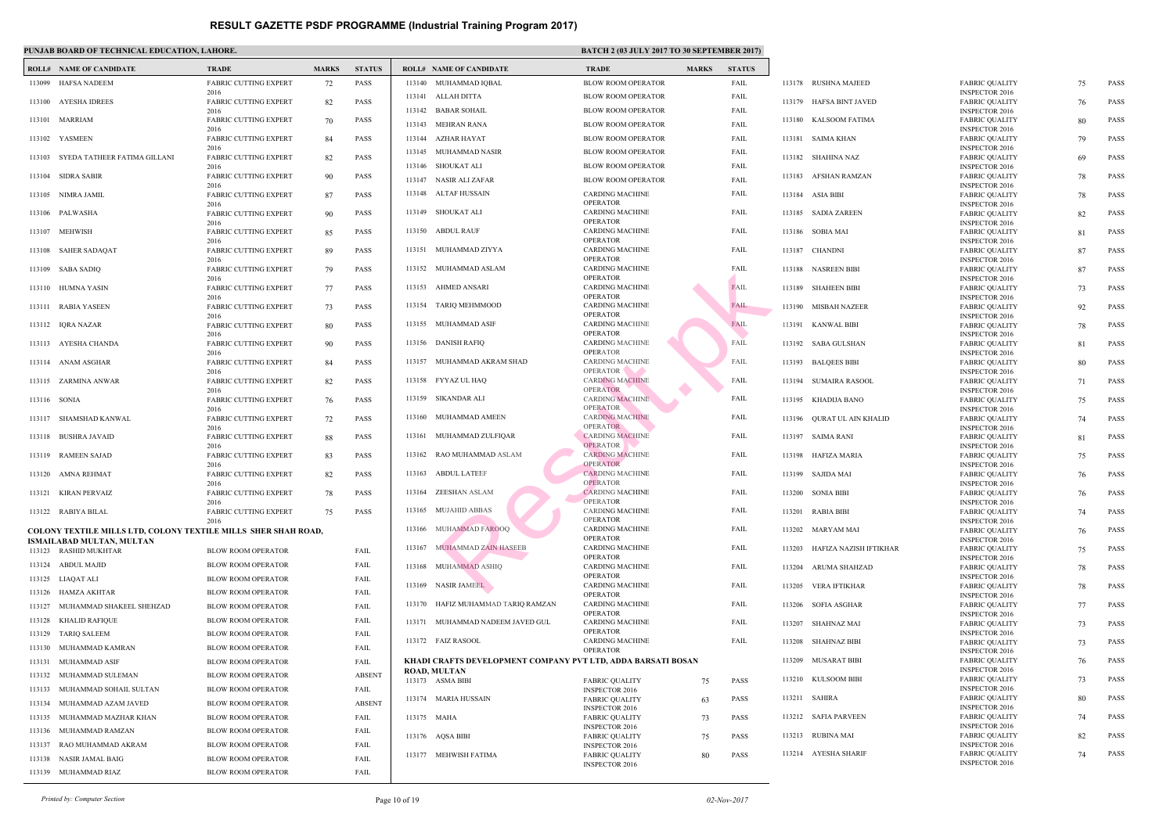|                  | <b>ROLL# NAME OF CANDIDATE</b>                                        | <b>TRADE</b>                                           | <b>MARKS</b> | <b>STATUS</b> |             | <b>ROLL# NAME OF CANDIDATE</b>                                  | <b>TRAL</b>           |
|------------------|-----------------------------------------------------------------------|--------------------------------------------------------|--------------|---------------|-------------|-----------------------------------------------------------------|-----------------------|
| 113099           | HAFSA NADEEM                                                          | FABRIC CUTTING EXPERT                                  | 72           | PASS          |             | 113140 MUHAMMAD IQBAL                                           | <b>BLOW</b>           |
| 113100           | AYESHA IDREES                                                         | 2016<br><b>FABRIC CUTTING EXPERT</b>                   | 82           | <b>PASS</b>   |             | 113141 ALLAH DITTA                                              | <b>BLOW</b>           |
|                  |                                                                       | 2016                                                   |              |               | 113142      | <b>BABAR SOHAIL</b>                                             | <b>BLOW</b>           |
|                  | 113101 MARRIAM                                                        | <b>FABRIC CUTTING EXPERT</b><br>2016                   | 70           | PASS          | 113143      | <b>MEHRAN RANA</b>                                              | <b>BLOW</b>           |
|                  | 113102 YASMEEN                                                        | <b>FABRIC CUTTING EXPERT</b><br>2016                   | 84           | <b>PASS</b>   | 113144      | AZHAR HAYAT                                                     | <b>BLOW</b>           |
|                  | 113103 SYEDA TATHEER FATIMA GILLANI                                   | <b>FABRIC CUTTING EXPERT</b>                           | 82           | <b>PASS</b>   | 113145      | MUHAMMAD NASIR                                                  | <b>BLOW</b>           |
| 113104           | SIDRA SABIR                                                           | 2016<br><b>FABRIC CUTTING EXPERT</b>                   | 90           | PASS          |             | 113146 SHOUKAT ALI                                              | <b>BLOW</b>           |
|                  |                                                                       | 2016                                                   |              |               |             | 113147 NASIR ALI ZAFAR<br>ALTAF HUSSAIN                         | <b>BLOW</b><br>CARD!  |
| 113105           | NIMRA JAMIL                                                           | <b>FABRIC CUTTING EXPERT</b><br>2016                   | 87           | PASS          | 113148      |                                                                 | OPER/                 |
| 113106           | PALWASHA                                                              | <b>FABRIC CUTTING EXPERT</b><br>2016                   | 90           | <b>PASS</b>   |             | 113149 SHOUKAT ALI                                              | <b>CARD</b><br>OPER/  |
| 113107           | MEHWISH                                                               | <b>FABRIC CUTTING EXPERT</b>                           | 85           | PASS          |             | 113150 ABDUL RAUF                                               | CARD.                 |
|                  | 113108 SAHER SADAQAT                                                  | 2016<br><b>FABRIC CUTTING EXPERT</b>                   | 89           | PASS          | 113151      | MUHAMMAD ZIYYA                                                  | OPER/<br><b>CARD</b>  |
|                  |                                                                       | 2016                                                   |              |               |             | 113152 MUHAMMAD ASLAM                                           | OPER/<br><b>CARD</b>  |
|                  | 113109 SABA SADIQ                                                     | <b>FABRIC CUTTING EXPERT</b><br>2016                   | 79           | PASS          |             |                                                                 | OPER/                 |
|                  | 113110 HUMNA YASIN                                                    | <b>FABRIC CUTTING EXPERT</b><br>2016                   | 77           | <b>PASS</b>   |             | 113153 AHMED ANSARI                                             | <b>CARD</b><br>OPER/  |
| 113111           | <b>RABIA YASEEN</b>                                                   | <b>FABRIC CUTTING EXPERT</b>                           | 73           | PASS          | 113154      | TARIQ MEHMMOOD                                                  | CARD!                 |
| 113112           | IQRA NAZAR                                                            | 2016<br><b>FABRIC CUTTING EXPERT</b>                   | 80           | PASS          | 113155      | MUHAMMAD ASIF                                                   | OPER/<br><b>CARD</b>  |
|                  | AYESHA CHANDA                                                         | 2016<br><b>FABRIC CUTTING EXPERT</b>                   |              | PASS          | 113156      | DANISH RAFIQ                                                    | OPER/<br><b>CARD</b>  |
| 113113           |                                                                       | 2016                                                   | 90           |               |             |                                                                 | OPER/                 |
|                  | 113114 ANAM ASGHAR                                                    | FABRIC CUTTING EXPERT<br>2016                          | 84           | PASS          | 113157      | MUHAMMAD AKRAM SHAD                                             | CARD.<br>OPER/        |
|                  | 113115 ZARMINA ANWAR                                                  | <b>FABRIC CUTTING EXPERT</b>                           | 82           | PASS          |             | 113158 FYYAZ UL HAQ                                             | CARD.                 |
| 113116 SONIA     |                                                                       | 2016<br><b>FABRIC CUTTING EXPERT</b>                   | 76           | <b>PASS</b>   |             | 113159 SIKANDAR ALI                                             | OPER/<br><b>CARD</b>  |
| 113117           | SHAMSHAD KANWAL                                                       | 2016<br><b>FABRIC CUTTING EXPERT</b>                   | 72           | PASS          |             | 113160 MUHAMMAD AMEEN                                           | OPER/<br><b>CARD</b>  |
|                  |                                                                       | 2016                                                   |              |               |             |                                                                 | OPER/                 |
| 113118           | <b>BUSHRA JAVAID</b>                                                  | <b>FABRIC CUTTING EXPERT</b><br>2016                   | 88           | PASS          |             | 113161 MUHAMMAD ZULFIQAR                                        | <b>CARD</b><br>OPER/  |
| 113119           | <b>RAMEEN SAJAD</b>                                                   | <b>FABRIC CUTTING EXPERT</b>                           | 83           | PASS          | 113162      | RAO MUHAMMAD ASLAM                                              | <b>CARD</b>           |
| 113120           | AMNA REHMAT                                                           | 2016<br><b>FABRIC CUTTING EXPERT</b>                   | 82           | PASS          | 113163      | ABDUL LATEEF                                                    | OPER/<br><b>CARD</b>  |
|                  | 113121 KIRAN PERVAIZ                                                  | 2016<br><b>FABRIC CUTTING EXPERT</b>                   | 78           | PASS          |             | 113164 ZEESHAN ASLAM                                            | OPER/<br><b>CARD</b>  |
|                  |                                                                       | 2016                                                   |              |               |             |                                                                 | OPER/                 |
|                  | 113122 RABIYA BILAL                                                   | <b>FABRIC CUTTING EXPERT</b><br>2016                   | 75           | <b>PASS</b>   |             | 113165 MUJAHID ABBAS                                            | <b>CARD</b><br>OPER/  |
|                  | <b>COLONY TEXTILE MILLS LTD, COLONY TEXTILE MILLS SHER SHAH ROAD,</b> |                                                        |              |               |             | 113166 MUHAMMAD FAROOQ                                          | <b>CARD</b><br>OPER/  |
|                  | ISMAILABAD MULTAN, MULTAN<br>113123 RASHID MUKHTAR                    | <b>BLOW ROOM OPERATOR</b>                              |              | FAIL          | 113167      | MUHAMMAD ZAIN HASEEB                                            | <b>CARD</b>           |
| 113124           | <b>ABDUL MAJID</b>                                                    | <b>BLOW ROOM OPERATOR</b>                              |              | FAIL          | 113168      | MUHAMMAD ASHIQ                                                  | OPER/<br><b>CARD</b>  |
| 113125           | LIAQAT ALI                                                            | <b>BLOW ROOM OPERATOR</b>                              |              | FAIL          |             |                                                                 | OPER/                 |
| 113126           | HAMZA AKHTAR                                                          | <b>BLOW ROOM OPERATOR</b>                              |              | FAIL          | 113169      | <b>NASIR JAMEEL</b>                                             | <b>CARD</b><br>OPER/  |
| 113127           | MUHAMMAD SHAKEEL SHEHZAD                                              | <b>BLOW ROOM OPERATOR</b>                              |              | FAIL          | 113170      | HAFIZ MUHAMMAD TARIQ RAMZAN                                     | <b>CARD</b>           |
| 113128           | KHALID RAFIQUE                                                        | <b>BLOW ROOM OPERATOR</b>                              |              | FAIL          | 113171      | MUHAMMAD NADEEM JAVED GUL                                       | OPER/<br><b>CARD</b>  |
| 113129           | <b>TARIQ SALEEM</b>                                                   | <b>BLOW ROOM OPERATOR</b>                              |              | FAIL          |             | 113172 FAIZ RASOOL                                              | OPER/<br><b>CARD</b>  |
| 113130           | MUHAMMAD KAMRAN                                                       | <b>BLOW ROOM OPERATOR</b>                              |              | FAIL          |             |                                                                 | OPER/                 |
| 113131           | MUHAMMAD ASIF                                                         | <b>BLOW ROOM OPERATOR</b>                              |              | FAIL          |             | KHADI CRAFTS DEVELOPMENT COMPANY PVT LTI<br><b>ROAD, MULTAN</b> |                       |
| 113132           | MUHAMMAD SULEMAN                                                      | <b>BLOW ROOM OPERATOR</b>                              |              | <b>ABSENT</b> |             | 113173 ASMA BIBI                                                | FABRI                 |
| 113133           | MUHAMMAD SOHAIL SULTAN                                                | <b>BLOW ROOM OPERATOR</b>                              |              | FAIL          | 113174      | MARIA HUSSAIN                                                   | <b>INSPE</b><br>FABRI |
| 113134           | MUHAMMAD AZAM JAVED                                                   | <b>BLOW ROOM OPERATOR</b>                              |              | <b>ABSENT</b> |             |                                                                 | <b>INSPE</b>          |
| 113135           | MUHAMMAD MAZHAR KHAN                                                  | <b>BLOW ROOM OPERATOR</b>                              |              | FAIL          | 113175 MAHA |                                                                 | FABRI<br><b>INSPE</b> |
| 113136<br>113137 | MUHAMMAD RAMZAN<br>RAO MUHAMMAD AKRAM                                 | <b>BLOW ROOM OPERATOR</b><br><b>BLOW ROOM OPERATOR</b> |              | FAIL<br>FAIL  |             | 113176 AQSA BIBI                                                | FABRI<br><b>INSPE</b> |
| 113138           | NASIR JAMAL BAIG                                                      | <b>BLOW ROOM OPERATOR</b>                              |              | FAIL          |             | 113177 MEHWISH FATIMA                                           | FABRI                 |
|                  | 113139 MUHAMMAD RIAZ                                                  | <b>BLOW ROOM OPERATOR</b>                              |              | FAIL          |             |                                                                 | <b>INSPE</b>          |
|                  |                                                                       |                                                        |              |               |             |                                                                 |                       |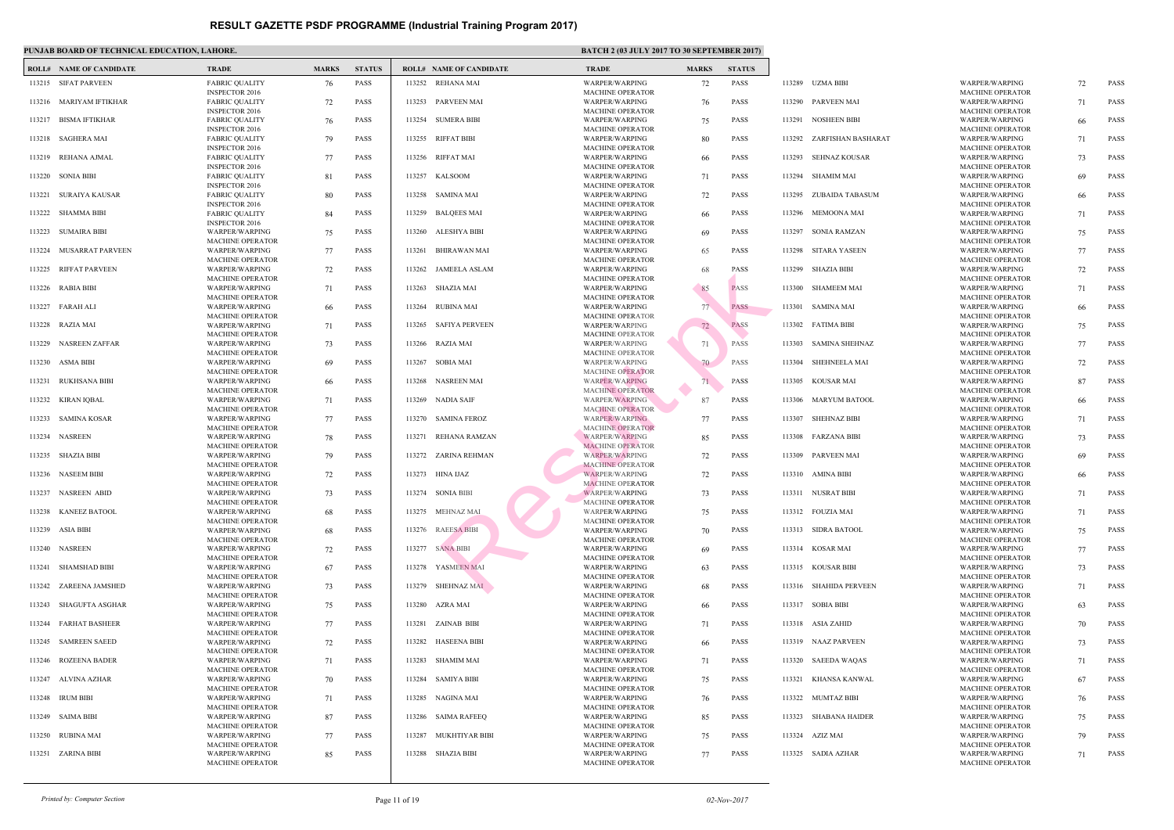|        | <b>ROLL# NAME OF CANDIDATE</b> | <b>TRADE</b>                                                                | <b>MARKS</b> | <b>STATUS</b> |        | <b>ROLL# NAME OF CANDIDATE</b> | <b>TRAL</b>                               |
|--------|--------------------------------|-----------------------------------------------------------------------------|--------------|---------------|--------|--------------------------------|-------------------------------------------|
|        | 113215 SIFAT PARVEEN           | <b>FABRIC QUALITY</b>                                                       | 76           | <b>PASS</b>   |        | 113252 REHANA MAI              | <b>WARP</b>                               |
|        | 113216 MARIYAM IFTIKHAR        | <b>INSPECTOR 2016</b><br><b>FABRIC QUALITY</b><br><b>INSPECTOR 2016</b>     | 72           | <b>PASS</b>   |        | 113253 PARVEEN MAI             | <b>MACH</b><br><b>WARP</b><br><b>MACH</b> |
| 113217 | BISMA IFTIKHAR                 | <b>FABRIC QUALITY</b>                                                       | 76           | <b>PASS</b>   | 113254 | <b>SUMERA BIBI</b>             | <b>WARP</b>                               |
| 113218 | SAGHERA MAI                    | <b>INSPECTOR 2016</b><br><b>FABRIC QUALITY</b>                              | 79           | <b>PASS</b>   | 113255 | <b>RIFFAT BIBI</b>             | <b>MACH</b><br><b>WARP</b>                |
| 113219 | REHANA AJMAL                   | <b>INSPECTOR 2016</b><br><b>FABRIC QUALITY</b>                              | 77           | <b>PASS</b>   | 113256 | <b>RIFFAT MAI</b>              | <b>MACH</b><br><b>WARP</b>                |
| 113220 | <b>SONIA BIBI</b>              | <b>INSPECTOR 2016</b><br><b>FABRIC QUALITY</b>                              | 81           | <b>PASS</b>   | 113257 | <b>KALSOOM</b>                 | <b>MACH</b><br><b>WARP</b>                |
| 113221 | SURAIYA KAUSAR                 | <b>INSPECTOR 2016</b><br><b>FABRIC QUALITY</b><br><b>INSPECTOR 2016</b>     | 80           | <b>PASS</b>   | 113258 | SAMINA MAI                     | <b>MACH</b><br><b>WARP</b><br><b>MACH</b> |
| 113222 | SHAMMA BIBI                    | <b>FABRIC QUALITY</b><br><b>INSPECTOR 2016</b>                              | 84           | <b>PASS</b>   | 113259 | <b>BALQEES MAI</b>             | <b>WARP</b><br><b>MACH</b>                |
| 113223 | SUMAIRA BIBI                   | WARPER/WARPING                                                              | 75           | <b>PASS</b>   | 113260 | ALESHYA BIBI                   | <b>WARP</b>                               |
| 113224 | MUSARRAT PARVEEN               | <b>MACHINE OPERATOR</b><br><b>WARPER/WARPING</b><br><b>MACHINE OPERATOR</b> | 77           | <b>PASS</b>   | 113261 | <b>BHIRAWAN MAI</b>            | <b>MACH</b><br><b>WARP</b><br><b>MACH</b> |
| 113225 | RIFFAT PARVEEN                 | WARPER/WARPING                                                              | 72           | <b>PASS</b>   | 113262 | <b>JAMEELA ASLAM</b>           | <b>WARP</b>                               |
| 113226 | RABIA BIBI                     | <b>MACHINE OPERATOR</b><br>WARPER/WARPING                                   | 71           | <b>PASS</b>   | 113263 | <b>SHAZIA MAI</b>              | <b>MACH</b><br><b>WARP</b>                |
| 113227 | FARAH ALI                      | <b>MACHINE OPERATOR</b><br>WARPER/WARPING                                   | 66           | <b>PASS</b>   | 113264 | <b>RUBINA MAI</b>              | <b>MACH</b><br><b>WARP</b>                |
|        | 113228 RAZIA MAI               | <b>MACHINE OPERATOR</b><br>WARPER/WARPING                                   | 71           | <b>PASS</b>   |        | 113265 SAFIYA PERVEEN          | <b>MACH</b><br><b>WARP</b>                |
| 113229 | <b>NASREEN ZAFFAR</b>          | <b>MACHINE OPERATOR</b><br>WARPER/WARPING                                   | 73           | <b>PASS</b>   | 113266 | <b>RAZIA MAI</b>               | <b>MACH</b><br><b>WARP</b>                |
|        | 113230 ASMA BIBI               | <b>MACHINE OPERATOR</b><br>WARPER/WARPING                                   | 69           | <b>PASS</b>   |        | 113267 SOBIA MAI               | <b>MACH</b><br><b>WARP</b>                |
| 113231 | RUKHSANA BIBI                  | <b>MACHINE OPERATOR</b><br>WARPER/WARPING                                   | 66           | <b>PASS</b>   | 113268 | <b>NASREEN MAI</b>             | <b>MACH</b><br><b>WARP</b>                |
| 113232 | KIRAN IQBAL                    | <b>MACHINE OPERATOR</b><br>WARPER/WARPING                                   | 71           | <b>PASS</b>   | 113269 | <b>NADIA SAIF</b>              | <b>MACH</b><br><b>WARP</b>                |
| 113233 | SAMINA KOSAR                   | <b>MACHINE OPERATOR</b><br>WARPER/WARPING                                   | 77           | <b>PASS</b>   | 113270 | <b>SAMINA FEROZ</b>            | <b>MACH</b><br><b>WARP</b>                |
|        | 113234 NASREEN                 | <b>MACHINE OPERATOR</b><br><b>WARPER/WARPING</b>                            | 78           | <b>PASS</b>   | 113271 | REHANA RAMZAN                  | <b>MACH</b><br><b>WARP</b>                |
|        | 113235 SHAZIA BIBI             | MACHINE OPERATOR<br>WARPER/WARPING                                          | 79           | <b>PASS</b>   |        | 113272 ZARINA REHMAN           | <b>MACH</b><br><b>WARP</b>                |
|        | 113236 NASEEM BIBI             | <b>MACHINE OPERATOR</b><br>WARPER/WARPING                                   | 72           | <b>PASS</b>   |        | 113273 HINA IJAZ               | <b>MACH</b><br><b>WARP</b>                |
|        | 113237 NASREEN ABID            | <b>MACHINE OPERATOR</b><br>WARPER/WARPING                                   | 73           | <b>PASS</b>   |        | 113274 SONIA BIBI              | <b>MACH</b><br><b>WARP</b>                |
|        | 113238 KANEEZ BATOOL           | MACHINE OPERATOR<br><b>WARPER/WARPING</b>                                   | 68           | <b>PASS</b>   |        | 113275 MEHNAZ MAI              | MACH<br><b>WARP</b>                       |
| 113239 | ASIA BIBI                      | <b>MACHINE OPERATOR</b><br><b>WARPER/WARPING</b>                            | 68           | <b>PASS</b>   | 113276 | <b>RAEESA BIBI</b>             | <b>MACH</b><br><b>WARP</b>                |
| 113240 | NASREEN                        | <b>MACHINE OPERATOR</b><br><b>WARPER/WARPING</b>                            | 72           | <b>PASS</b>   | 113277 | <b>SANA BIBI</b>               | <b>MACH</b><br><b>WARP</b>                |
|        | 113241 SHAMSHAD BIBI           | <b>MACHINE OPERATOR</b><br><b>WARPER/WARPING</b>                            | 67           | <b>PASS</b>   |        | 113278 YASMEEN MAI             | <b>MACH</b><br><b>WARP</b>                |
| 113242 | ZAREENA JAMSHED                | <b>MACHINE OPERATOR</b><br>WARPER/WARPING                                   | 73           | <b>PASS</b>   | 113279 | <b>SHEHNAZ MAI</b>             | <b>MACH</b><br><b>WARP</b>                |
| 113243 | SHAGUFTA ASGHAR                | <b>MACHINE OPERATOR</b><br>WARPER/WARPING                                   | 75           | <b>PASS</b>   |        | 113280 AZRA MAI                | <b>MACH</b><br><b>WARP</b>                |
| 113244 | FARHAT BASHEER                 | <b>MACHINE OPERATOR</b><br><b>WARPER/WARPING</b>                            | 77           | <b>PASS</b>   |        | 113281 ZAINAB BIBI             | <b>MACH</b><br><b>WARP</b>                |
| 113245 | <b>SAMREEN SAEED</b>           | <b>MACHINE OPERATOR</b><br>WARPER/WARPING                                   | 72           | <b>PASS</b>   | 113282 | <b>HASEENA BIBI</b>            | <b>MACH</b><br><b>WARP</b>                |
| 113246 | ROZEENA BADER                  | <b>MACHINE OPERATOR</b><br>WARPER/WARPING                                   | 71           | PASS          | 113283 | SHAMIM MAI                     | <b>MACH</b><br><b>WARP</b>                |
| 113247 | ALVINA AZHAR                   | <b>MACHINE OPERATOR</b><br>WARPER/WARPING                                   | 70           | <b>PASS</b>   | 113284 | <b>SAMIYA BIBI</b>             | <b>MACH</b><br><b>WARP</b>                |
|        | 113248 IRUM BIBI               | <b>MACHINE OPERATOR</b><br>WARPER/WARPING                                   | 71           | PASS          |        | 113285 NAGINA MAI              | <b>MACH</b><br><b>WARP</b>                |
|        | 113249 SAIMA BIBI              | <b>MACHINE OPERATOR</b><br>WARPER/WARPING                                   | 87           | <b>PASS</b>   |        | 113286 SAIMA RAFEEQ            | <b>MACH</b><br><b>WARP</b>                |
|        | 113250 RUBINA MAI              | <b>MACHINE OPERATOR</b><br>WARPER/WARPING                                   | 77           | PASS          | 113287 | MUKHTIYAR BIBI                 | <b>MACH</b><br><b>WARP</b>                |
|        | 113251 ZARINA BIBI             | <b>MACHINE OPERATOR</b><br><b>WARPER/WARPING</b>                            | 85           | <b>PASS</b>   | 113288 | SHAZIA BIBI                    | <b>MACH</b><br><b>WARP</b>                |
|        |                                | <b>MACHINE OPERATOR</b>                                                     |              |               |        |                                | <b>MACH</b>                               |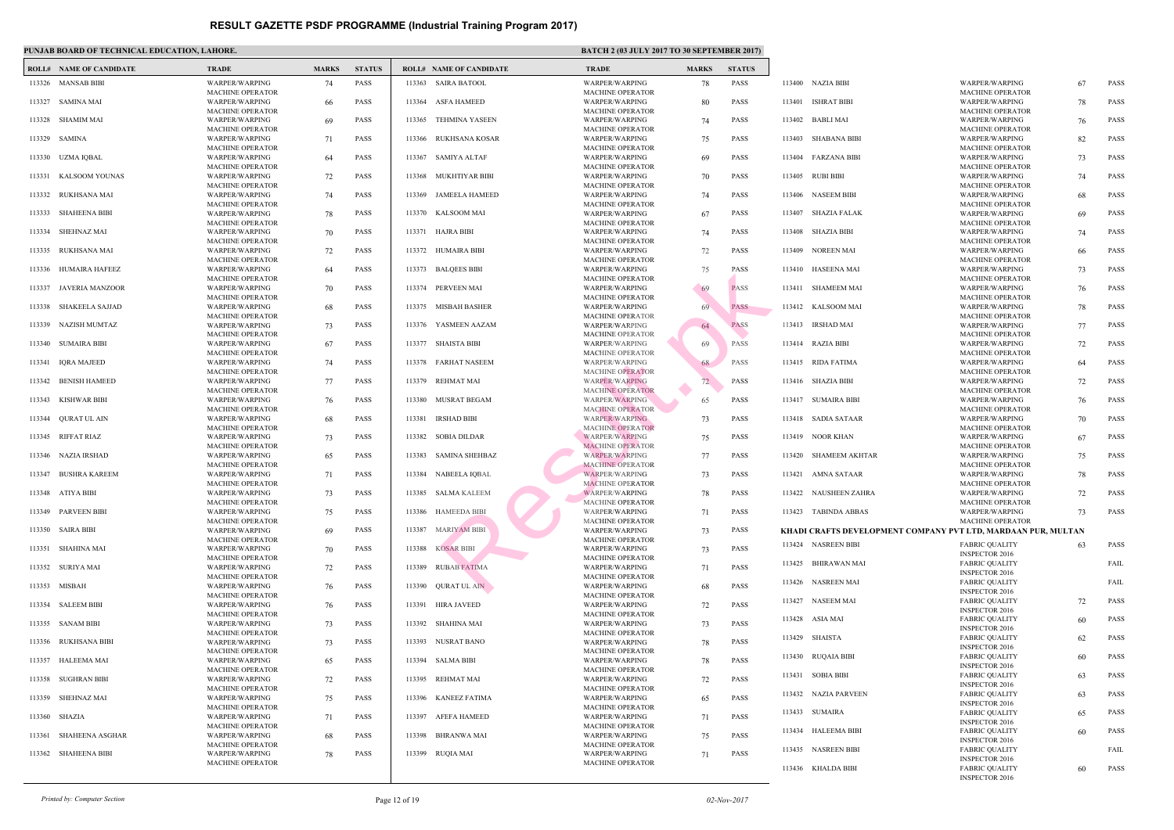|        | <b>ROLL# NAME OF CANDIDATE</b> | <b>TRADE</b>                                                         | <b>MARKS</b> | <b>STATUS</b> |        | <b>ROLL# NAME OF CANDIDATE</b> | <b>TRAL</b>                               |
|--------|--------------------------------|----------------------------------------------------------------------|--------------|---------------|--------|--------------------------------|-------------------------------------------|
|        | 113326 MANSAB BIBI             | WARPER/WARPING                                                       | 74           | <b>PASS</b>   |        | 113363 SAIRA BATOOL            | <b>WARP</b>                               |
| 113327 | SAMINA MAI                     | <b>MACHINE OPERATOR</b><br>WARPER/WARPING<br><b>MACHINE OPERATOR</b> | 66           | <b>PASS</b>   | 113364 | ASFA HAMEED                    | <b>MACH</b><br><b>WARP</b><br><b>MACH</b> |
| 113328 | SHAMIM MAI                     | <b>WARPER/WARPING</b>                                                | 69           | <b>PASS</b>   | 113365 | <b>TEHMINA YASEEN</b>          | <b>WARP</b>                               |
| 113329 | SAMINA                         | <b>MACHINE OPERATOR</b><br>WARPER/WARPING                            | 71           | <b>PASS</b>   | 113366 | RUKHSANA KOSAR                 | <b>MACH</b><br><b>WARP</b>                |
| 113330 | UZMA IQBAL                     | <b>MACHINE OPERATOR</b><br><b>WARPER/WARPING</b>                     | 64           | <b>PASS</b>   | 113367 | <b>SAMIYA ALTAF</b>            | <b>MACH</b><br><b>WARP</b>                |
| 113331 | KALSOOM YOUNAS                 | <b>MACHINE OPERATOR</b>                                              |              | <b>PASS</b>   | 113368 | MUKHTIYAR BIBI                 | <b>MACH</b>                               |
|        |                                | WARPER/WARPING<br><b>MACHINE OPERATOR</b>                            | 72           |               |        |                                | <b>WARP</b><br><b>MACH</b>                |
| 113332 | RUKHSANA MAI                   | WARPER/WARPING<br><b>MACHINE OPERATOR</b>                            | 74           | <b>PASS</b>   | 113369 | JAMEELA HAMEED                 | <b>WARP</b><br><b>MACH</b>                |
| 113333 | SHAHEENA BIBI                  | WARPER/WARPING<br><b>MACHINE OPERATOR</b>                            | 78           | <b>PASS</b>   |        | 113370 KALSOOM MAI             | <b>WARP</b><br><b>MACH</b>                |
| 113334 | <b>SHEHNAZ MAI</b>             | WARPER/WARPING                                                       | 70           | <b>PASS</b>   |        | 113371 HAJRA BIBI              | <b>WARP</b>                               |
| 113335 | RUKHSANA MAI                   | <b>MACHINE OPERATOR</b><br>WARPER/WARPING                            | 72           | <b>PASS</b>   | 113372 | HUMAIRA BIBI                   | <b>MACH</b><br><b>WARP</b>                |
| 113336 | <b>HUMAIRA HAFEEZ</b>          | <b>MACHINE OPERATOR</b><br>WARPER/WARPING                            | 64           | <b>PASS</b>   | 113373 | <b>BALQEES BIBI</b>            | <b>MACH</b><br><b>WARP</b>                |
|        |                                | <b>MACHINE OPERATOR</b>                                              |              |               |        |                                | <b>MACH</b>                               |
| 113337 | JAVERIA MANZOOR                | WARPER/WARPING<br><b>MACHINE OPERATOR</b>                            | 70           | <b>PASS</b>   | 113374 | PERVEEN MAI                    | <b>WARP</b><br><b>MACH</b>                |
| 113338 | <b>SHAKEELA SAJJAD</b>         | WARPER/WARPING<br><b>MACHINE OPERATOR</b>                            | 68           | <b>PASS</b>   | 113375 | MISBAH BASHER                  | <b>WARP</b><br><b>MACH</b>                |
| 113339 | NAZISH MUMTAZ                  | WARPER/WARPING                                                       | 73           | <b>PASS</b>   |        | 113376 YASMEEN AAZAM           | <b>WARP</b>                               |
| 113340 | <b>SUMAIRA BIBI</b>            | <b>MACHINE OPERATOR</b><br>WARPER/WARPING                            | 67           | <b>PASS</b>   | 113377 | <b>SHAISTA BIBI</b>            | <b>MACH</b><br><b>WARP</b>                |
| 113341 | <b>IQRA MAJEED</b>             | <b>MACHINE OPERATOR</b><br>WARPER/WARPING                            | 74           | <b>PASS</b>   | 113378 | <b>FARHAT NASEEM</b>           | <b>MACH</b><br><b>WARP</b>                |
|        |                                | <b>MACHINE OPERATOR</b>                                              |              |               |        |                                | <b>MACH</b>                               |
| 113342 | <b>BENISH HAMEED</b>           | WARPER/WARPING<br><b>MACHINE OPERATOR</b>                            | 77           | <b>PASS</b>   | 113379 | <b>REHMAT MAI</b>              | WARP<br><b>MACH</b>                       |
| 113343 | KISHWAR BIBI                   | WARPER/WARPING<br><b>MACHINE OPERATOR</b>                            | 76           | <b>PASS</b>   | 113380 | MUSRAT BEGAM                   | <b>WARP</b><br><b>MACH</b>                |
| 113344 | QURAT UL AIN                   | WARPER/WARPING                                                       | 68           | <b>PASS</b>   | 113381 | <b>IRSHAD BIBI</b>             | <b>WARP</b><br><b>MACH</b>                |
|        | 113345 RIFFAT RIAZ             | <b>MACHINE OPERATOR</b><br>WARPER/WARPING                            | 73           | <b>PASS</b>   | 113382 | SOBIA DILDAR                   | <b>WARP</b>                               |
|        | 113346 NAZIA IRSHAD            | <b>MACHINE OPERATOR</b><br>WARPER/WARPING                            | 65           | <b>PASS</b>   | 113383 | SAMINA SHEHBAZ                 | <b>MACH</b><br><b>WARP</b>                |
| 113347 | <b>BUSHRA KAREEM</b>           | <b>MACHINE OPERATOR</b><br>WARPER/WARPING                            | 71           | <b>PASS</b>   | 113384 | NABEELA IQBAL                  | <b>MACH</b><br><b>WARP</b>                |
|        |                                | <b>MACHINE OPERATOR</b>                                              |              |               |        |                                | <b>MACH</b>                               |
|        | 113348 ATIYA BIBI              | WARPER/WARPING<br><b>MACHINE OPERATOR</b>                            | 73           | <b>PASS</b>   |        | 113385 SALMA KALEEM            | <b>WARP</b><br><b>MACH</b>                |
|        | 113349 PARVEEN BIBI            | WARPER/WARPING<br><b>MACHINE OPERATOR</b>                            | 75           | PASS          |        | 113386 HAMEEDA BIBI            | <b>WARP</b><br><b>MACH</b>                |
|        | 113350 SAIRA BIBI              | WARPER/WARPING                                                       | 69           | PASS          | 113387 | <b>MARIYAM BIBI</b>            | <b>WARP</b>                               |
| 113351 | SHAHINA MAI                    | <b>MACHINE OPERATOR</b><br><b>WARPER/WARPING</b>                     | 70           | <b>PASS</b>   | 113388 | <b>KOSAR BIBI</b>              | <b>MACH</b><br><b>WARP</b>                |
|        | 113352 SURIYA MAI              | <b>MACHINE OPERATOR</b><br>WARPER/WARPING                            | 72           | <b>PASS</b>   | 113389 | <b>RUBAB FATIMA</b>            | <b>MACH</b><br><b>WARP</b>                |
|        | 113353 MISBAH                  | <b>MACHINE OPERATOR</b><br>WARPER/WARPING                            | 76           | <b>PASS</b>   | 113390 | <b>QURAT UL AIN</b>            | <b>MACH</b><br><b>WARP</b>                |
|        |                                | <b>MACHINE OPERATOR</b>                                              |              |               |        |                                | <b>MACH</b>                               |
| 113354 | <b>SALEEM BIBI</b>             | WARPER/WARPING<br><b>MACHINE OPERATOR</b>                            | 76           | <b>PASS</b>   | 113391 | HIRA JAVEED                    | <b>WARP</b><br><b>MACH</b>                |
|        | 113355 SANAM BIBI              | WARPER/WARPING<br><b>MACHINE OPERATOR</b>                            | 73           | PASS          | 113392 | SHAHINA MAI                    | <b>WARP</b><br><b>MACH</b>                |
| 113356 | RUKHSANA BIBI                  | WARPER/WARPING                                                       | 73           | PASS          | 113393 | NUSRAT BANO                    | <b>WARP</b>                               |
|        | 113357 HALEEMA MAI             | <b>MACHINE OPERATOR</b><br>WARPER/WARPING                            | 65           | <b>PASS</b>   | 113394 | SALMA BIBI                     | <b>MACH</b><br><b>WARP</b>                |
| 113358 | SUGHRAN BIBI                   | <b>MACHINE OPERATOR</b><br>WARPER/WARPING                            | 72           | <b>PASS</b>   | 113395 | <b>REHMAT MAI</b>              | <b>MACH</b><br><b>WARP</b>                |
| 113359 | SHEHNAZ MAI                    | <b>MACHINE OPERATOR</b><br>WARPER/WARPING                            | 75           | <b>PASS</b>   |        | 113396 KANEEZ FATIMA           | <b>MACH</b><br><b>WARP</b>                |
|        |                                | <b>MACHINE OPERATOR</b>                                              |              |               |        |                                | <b>MACH</b>                               |
| 113360 | SHAZIA                         | WARPER/WARPING<br><b>MACHINE OPERATOR</b>                            | 71           | <b>PASS</b>   | 113397 | AFEFA HAMEED                   | <b>WARP</b><br><b>MACH</b>                |
| 113361 | <b>SHAHEENA ASGHAR</b>         | WARPER/WARPING<br><b>MACHINE OPERATOR</b>                            | 68           | <b>PASS</b>   | 113398 | <b>BHRANWA MAI</b>             | <b>WARP</b><br><b>MACH</b>                |
| 113362 | SHAHEENA BIBI                  | WARPER/WARPING                                                       | 78           | PASS          | 113399 | <b>RUQIA MAI</b>               | <b>WARP</b>                               |
|        |                                | MACHINE OPERATOR                                                     |              |               |        |                                | <b>MACH</b>                               |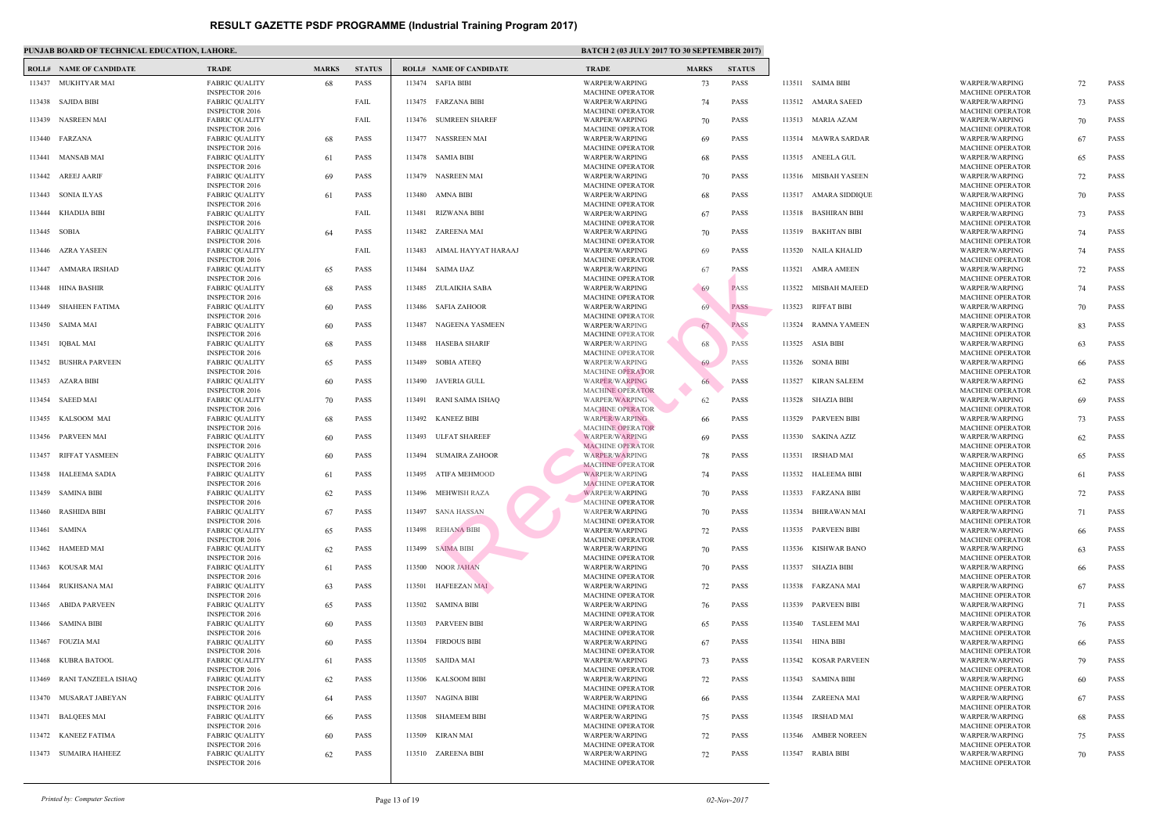|        | <b>ROLL# NAME OF CANDIDATE</b> | <b>TRADE</b>                                   | <b>MARKS</b> | <b>STATUS</b> |        | <b>ROLL# NAME OF CANDIDATE</b> | <b>TRAL</b>                |
|--------|--------------------------------|------------------------------------------------|--------------|---------------|--------|--------------------------------|----------------------------|
| 113437 | <b>MUKHTYAR MAI</b>            | <b>FABRIC QUALITY</b>                          |              | PASS          |        | 113474 SAFIA BIBI              | <b>WARP</b>                |
|        |                                | <b>INSPECTOR 2016</b>                          | 68           |               |        |                                | <b>MACH</b>                |
| 113438 | SAJIDA BIBI                    | <b>FABRIC QUALITY</b>                          |              | FAIL          | 113475 | FARZANA BIBI                   | <b>WARP</b>                |
| 113439 | NASREEN MAI                    | <b>INSPECTOR 2016</b><br><b>FABRIC QUALITY</b> |              | FAIL          | 113476 | <b>SUMREEN SHAREF</b>          | <b>MACH</b><br><b>WARP</b> |
|        |                                | <b>INSPECTOR 2016</b>                          |              |               |        |                                | <b>MACH</b>                |
| 113440 | FARZANA                        | <b>FABRIC QUALITY</b>                          | 68           | PASS          | 113477 | <b>NASSREEN MAI</b>            | <b>WARP</b>                |
| 113441 | <b>MANSAB MAI</b>              | <b>INSPECTOR 2016</b><br><b>FABRIC QUALITY</b> | 61           | <b>PASS</b>   | 113478 | <b>SAMIA BIBI</b>              | <b>MACH</b><br><b>WARP</b> |
|        |                                | <b>INSPECTOR 2016</b>                          |              |               |        |                                | <b>MACH</b>                |
| 113442 | <b>AREEJ AARIF</b>             | <b>FABRIC QUALITY</b><br><b>INSPECTOR 2016</b> | 69           | <b>PASS</b>   | 113479 | NASREEN MAI                    | <b>WARP</b><br><b>MACH</b> |
| 113443 | SONIA ILYAS                    | <b>FABRIC QUALITY</b>                          | 61           | <b>PASS</b>   |        | 113480 AMNA BIBI               | <b>WARP</b>                |
|        |                                | <b>INSPECTOR 2016</b>                          |              |               |        |                                | <b>MACH</b>                |
| 113444 | KHADIJA BIBI                   | <b>FABRIC QUALITY</b><br><b>INSPECTOR 2016</b> |              | FAIL          | 113481 | <b>RIZWANA BIBI</b>            | <b>WARP</b><br><b>MACH</b> |
| 113445 | <b>SOBIA</b>                   | <b>FABRIC QUALITY</b>                          | 64           | <b>PASS</b>   | 113482 | ZAREENA MAI                    | <b>WARP</b>                |
| 113446 | <b>AZRA YASEEN</b>             | <b>INSPECTOR 2016</b><br><b>FABRIC QUALITY</b> |              | FAIL          | 113483 | AIMAL HAYYAT HARAAJ            | <b>MACH</b><br><b>WARP</b> |
|        |                                | <b>INSPECTOR 2016</b>                          |              |               |        |                                | <b>MACH</b>                |
| 113447 | AMMARA IRSHAD                  | <b>FABRIC QUALITY</b>                          | 65           | PASS          | 113484 | <b>SAIMA IJAZ</b>              | <b>WARP</b>                |
| 113448 | HINA BASHIR                    | <b>INSPECTOR 2016</b><br><b>FABRIC QUALITY</b> | 68           | <b>PASS</b>   | 113485 | ZULAIKHA SABA                  | <b>MACH</b><br><b>WARP</b> |
|        |                                | <b>INSPECTOR 2016</b>                          |              |               |        |                                | <b>MACH</b>                |
| 113449 | <b>SHAHEEN FATIMA</b>          | <b>FABRIC QUALITY</b>                          | 60           | <b>PASS</b>   | 113486 | <b>SAFIA ZAHOOR</b>            | <b>WARP</b>                |
| 113450 | SAIMA MAI                      | <b>INSPECTOR 2016</b><br><b>FABRIC QUALITY</b> | 60           | PASS          | 113487 | NAGEENA YASMEEN                | <b>MACH</b><br><b>WARP</b> |
|        |                                | <b>INSPECTOR 2016</b>                          |              |               |        |                                | <b>MACH</b>                |
| 113451 | IQBAL MAI                      | <b>FABRIC QUALITY</b><br><b>INSPECTOR 2016</b> | 68           | <b>PASS</b>   | 113488 | <b>HASEBA SHARIF</b>           | <b>WARP</b><br><b>MACH</b> |
| 113452 | <b>BUSHRA PARVEEN</b>          | <b>FABRIC QUALITY</b>                          | 65           | <b>PASS</b>   | 113489 | <b>SOBIA ATEEQ</b>             | <b>WARP</b>                |
|        |                                | <b>INSPECTOR 2016</b>                          |              |               |        |                                | <b>MACH</b>                |
| 113453 | AZARA BIBI                     | <b>FABRIC QUALITY</b><br><b>INSPECTOR 2016</b> | 60           | PASS          | 113490 | JAVERIA GULL                   | <b>WARP</b><br><b>MACH</b> |
| 113454 | SAEED MAI                      | <b>FABRIC QUALITY</b>                          | 70           | PASS          | 113491 | RANI SAIMA ISHAQ               | <b>WARP</b>                |
| 113455 | KALSOOM MAI                    | <b>INSPECTOR 2016</b><br><b>FABRIC QUALITY</b> | 68           | <b>PASS</b>   | 113492 | KANEEZ BIBI                    | <b>MACH</b><br><b>WARP</b> |
|        |                                | <b>INSPECTOR 2016</b>                          |              |               |        |                                | <b>MACH</b>                |
| 113456 | PARVEEN MAI                    | <b>FABRIC QUALITY</b>                          | 60           | <b>PASS</b>   | 113493 | <b>ULFAT SHAREEF</b>           | <b>WARP</b>                |
| 113457 | RIFFAT YASMEEN                 | <b>INSPECTOR 2016</b><br><b>FABRIC QUALITY</b> | 60           | PASS          | 113494 | SUMAIRA ZAHOOR                 | <b>MACH</b><br><b>WARP</b> |
|        |                                | <b>INSPECTOR 2016</b>                          |              |               |        |                                | <b>MACH</b>                |
| 113458 | HALEEMA SADIA                  | <b>FABRIC QUALITY</b><br><b>INSPECTOR 2016</b> | 61           | <b>PASS</b>   | 113495 | ATIFA MEHMOOD                  | <b>WARP</b><br><b>MACH</b> |
|        | 113459 SAMINA BIBI             | <b>FABRIC QUALITY</b>                          | 62           | <b>PASS</b>   |        | 113496 MEHWISH RAZA            | <b>WARP</b>                |
|        |                                | <b>INSPECTOR 2016</b>                          |              |               |        |                                | <b>MACH</b>                |
| 113460 | <b>RASHIDA BIBI</b>            | <b>FABRIC QUALITY</b><br><b>INSPECTOR 2016</b> | 67           | PASS          |        | 113497 SANA HASSAN             | <b>WARP</b><br><b>MACH</b> |
| 113461 | SAMINA                         | <b>FABRIC QUALITY</b>                          | 65           | PASS          | 113498 | <b>REHANA BIBI</b>             | <b>WARP</b>                |
| 113462 | HAMEED MAI                     | <b>INSPECTOR 2016</b><br><b>FABRIC QUALITY</b> | 62           | PASS          |        | 113499 SAIMA BIBI              | <b>MACH</b><br><b>WARP</b> |
|        |                                | <b>INSPECTOR 2016</b>                          |              |               |        |                                | <b>MACH</b>                |
| 113463 | KOUSAR MAI                     | <b>FABRIC QUALITY</b>                          | 61           | PASS          |        | 113500 NOOR JAHAN              | <b>WARP</b>                |
| 113464 | <b>RUKHSANA MAI</b>            | <b>INSPECTOR 2016</b><br><b>FABRIC QUALITY</b> | 63           | PASS          | 113501 | HAFEEZAN MAI                   | <b>MACH</b><br><b>WARP</b> |
|        |                                | <b>INSPECTOR 2016</b>                          |              |               |        |                                | <b>MACH</b>                |
| 113465 | <b>ABIDA PARVEEN</b>           | <b>FABRIC QUALITY</b><br><b>INSPECTOR 2016</b> | 65           | PASS          |        | 113502 SAMINA BIBI             | <b>WARP</b><br><b>MACH</b> |
| 113466 | SAMINA BIBI                    | <b>FABRIC QUALITY</b>                          | 60           | PASS          | 113503 | <b>PARVEEN BIBI</b>            | <b>WARP</b>                |
|        |                                | <b>INSPECTOR 2016</b>                          |              |               |        |                                | <b>MACH</b>                |
| 113467 | <b>FOUZIA MAI</b>              | <b>FABRIC QUALITY</b><br><b>INSPECTOR 2016</b> | 60           | PASS          | 113504 | <b>FIRDOUS BIBI</b>            | <b>WARP</b><br><b>MACH</b> |
| 113468 | KUBRA BATOOL                   | <b>FABRIC QUALITY</b>                          | 61           | PASS          | 113505 | SAJIDA MAI                     | <b>WARP</b>                |
|        |                                | <b>INSPECTOR 2016</b>                          |              |               |        |                                | <b>MACH</b>                |
| 113469 | RANI TANZEELA ISHAQ            | <b>FABRIC QUALITY</b><br><b>INSPECTOR 2016</b> | 62           | PASS          | 113506 | <b>KALSOOM BIBI</b>            | <b>WARP</b><br><b>MACH</b> |
| 113470 | MUSARAT JABEYAN                | <b>FABRIC QUALITY</b>                          | 64           | PASS          |        | 113507 NAGINA BIBI             | <b>WARP</b>                |
| 113471 | <b>BALQEES MAI</b>             | <b>INSPECTOR 2016</b><br><b>FABRIC QUALITY</b> | 66           | PASS          | 113508 | <b>SHAMEEM BIBI</b>            | <b>MACH</b><br><b>WARP</b> |
|        |                                | <b>INSPECTOR 2016</b>                          |              |               |        |                                | <b>MACH</b>                |
| 113472 | <b>KANEEZ FATIMA</b>           | <b>FABRIC QUALITY</b>                          | 60           | PASS          | 113509 | <b>KIRAN MAI</b>               | <b>WARP</b>                |
| 113473 | SUMAIRA HAHEEZ                 | <b>INSPECTOR 2016</b><br><b>FABRIC QUALITY</b> | 62           | PASS          |        | 113510 ZAREENA BIBI            | <b>MACH</b><br><b>WARP</b> |
|        |                                | <b>INSPECTOR 2016</b>                          |              |               |        |                                | <b>MACH</b>                |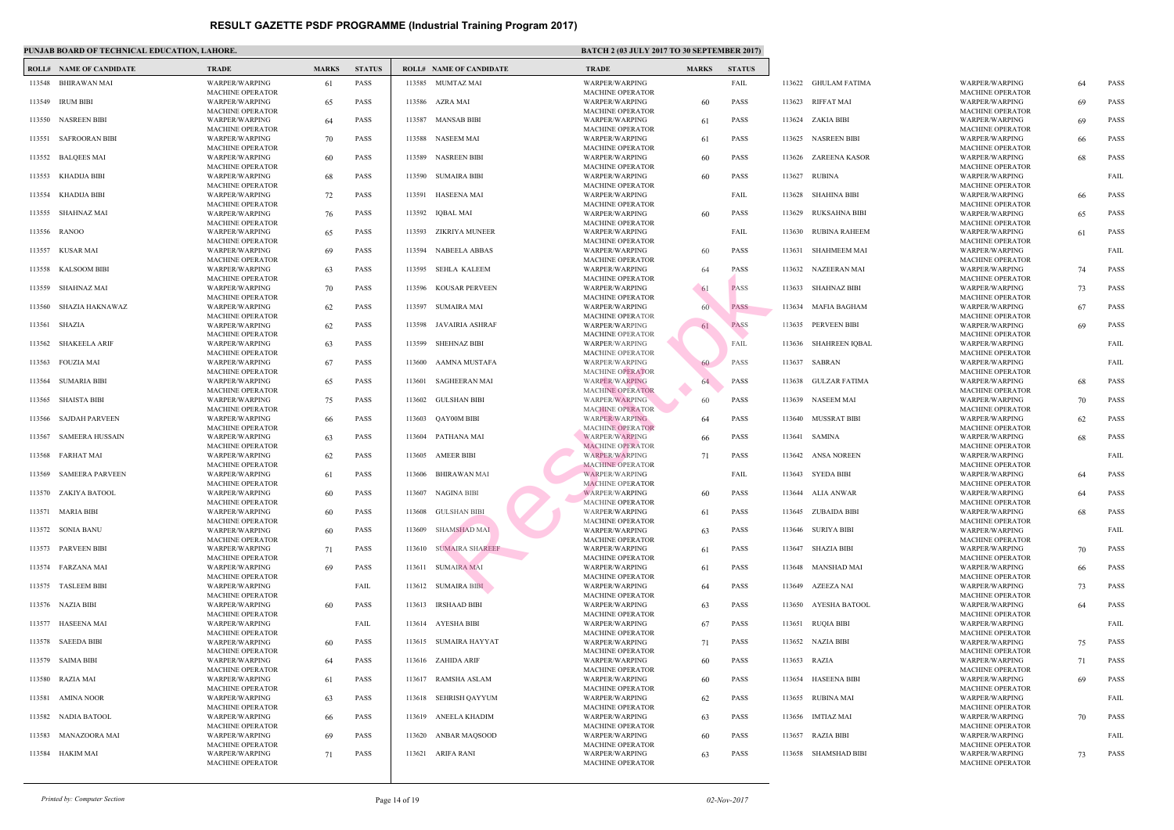### **PUNJAB BOARD OF TECHNICAL EDUCATION, LAHORE.** BATCH 2017 **BATCH 2017 TO 30 SEPTEMBER 2017 ISSUED ASSOCIATED AT A SEPTEMBER 2017**

|        | <b>ROLL# NAME OF CANDIDATE</b> | <b>TRADE</b>                                     | <b>MARKS</b> | <b>STATUS</b> |        | <b>ROLL# NAME OF CANDIDATE</b> | <b>TRAL</b>                |
|--------|--------------------------------|--------------------------------------------------|--------------|---------------|--------|--------------------------------|----------------------------|
|        |                                |                                                  |              |               |        |                                |                            |
| 113548 | BHIRAWAN MAI                   | WARPER/WARPING<br><b>MACHINE OPERATOR</b>        | 61           | <b>PASS</b>   |        | 113585 MUMTAZ MAI              | <b>WARP</b><br><b>MACH</b> |
|        | 113549 IRUM BIBI               | WARPER/WARPING<br><b>MACHINE OPERATOR</b>        | 65           | <b>PASS</b>   |        | 113586 AZRA MAI                | <b>WARP</b><br><b>MACH</b> |
|        | 113550 NASREEN BIBI            | <b>WARPER/WARPING</b>                            | 64           | <b>PASS</b>   |        | 113587 MANSAB BIBI             | <b>WARP</b>                |
|        | 113551 SAFROORAN BIBI          | <b>MACHINE OPERATOR</b><br>WARPER/WARPING        | 70           | <b>PASS</b>   |        | 113588 NASEEM MAI              | <b>MACH</b><br><b>WARP</b> |
| 113552 | <b>BALQEES MAI</b>             | <b>MACHINE OPERATOR</b><br><b>WARPER/WARPING</b> |              | <b>PASS</b>   | 113589 | <b>NASREEN BIBI</b>            | <b>MACH</b><br><b>WARP</b> |
|        |                                | <b>MACHINE OPERATOR</b>                          | 60           |               |        |                                | <b>MACH</b>                |
| 113553 | KHADIJA BIBI                   | WARPER/WARPING<br><b>MACHINE OPERATOR</b>        | 68           | <b>PASS</b>   | 113590 | SUMAIRA BIBI                   | <b>WARP</b><br><b>MACH</b> |
| 113554 | KHADIJA BIBI                   | WARPER/WARPING                                   | 72           | <b>PASS</b>   | 113591 | HASEENA MAI                    | <b>WARP</b>                |
| 113555 | SHAHNAZ MAI                    | <b>MACHINE OPERATOR</b><br>WARPER/WARPING        | 76           | <b>PASS</b>   | 113592 | IQBAL MAI                      | <b>MACH</b><br><b>WARP</b> |
|        |                                | <b>MACHINE OPERATOR</b>                          |              |               |        |                                | <b>MACH</b>                |
|        | 113556 RANOO                   | WARPER/WARPING<br><b>MACHINE OPERATOR</b>        | 65           | <b>PASS</b>   |        | 113593 ZIKRIYA MUNEER          | <b>WARP</b><br><b>MACH</b> |
|        | 113557 KUSAR MAI               | WARPER/WARPING<br><b>MACHINE OPERATOR</b>        | 69           | <b>PASS</b>   |        | 113594 NABEELA ABBAS           | <b>WARP</b><br><b>MACH</b> |
| 113558 | <b>KALSOOM BIBI</b>            | WARPER/WARPING                                   | 63           | <b>PASS</b>   |        | 113595 SEHLA KALEEM            | <b>WARP</b>                |
|        |                                | <b>MACHINE OPERATOR</b>                          |              |               |        |                                | <b>MACH</b>                |
| 113559 | SHAHNAZ MAI                    | <b>WARPER/WARPING</b><br><b>MACHINE OPERATOR</b> | 70           | <b>PASS</b>   | 113596 | KOUSAR PERVEEN                 | <b>WARP</b><br><b>MACH</b> |
| 113560 | SHAZIA HAKNAWAZ                | WARPER/WARPING                                   | 62           | <b>PASS</b>   | 113597 | SUMAIRA MAI                    | <b>WARP</b>                |
| 113561 | SHAZIA                         | <b>MACHINE OPERATOR</b><br>WARPER/WARPING        | 62           | <b>PASS</b>   | 113598 | JAVAIRIA ASHRAF                | <b>MACH</b><br><b>WARP</b> |
|        |                                | <b>MACHINE OPERATOR</b>                          |              |               |        |                                | <b>MACH</b>                |
| 113562 | SHAKEELA ARIF                  | <b>WARPER/WARPING</b><br><b>MACHINE OPERATOR</b> | 63           | <b>PASS</b>   | 113599 | <b>SHEHNAZ BIBI</b>            | <b>WARP</b><br><b>MACH</b> |
|        | 113563 FOUZIA MAI              | WARPER/WARPING                                   | 67           | <b>PASS</b>   | 113600 | AAMNA MUSTAFA                  | <b>WARP</b>                |
|        | 113564 SUMARIA BIBI            | <b>MACHINE OPERATOR</b><br><b>WARPER/WARPING</b> | 65           | <b>PASS</b>   | 113601 | SAGHEERAN MAI                  | <b>MACH</b><br><b>WARP</b> |
|        |                                | <b>MACHINE OPERATOR</b>                          |              |               |        |                                | <b>MACH</b>                |
| 113565 | SHAISTA BIBI                   | WARPER/WARPING<br><b>MACHINE OPERATOR</b>        | 75           | <b>PASS</b>   |        | 113602 GULSHAN BIBI            | <b>WARP</b><br><b>MACH</b> |
| 113566 | SAJDAH PARVEEN                 | <b>WARPER/WARPING</b>                            | 66           | <b>PASS</b>   | 113603 | QAY00M BIBI                    | <b>WARP</b>                |
| 113567 | <b>SAMEERA HUSSAIN</b>         | <b>MACHINE OPERATOR</b><br><b>WARPER/WARPING</b> | 63           | <b>PASS</b>   | 113604 | PATHANA MAI                    | <b>MACH</b><br><b>WARP</b> |
| 113568 | FARHAT MAI                     | <b>MACHINE OPERATOR</b><br>WARPER/WARPING        | 62           | <b>PASS</b>   | 113605 | <b>AMEER BIBI</b>              | <b>MACH</b><br><b>WARP</b> |
|        |                                | <b>MACHINE OPERATOR</b>                          |              |               |        |                                | <b>MACH</b>                |
| 113569 | <b>SAMEERA PARVEEN</b>         | WARPER/WARPING<br><b>MACHINE OPERATOR</b>        | 61           | <b>PASS</b>   | 113606 | <b>BHIRAWAN MAI</b>            | <b>WARP</b><br><b>MACH</b> |
|        | 113570 ZAKIYA BATOOL           | WARPER/WARPING                                   | 60           | <b>PASS</b>   |        | 113607 NAGINA BIBI             | <b>WARP</b>                |
|        | 113571 MARIA BIBI              | MACHINE OPERATOR<br>WARPER/WARPING               | 60           | <b>PASS</b>   |        | 113608 GULSHAN BIBI            | <b>MACF</b><br><b>WARP</b> |
|        |                                | <b>MACHINE OPERATOR</b>                          |              |               |        |                                | <b>MACH</b>                |
|        | 113572 SONIA BANU              | <b>WARPER/WARPING</b><br><b>MACHINE OPERATOR</b> | 60           | <b>PASS</b>   | 113609 | <b>SHAMSHAD MAI</b>            | <b>WARP</b><br><b>MACH</b> |
| 113573 | <b>PARVEEN BIBI</b>            | WARPER/WARPING                                   | 71           | PASS          |        | 113610 SUMAIRA SHAREEF         | <b>WARP</b>                |
|        | 113574 FARZANA MAI             | <b>MACHINE OPERATOR</b><br>WARPER/WARPING        | 69           | <b>PASS</b>   |        | 113611 SUMAIRA MAI             | <b>MACH</b><br><b>WARP</b> |
|        |                                | <b>MACHINE OPERATOR</b>                          |              |               |        |                                | <b>MACH</b>                |
| 113575 | <b>TASLEEM BIBI</b>            | WARPER/WARPING<br><b>MACHINE OPERATOR</b>        |              | FAIL          |        | 113612 SUMAIRA BIBI            | <b>WARP</b><br><b>MACH</b> |
|        | 113576 NAZIA BIBI              | WARPER/WARPING                                   | 60           | <b>PASS</b>   |        | 113613 IRSHAAD BIBI            | <b>WARP</b>                |
|        | 113577 HASEENA MAI             | <b>MACHINE OPERATOR</b><br>WARPER/WARPING        |              | FAIL          |        | 113614 AYESHA BIBI             | <b>MACH</b><br><b>WARP</b> |
|        |                                | <b>MACHINE OPERATOR</b>                          |              |               |        |                                | <b>MACH</b>                |
|        | 113578 SAEEDA BIBI             | WARPER/WARPING<br><b>MACHINE OPERATOR</b>        | 60           | <b>PASS</b>   |        | 113615 SUMAIRA HAYYAT          | <b>WARP</b><br><b>MACH</b> |
|        | 113579 SAIMA BIBI              | WARPER/WARPING                                   | 64           | <b>PASS</b>   |        | 113616 ZAHIDA ARIF             | <b>WARP</b>                |
| 113580 | RAZIA MAI                      | <b>MACHINE OPERATOR</b><br>WARPER/WARPING        | 61           | <b>PASS</b>   | 113617 | RAMSHA ASLAM                   | <b>MACH</b><br><b>WARP</b> |
|        |                                | <b>MACHINE OPERATOR</b>                          |              |               |        |                                | <b>MACH</b>                |
| 113581 | AMINA NOOR                     | WARPER/WARPING<br><b>MACHINE OPERATOR</b>        | 63           | PASS          |        | 113618 SEHRISH QAYYUM          | <b>WARP</b><br><b>MACH</b> |
|        | 113582 NADIA BATOOL            | WARPER/WARPING                                   | 66           | <b>PASS</b>   | 113619 | ANEELA KHADIM                  | <b>WARP</b>                |
|        | 113583 MANAZOORA MAI           | <b>MACHINE OPERATOR</b><br>WARPER/WARPING        | 69           | PASS          |        | 113620 ANBAR MAQSOOD           | <b>MACH</b><br><b>WARP</b> |
|        |                                | <b>MACHINE OPERATOR</b>                          |              |               |        |                                | <b>MACH</b>                |
|        | 113584 HAKIM MAI               | WARPER/WARPING<br><b>MACHINE OPERATOR</b>        | 71           | <b>PASS</b>   |        | 113621 ARIFA RANI              | <b>WARP</b><br><b>MACH</b> |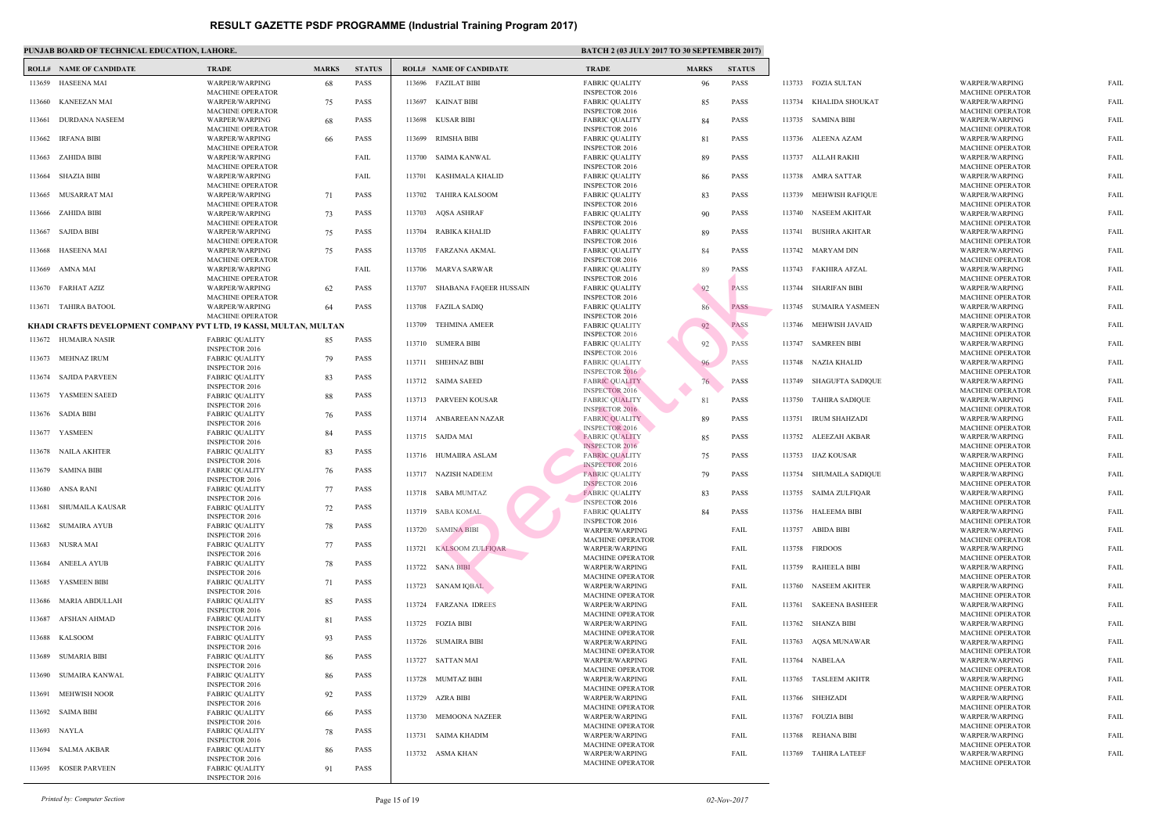### **PUNJAB BOARD OF TECHNICAL EDUCATION, LAHORE.** BATCH 2017 ISLAMIC 2017 TO 30 SATCH 2017 ISLAMIC 2017 TO 30 SATCH 2017

|        | <b>ROLL# NAME OF CANDIDATE</b>                                     | <b>TRADE</b>                                   | <b>MARKS</b> | <b>STATUS</b> |        | <b>ROLL# NAME OF CANDIDATE</b> | <b>TRAL</b>                  |
|--------|--------------------------------------------------------------------|------------------------------------------------|--------------|---------------|--------|--------------------------------|------------------------------|
| 113659 | HASEENA MAI                                                        | WARPER/WARPING                                 | 68           | <b>PASS</b>   |        | 113696 FAZILAT BIBI            | FABRI                        |
| 113660 | KANEEZAN MAI                                                       | <b>MACHINE OPERATOR</b><br>WARPER/WARPING      | 75           | <b>PASS</b>   |        | 113697 KAINAT BIBI             | <b>INSPE</b><br><b>FABRI</b> |
|        |                                                                    | <b>MACHINE OPERATOR</b>                        |              |               |        |                                | <b>INSPE</b>                 |
| 113661 | DURDANA NASEEM                                                     | WARPER/WARPING<br><b>MACHINE OPERATOR</b>      | 68           | <b>PASS</b>   |        | 113698 KUSAR BIBI              | <b>FABRI</b><br><b>INSPE</b> |
| 113662 | <b>IRFANA BIBI</b>                                                 | WARPER/WARPING                                 | 66           | <b>PASS</b>   | 113699 | RIMSHA BIBI                    | FABRI                        |
| 113663 | ZAHIDA BIBI                                                        | <b>MACHINE OPERATOR</b><br>WARPER/WARPING      |              | FAIL          |        | 113700 SAIMA KANWAL            | <b>INSPE</b><br>FABRI        |
|        |                                                                    | <b>MACHINE OPERATOR</b>                        |              |               |        |                                | <b>INSPE</b>                 |
| 113664 | <b>SHAZIA BIBI</b>                                                 | WARPER/WARPING                                 |              | FAIL          |        | 113701 KASHMALA KHALID         | <b>FABRI</b><br><b>INSPE</b> |
| 113665 | MUSARRAT MAI                                                       | <b>MACHINE OPERATOR</b><br>WARPER/WARPING      | 71           | <b>PASS</b>   |        | 113702 TAHIRA KALSOOM          | FABRI                        |
|        | <b>ZAHIDA BIBI</b>                                                 | <b>MACHINE OPERATOR</b><br>WARPER/WARPING      |              | <b>PASS</b>   | 113703 | AQSA ASHRAF                    | <b>INSPE</b><br><b>FABRI</b> |
| 113666 |                                                                    | <b>MACHINE OPERATOR</b>                        | 73           |               |        |                                | <b>INSPE</b>                 |
| 113667 | SAJIDA BIBI                                                        | WARPER/WARPING<br><b>MACHINE OPERATOR</b>      | 75           | <b>PASS</b>   | 113704 | RABIKA KHALID                  | <b>FABRI</b><br><b>INSPE</b> |
| 113668 | HASEENA MAI                                                        | WARPER/WARPING                                 | 75           | <b>PASS</b>   |        | 113705 FARZANA AKMAL           | FABRI                        |
| 113669 | AMNA MAI                                                           | <b>MACHINE OPERATOR</b><br>WARPER/WARPING      |              | FAIL          |        | 113706 MARVA SARWAR            | <b>INSPE</b><br>FABRI        |
|        |                                                                    | <b>MACHINE OPERATOR</b>                        |              |               |        |                                | <b>INSPE</b>                 |
|        | 113670 FARHAT AZIZ                                                 | WARPER/WARPING<br><b>MACHINE OPERATOR</b>      | 62           | <b>PASS</b>   |        | 113707 SHABANA FAQEER HUSSAIN  | FABRI<br><b>INSPE</b>        |
| 113671 | TAHIRA BATOOL                                                      | WARPER/WARPING                                 | 64           | <b>PASS</b>   |        | 113708 FAZILA SADIQ            | FABRI                        |
|        | KHADI CRAFTS DEVELOPMENT COMPANY PVT LTD, 19 KASSI, MULTAN, MULTAN | <b>MACHINE OPERATOR</b>                        |              |               | 113709 | TEHMINA AMEER                  | <b>INSPE</b><br>FABRI        |
|        | 113672 HUMAIRA NASIR                                               | <b>FABRIC OUALITY</b>                          | 85           | <b>PASS</b>   |        |                                | <b>INSPE</b>                 |
|        |                                                                    | <b>INSPECTOR 2016</b>                          |              |               |        | 113710 SUMERA BIBI             | FABRI<br><b>INSPE</b>        |
| 113673 | MEHNAZ IRUM                                                        | <b>FABRIC QUALITY</b><br><b>INSPECTOR 2016</b> | 79           | <b>PASS</b>   |        | 113711 SHEHNAZ BIBI            | FABRI                        |
| 113674 | SAJIDA PARVEEN                                                     | <b>FABRIC QUALITY</b>                          | 83           | <b>PASS</b>   |        | 113712 SAIMA SAEED             | <b>INSPE</b><br>FABRI        |
| 113675 | YASMEEN SAEED                                                      | <b>INSPECTOR 2016</b><br><b>FABRIC QUALITY</b> | 88           | <b>PASS</b>   |        |                                | <b>INSPE</b>                 |
|        |                                                                    | <b>INSPECTOR 2016</b>                          |              |               |        | 113713 PARVEEN KOUSAR          | FABRI<br><b>INSPE</b>        |
| 113676 | SADIA BIBI                                                         | <b>FABRIC QUALITY</b><br><b>INSPECTOR 2016</b> | 76           | PASS          |        | 113714 ANBAREEAN NAZAR         | FABRI                        |
| 113677 | YASMEEN                                                            | <b>FABRIC QUALITY</b>                          | 84           | <b>PASS</b>   |        | 113715 SAJDA MAI               | <b>INSPE</b><br>FABRI        |
| 113678 | NAILA AKHTER                                                       | <b>INSPECTOR 2016</b><br><b>FABRIC QUALITY</b> | 83           | PASS          |        |                                | <b>INSPE</b>                 |
|        |                                                                    | <b>INSPECTOR 2016</b>                          |              |               |        | 113716 HUMAIIRA ASLAM          | FABRI<br><b>INSPE</b>        |
| 113679 | SAMINA BIBI                                                        | <b>FABRIC QUALITY</b><br><b>INSPECTOR 2016</b> | 76           | PASS          |        | 113717 NAZISH NADEEM           | <b>FABRI</b>                 |
|        | 113680 ANSA RANI                                                   | <b>FABRIC QUALITY</b>                          | 77           | <b>PASS</b>   |        | 113718 SABA MUMTAZ             | <b>INSPE</b><br><b>FABRI</b> |
|        | 113681 SHUMAILA KAUSAR                                             | <b>INSPECTOR 2016</b><br><b>FABRIC OUALITY</b> | 72           | PASS          |        |                                | <b>INSPE</b>                 |
|        |                                                                    | <b>INSPECTOR 2016</b>                          |              |               |        | 113719 SABA KOMAL              | <b>FABRI</b><br><b>INSPE</b> |
| 113682 | <b>SUMAIRA AYUB</b>                                                | <b>FABRIC QUALITY</b><br><b>INSPECTOR 2016</b> | 78           | <b>PASS</b>   |        | 113720 SAMINA BIBI             | <b>WARP</b>                  |
| 113683 | NUSRA MAI                                                          | <b>FABRIC QUALITY</b>                          | 77           | PASS          |        | 113721 KALSOOM ZULFIQAR        | <b>MACH</b><br><b>WARP</b>   |
| 113684 | <b>ANEELA AYUB</b>                                                 | <b>INSPECTOR 2016</b><br><b>FABRIC QUALITY</b> | 78           | PASS          |        |                                | <b>MACH</b>                  |
|        |                                                                    | <b>INSPECTOR 2016</b>                          |              |               |        | 113722 SANA BIBI               | <b>WARP</b><br><b>MACH</b>   |
| 113685 | YASMEEN BIBI                                                       | <b>FABRIC QUALITY</b><br><b>INSPECTOR 2016</b> | 71           | PASS          |        | 113723 SANAM IQBAL             | <b>WARP</b>                  |
| 113686 | MARIA ABDULLAH                                                     | <b>FABRIC QUALITY</b>                          | 85           | PASS          | 113724 | <b>FARZANA IDREES</b>          | <b>MACH</b><br><b>WARP</b>   |
| 113687 | AFSHAN AHMAD                                                       | <b>INSPECTOR 2016</b><br><b>FABRIC QUALITY</b> | 81           | PASS          |        |                                | <b>MACH</b>                  |
|        |                                                                    | <b>INSPECTOR 2016</b>                          |              |               |        | 113725 FOZIA BIBI              | <b>WARP</b><br><b>MACH</b>   |
|        | 113688 KALSOOM                                                     | <b>FABRIC QUALITY</b><br><b>INSPECTOR 2016</b> | 93           | PASS          |        | 113726 SUMAIRA BIBI            | <b>WARP</b>                  |
| 113689 | <b>SUMARIA BIBI</b>                                                | <b>FABRIC QUALITY</b>                          | 86           | PASS          |        | 113727 SATTAN MAI              | <b>MACH</b><br><b>WARP</b>   |
| 113690 | SUMAIRA KANWAL                                                     | <b>INSPECTOR 2016</b><br><b>FABRIC QUALITY</b> | 86           | PASS          |        |                                | <b>MACH</b>                  |
|        |                                                                    | <b>INSPECTOR 2016</b>                          |              |               |        | 113728 MUMTAZ BIBI             | <b>WARP</b><br><b>MACH</b>   |
| 113691 | <b>MEHWISH NOOR</b>                                                | <b>FABRIC QUALITY</b><br><b>INSPECTOR 2016</b> | 92           | PASS          |        | 113729 AZRA BIBI               | <b>WARP</b>                  |
| 113692 | <b>SAIMA BIBI</b>                                                  | <b>FABRIC QUALITY</b>                          | 66           | PASS          |        | 113730 MEMOONA NAZEER          | <b>MACH</b><br><b>WARP</b>   |
|        | 113693 NAYLA                                                       | <b>INSPECTOR 2016</b><br><b>FABRIC QUALITY</b> |              | PASS          |        |                                | <b>MACH</b>                  |
|        |                                                                    | <b>INSPECTOR 2016</b>                          | 78           |               |        | 113731 SAIMA KHADIM            | <b>WARP</b><br><b>MACH</b>   |
| 113694 | SALMA AKBAR                                                        | <b>FABRIC QUALITY</b><br><b>INSPECTOR 2016</b> | 86           | PASS          |        | 113732 ASMA KHAN               | <b>WARP</b>                  |
| 113695 | <b>KOSER PARVEEN</b>                                               | <b>FABRIC QUALITY</b>                          | 91           | PASS          |        |                                | <b>MACH</b>                  |
|        |                                                                    | <b>INSPECTOR 2016</b>                          |              |               |        |                                |                              |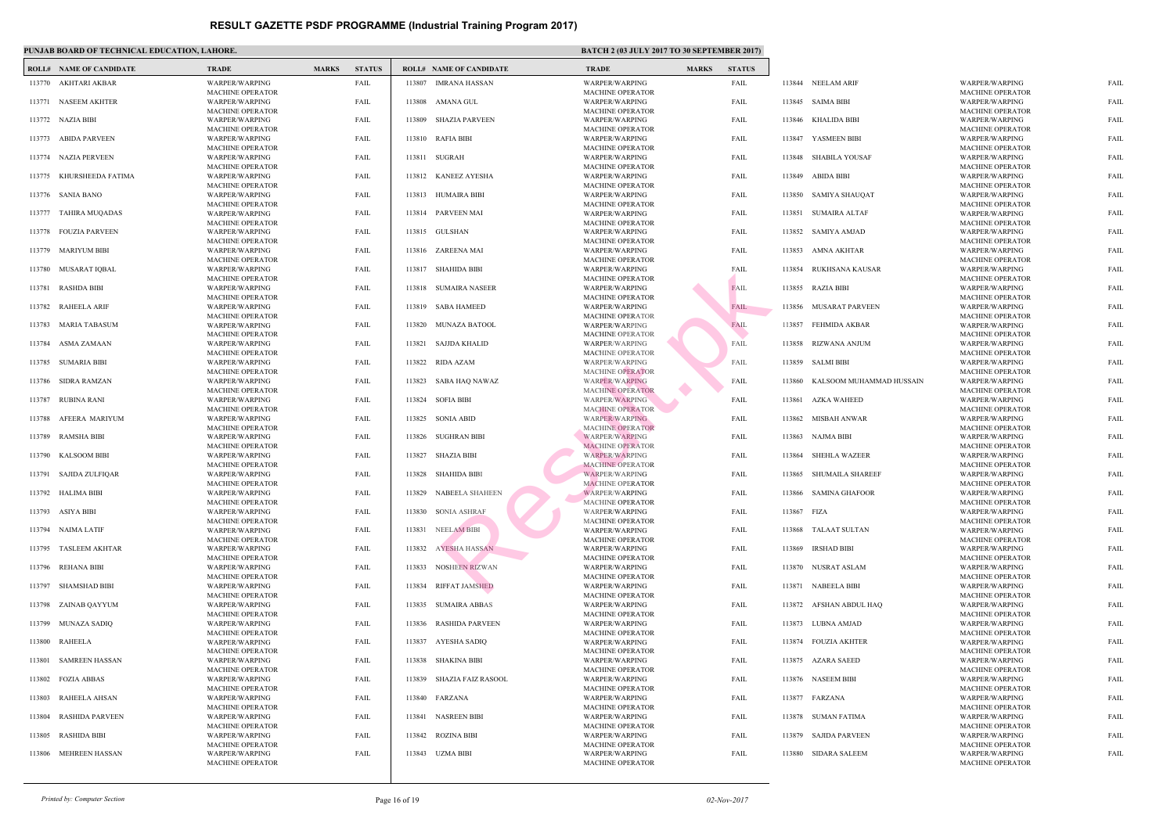|        | <b>ROLL# NAME OF CANDIDATE</b> | <b>TRADE</b>                                                         | <b>MARKS</b> | <b>STATUS</b> |        | <b>ROLL# NAME OF CANDIDATE</b> | <b>TRAD</b>                               |
|--------|--------------------------------|----------------------------------------------------------------------|--------------|---------------|--------|--------------------------------|-------------------------------------------|
| 113770 | AKHTARI AKBAR                  | <b>WARPER/WARPING</b>                                                |              | FAIL          | 113807 | IMRANA HASSAN                  | <b>WARP</b>                               |
| 113771 | NASEEM AKHTER                  | <b>MACHINE OPERATOR</b><br>WARPER/WARPING<br><b>MACHINE OPERATOR</b> |              | FAIL          | 113808 | AMANA GUL                      | <b>MACH</b><br><b>WARP</b><br><b>MACH</b> |
| 113772 | NAZIA BIBI                     | WARPER/WARPING                                                       |              | FAIL          | 113809 | <b>SHAZIA PARVEEN</b>          | <b>WARP</b>                               |
| 113773 | <b>ABIDA PARVEEN</b>           | <b>MACHINE OPERATOR</b><br><b>WARPER/WARPING</b>                     |              | FAIL          | 113810 | <b>RAFIA BIBI</b>              | <b>MACH</b><br><b>WARP</b>                |
| 113774 | <b>NAZIA PERVEEN</b>           | <b>MACHINE OPERATOR</b><br>WARPER/WARPING                            |              | FAIL          |        | 113811 SUGRAH                  | <b>MACH</b><br><b>WARP</b>                |
| 113775 | KHURSHEEDA FATIMA              | <b>MACHINE OPERATOR</b><br>WARPER/WARPING<br><b>MACHINE OPERATOR</b> |              | FAIL          | 113812 | <b>KANEEZ AYESHA</b>           | <b>MACH</b><br><b>WARP</b><br><b>MACH</b> |
| 113776 | SANIA BANO                     | WARPER/WARPING<br><b>MACHINE OPERATOR</b>                            |              | FAIL          |        | 113813 HUMAIRA BIBI            | <b>WARP</b><br><b>MACH</b>                |
| 113777 | TAHIRA MUQADAS                 | WARPER/WARPING<br>MACHINE OPERATOR                                   |              | FAIL          | 113814 | PARVEEN MAI                    | <b>WARP</b><br><b>MACH</b>                |
| 113778 | <b>FOUZIA PARVEEN</b>          | WARPER/WARPING<br><b>MACHINE OPERATOR</b>                            |              | FAIL          |        | 113815 GULSHAN                 | <b>WARP</b><br><b>MACH</b>                |
| 113779 | <b>MARIYUM BIBI</b>            | <b>WARPER/WARPING</b><br><b>MACHINE OPERATOR</b>                     |              | FAIL          |        | 113816 ZAREENA MAI             | <b>WARP</b><br><b>MACH</b>                |
| 113780 | MUSARAT IQBAL                  | <b>WARPER/WARPING</b><br><b>MACHINE OPERATOR</b>                     |              | FAIL          |        | 113817 SHAHIDA BIBI            | <b>WARP</b><br><b>MACH</b>                |
| 113781 | RASHDA BIBI                    | WARPER/WARPING<br><b>MACHINE OPERATOR</b>                            |              | FAIL          | 113818 | SUMAIRA NASEER                 | <b>WARP</b><br><b>MACH</b>                |
| 113782 | <b>RAHEELA ARIF</b>            | WARPER/WARPING<br><b>MACHINE OPERATOR</b>                            |              | FAIL          | 113819 | <b>SABA HAMEED</b>             | <b>WARP</b><br><b>MACH</b>                |
| 113783 | MARIA TABASUM                  | WARPER/WARPING<br><b>MACHINE OPERATOR</b>                            |              | FAIL          |        | 113820 MUNAZA BATOOL           | <b>WARP</b><br><b>MACH</b>                |
| 113784 | ASMA ZAMAAN                    | WARPER/WARPING<br><b>MACHINE OPERATOR</b>                            |              | FAIL          | 113821 | SAJJDA KHALID                  | <b>WARP</b><br><b>MACH</b>                |
| 113785 | <b>SUMARIA BIBI</b>            | WARPER/WARPING<br><b>MACHINE OPERATOR</b>                            |              | FAIL          | 113822 | RIDA AZAM                      | WARP<br><b>MACH</b>                       |
| 113786 | SIDRA RAMZAN                   | <b>WARPER/WARPING</b><br><b>MACHINE OPERATOR</b>                     |              | FAIL          | 113823 | SABA HAQ NAWAZ                 | WARP<br><b>MACH</b>                       |
| 113787 | <b>RUBINA RANI</b>             | WARPER/WARPING<br><b>MACHINE OPERATOR</b>                            |              | FAIL          | 113824 | <b>SOFIA BIBI</b>              | WARP<br><b>MACH</b>                       |
| 113788 | AFEERA MARIYUM                 | WARPER/WARPING<br><b>MACHINE OPERATOR</b>                            |              | FAIL          | 113825 | <b>SONIA ABID</b>              | <b>WARP</b><br><b>MACH</b>                |
| 113789 | <b>RAMSHA BIBI</b>             | WARPER/WARPING<br><b>MACHINE OPERATOR</b>                            |              | FAIL          | 113826 | <b>SUGHRAN BIBI</b>            | <b>WARP</b><br><b>MACH</b>                |
| 113790 | <b>KALSOOM BIBI</b>            | <b>WARPER/WARPING</b><br><b>MACHINE OPERATOR</b>                     |              | FAIL          | 113827 | SHAZIA BIBI                    | <b>WARP</b><br><b>MACH</b>                |
| 113791 | SAJIDA ZULFIQAR                | WARPER/WARPING<br><b>MACHINE OPERATOR</b>                            |              | FAIL          | 113828 | SHAHIDA BIBI                   | <b>WARP</b><br><b>MACH</b>                |
|        | 113792 HALIMA BIBI             | WARPER/WARPING<br><b>MACHINE OPERATOR</b>                            |              | FAIL          | 113829 | NABEELA SHAHEEN                | <b>WARP</b><br><b>MACH</b>                |
|        | 113793 ASIYA BIBI              | WARPER/WARPING<br><b>MACHINE OPERATOR</b>                            |              | FAIL          |        | 113830 SONIA ASHRAF            | WARP<br><b>MACH</b>                       |
| 113794 | NAIMA LATIF                    | WARPER/WARPING<br><b>MACHINE OPERATOR</b>                            |              | FAIL          | 113831 | <b>NEELAM BIBI</b>             | <b>WARP</b><br><b>MACH</b>                |
| 113795 | <b>TASLEEM AKHTAR</b>          | <b>WARPER/WARPING</b><br><b>MACHINE OPERATOR</b>                     |              | FAIL          | 113832 | <b>AYESHA HASSAN</b>           | <b>WARP</b><br><b>MACH</b>                |
| 113796 | REHANA BIBI                    | <b>WARPER/WARPING</b><br><b>MACHINE OPERATOR</b>                     |              | FAIL          | 113833 | NOSHEEN RIZWAN                 | <b>WARP</b><br><b>MACH</b>                |
| 113797 | SHAMSHAD BIBI                  | WARPER/WARPING<br><b>MACHINE OPERATOR</b>                            |              | FAIL          | 113834 | <b>RIFFAT JAMSHED</b>          | <b>WARP</b><br><b>MACH</b>                |
| 113798 | ZAINAB QAYYUM                  | WARPER/WARPING<br><b>MACHINE OPERATOR</b>                            |              | FAIL          | 113835 | <b>SUMAIRA ABBAS</b>           | <b>WARP</b><br><b>MACH</b>                |
| 113799 | <b>MUNAZA SADIQ</b>            | <b>WARPER/WARPING</b><br><b>MACHINE OPERATOR</b>                     |              | FAIL          | 113836 | <b>RASHIDA PARVEEN</b>         | <b>WARP</b><br><b>MACH</b>                |
| 113800 | <b>RAHEELA</b>                 | <b>WARPER/WARPING</b><br><b>MACHINE OPERATOR</b>                     |              | FAIL          | 113837 | AYESHA SADIQ                   | <b>WARP</b><br><b>MACH</b>                |
| 113801 | <b>SAMREEN HASSAN</b>          | WARPER/WARPING<br><b>MACHINE OPERATOR</b>                            |              | FAIL          | 113838 | SHAKINA BIBI                   | <b>WARP</b><br><b>MACH</b>                |
| 113802 | <b>FOZIA ABBAS</b>             | WARPER/WARPING<br><b>MACHINE OPERATOR</b>                            |              | FAIL          | 113839 | <b>SHAZIA FAIZ RASOOL</b>      | <b>WARP</b><br><b>MACH</b>                |
| 113803 | RAHEELA AHSAN                  | WARPER/WARPING<br><b>MACHINE OPERATOR</b>                            |              | FAIL          |        | 113840 FARZANA                 | <b>WARP</b><br><b>MACH</b>                |
| 113804 | <b>RASHIDA PARVEEN</b>         | WARPER/WARPING<br><b>MACHINE OPERATOR</b>                            |              | FAIL          | 113841 | <b>NASREEN BIBI</b>            | <b>WARP</b><br><b>MACH</b>                |
| 113805 | <b>RASHIDA BIBI</b>            | WARPER/WARPING<br><b>MACHINE OPERATOR</b>                            |              | FAIL          | 113842 | <b>ROZINA BIBI</b>             | <b>WARP</b><br><b>MACH</b>                |
| 113806 | MEHREEN HASSAN                 | WARPER/WARPING<br><b>MACHINE OPERATOR</b>                            |              | FAIL          | 113843 | UZMA BIBI                      | <b>WARP</b><br><b>MACH</b>                |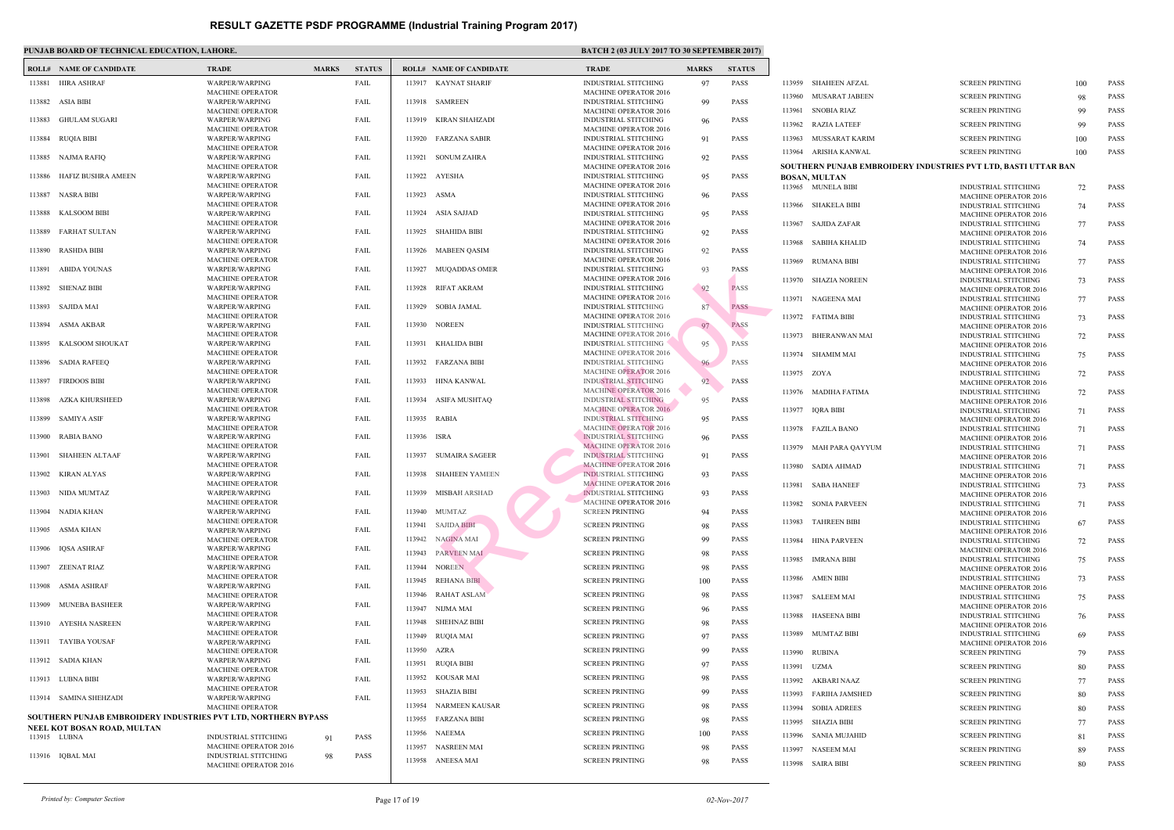|              | <b>ROLL# NAME OF CANDIDATE</b>                                 | <b>TRADE</b>                                                | <b>MARKS</b> | <b>STATUS</b> |                  | <b>ROLL# NAME OF CANDIDATE</b>          | <b>TRAL</b>                                |
|--------------|----------------------------------------------------------------|-------------------------------------------------------------|--------------|---------------|------------------|-----------------------------------------|--------------------------------------------|
| 113881       | HIRA ASHRAF                                                    | WARPER/WARPING                                              |              | FAIL          |                  | 113917 KAYNAT SHARIF                    | <b>INDUS</b>                               |
| 113882       | ASIA BIBI                                                      | <b>MACHINE OPERATOR</b><br>WARPER/WARPING                   |              | FAIL          |                  | 113918 SAMREEN                          | <b>MACH</b><br><b>INDUS</b><br><b>MACH</b> |
| 113883       | <b>GHULAM SUGARI</b>                                           | <b>MACHINE OPERATOR</b><br>WARPER/WARPING                   |              | FAIL          | 113919           | KIRAN SHAHZADI                          | <b>INDUS</b>                               |
| 113884       | <b>RUQIA BIBI</b>                                              | MACHINE OPERATOR<br>WARPER/WARPING                          |              | FAIL          | 113920           | <b>FARZANA SABIR</b>                    | <b>MACH</b><br><b>INDUS</b>                |
| 113885       | NAJMA RAFIQ                                                    | <b>MACHINE OPERATOR</b><br><b>WARPER/WARPING</b>            |              | FAIL          | 113921           | <b>SONUM ZAHRA</b>                      | <b>MACH</b><br><b>INDUS</b>                |
| 113886       | HAFIZ BUSHRA AMEEN                                             | <b>MACHINE OPERATOR</b><br><b>WARPER/WARPING</b>            |              | FAIL          | 113922           | AYESHA                                  | <b>MACH</b><br><b>INDUS</b>                |
| 113887       | NASRA BIBI                                                     | <b>MACHINE OPERATOR</b><br><b>WARPER/WARPING</b>            |              | FAIL          | 113923           | ASMA                                    | <b>MACH</b><br><b>INDUS</b>                |
| 113888       | <b>KALSOOM BIBI</b>                                            | <b>MACHINE OPERATOR</b><br>WARPER/WARPING                   |              | FAIL          | 113924           | ASIA SAJJAD                             | <b>MACH</b><br><b>INDUS</b>                |
| 113889       | <b>FARHAT SULTAN</b>                                           | <b>MACHINE OPERATOR</b><br>WARPER/WARPING                   |              | FAIL          | 113925           | SHAHIDA BIBI                            | <b>MACH</b><br><b>INDUS</b>                |
| 113890       | <b>RASHDA BIBI</b>                                             | <b>MACHINE OPERATOR</b><br>WARPER/WARPING                   |              | FAIL          | 113926           | <b>MABEEN QASIM</b>                     | <b>MACH</b><br><b>INDUS</b>                |
| 113891       | <b>ABIDA YOUNAS</b>                                            | MACHINE OPERATOR<br>WARPER/WARPING                          |              | FAIL          | 113927           | <b>MUQADDAS OMER</b>                    | <b>MACH</b><br><b>INDUS</b>                |
| 113892       | <b>SHENAZ BIBI</b>                                             | <b>MACHINE OPERATOR</b><br>WARPER/WARPING                   |              | FAIL          | 113928           | <b>RIFAT AKRAM</b>                      | <b>MACH</b><br><b>INDUS</b>                |
| 113893       | SAJIDA MAI                                                     | <b>MACHINE OPERATOR</b><br>WARPER/WARPING                   |              | FAIL          | 113929           | SOBIA JAMAL                             | <b>MACH</b><br><b>INDUS</b>                |
| 113894       | ASMA AKBAR                                                     | <b>MACHINE OPERATOR</b><br>WARPER/WARPING                   |              | FAIL          |                  | 113930 NOREEN                           | <b>MACH</b><br><b>INDUS</b>                |
| 113895       | KALSOOM SHOUKAT                                                | <b>MACHINE OPERATOR</b><br>WARPER/WARPING                   |              | FAIL          |                  | 113931 KHALIDA BIBI                     | <b>MACH</b><br><b>INDUS</b>                |
| 113896       |                                                                | <b>MACHINE OPERATOR</b>                                     |              | FAIL          |                  | 113932 FARZANA BIBI                     | <b>MACH</b>                                |
|              | SADIA RAFEEQ                                                   | WARPER/WARPING<br><b>MACHINE OPERATOR</b>                   |              |               |                  |                                         | <b>INDUS</b><br><b>MACH</b>                |
| 113897       | <b>FIRDOOS BIBI</b>                                            | WARPER/WARPING<br><b>MACHINE OPERATOR</b>                   |              | FAIL          | 113933           | HINA KANWAL                             | <b>INDUS</b><br><b>MACH</b>                |
| 113898       | <b>AZKA KHURSHEED</b>                                          | WARPER/WARPING<br><b>MACHINE OPERATOR</b>                   |              | FAIL          | 113934           | ASIFA MUSHTAQ                           | <b>INDUS</b><br><b>MACH</b>                |
| 113899       | SAMIYA ASIF                                                    | WARPER/WARPING<br><b>MACHINE OPERATOR</b>                   |              | FAIL          | 113935           | RABIA                                   | <b>INDUS</b><br><b>MACH</b>                |
| 113900       | <b>RABIA BANO</b>                                              | <b>WARPER/WARPING</b><br><b>MACHINE OPERATOR</b>            |              | FAIL          | 113936           | ISRA                                    | <b>INDUS</b><br><b>MACH</b>                |
| 113901       | SHAHEEN ALTAAF                                                 | WARPER/WARPING<br><b>MACHINE OPERATOR</b>                   |              | FAIL          | 113937           | SUMAIRA SAGEER                          | <b>INDUS</b><br><b>MACH</b>                |
| 113902       | KIRAN ALYAS                                                    | WARPER/WARPING<br><b>MACHINE OPERATOR</b>                   |              | FAIL          | 113938           | <b>SHAHEEN YAMEEN</b>                   | <b>INDUS</b><br><b>MACH</b>                |
|              | 113903 NIDA MUMTAZ                                             | WARPER/WARPING                                              |              | FAIL          |                  | 113939 MISBAH ARSHAD                    | <b>INDUS</b>                               |
|              | 113904 NADIA KHAN                                              | MACHINE OPERATOR<br>WARPER/WARPING                          |              | FAIL          |                  | 113940 MUMTAZ                           | MACH<br><b>SCREE</b>                       |
| 113905       | ASMA KHAN                                                      | <b>MACHINE OPERATOR</b><br><b>WARPER/WARPING</b>            |              | FAIL          | 113941           | <b>SAJIDA BIBI</b>                      | <b>SCREE</b>                               |
| 113906       | <b>IQSA ASHRAF</b>                                             | <b>MACHINE OPERATOR</b><br>WARPER/WARPING                   |              | FAIL          | 113943           | 113942 NAGINA MAI<br><b>PARVEEN MAI</b> | <b>SCREE</b><br><b>SCREE</b>               |
| 113907       | ZEENAT RIAZ                                                    | <b>MACHINE OPERATOR</b><br>WARPER/WARPING                   |              | FAIL          | 113944           | <b>NOREEN</b>                           | <b>SCREE</b>                               |
| 113908       | <b>ASMA ASHRAF</b>                                             | <b>MACHINE OPERATOR</b><br>WARPER/WARPING                   |              | FAIL          | 113945           | REHANA BIBI                             | <b>SCREE</b>                               |
| 113909       | MUNEBA BASHEER                                                 | <b>MACHINE OPERATOR</b><br>WARPER/WARPING                   |              | FAIL          | 113946<br>113947 | <b>RAHAT ASLAM</b><br>NIJMA MAI         | <b>SCREE</b><br><b>SCREE</b>               |
| 113910       | <b>AYESHA NASREEN</b>                                          | <b>MACHINE OPERATOR</b><br><b>WARPER/WARPING</b>            |              | FAIL          | 113948           | <b>SHEHNAZ BIBI</b>                     | <b>SCREE</b>                               |
| 113911       | TAYIBA YOUSAF                                                  | <b>MACHINE OPERATOR</b><br>WARPER/WARPING                   |              | FAIL          | 113949           | RUQIA MAI                               | <b>SCREE</b>                               |
|              | 113912 SADIA KHAN                                              | <b>MACHINE OPERATOR</b><br>WARPER/WARPING                   |              | FAIL          | 113950           | AZRA                                    | <b>SCREE</b>                               |
|              |                                                                | <b>MACHINE OPERATOR</b>                                     |              |               | 113951<br>113952 | <b>RUQIA BIBI</b><br>KOUSAR MAI         | <b>SCREE</b><br><b>SCREE</b>               |
| 113913       | LUBNA BIBI                                                     | WARPER/WARPING<br><b>MACHINE OPERATOR</b>                   |              | FAIL          | 113953           | <b>SHAZIA BIBI</b>                      | <b>SCREE</b>                               |
|              | 113914 SAMINA SHEHZADI                                         | WARPER/WARPING<br><b>MACHINE OPERATOR</b>                   |              | FAIL          | 113954           | NARMEEN KAUSAR                          | <b>SCREE</b>                               |
|              | SOUTHERN PUNJAB EMBROIDERY INDUSTRIES PVT LTD, NORTHERN BYPASS |                                                             |              |               | 113955           | FARZANA BIBI                            | <b>SCREE</b>                               |
| 113915 LUBNA | NEEL KOT BOSAN ROAD, MULTAN                                    | INDUSTRIAL STITCHING                                        | 91           | PASS          | 113956           | NAEEMA                                  | <b>SCREE</b>                               |
|              |                                                                | <b>MACHINE OPERATOR 2016</b>                                |              |               | 113957           | NASREEN MAI                             | <b>SCREE</b>                               |
|              | 113916 IQBAL MAI                                               | <b>INDUSTRIAL STITCHING</b><br><b>MACHINE OPERATOR 2016</b> | 98           | PASS          |                  | 113958 ANEESA MAI                       | <b>SCREE</b>                               |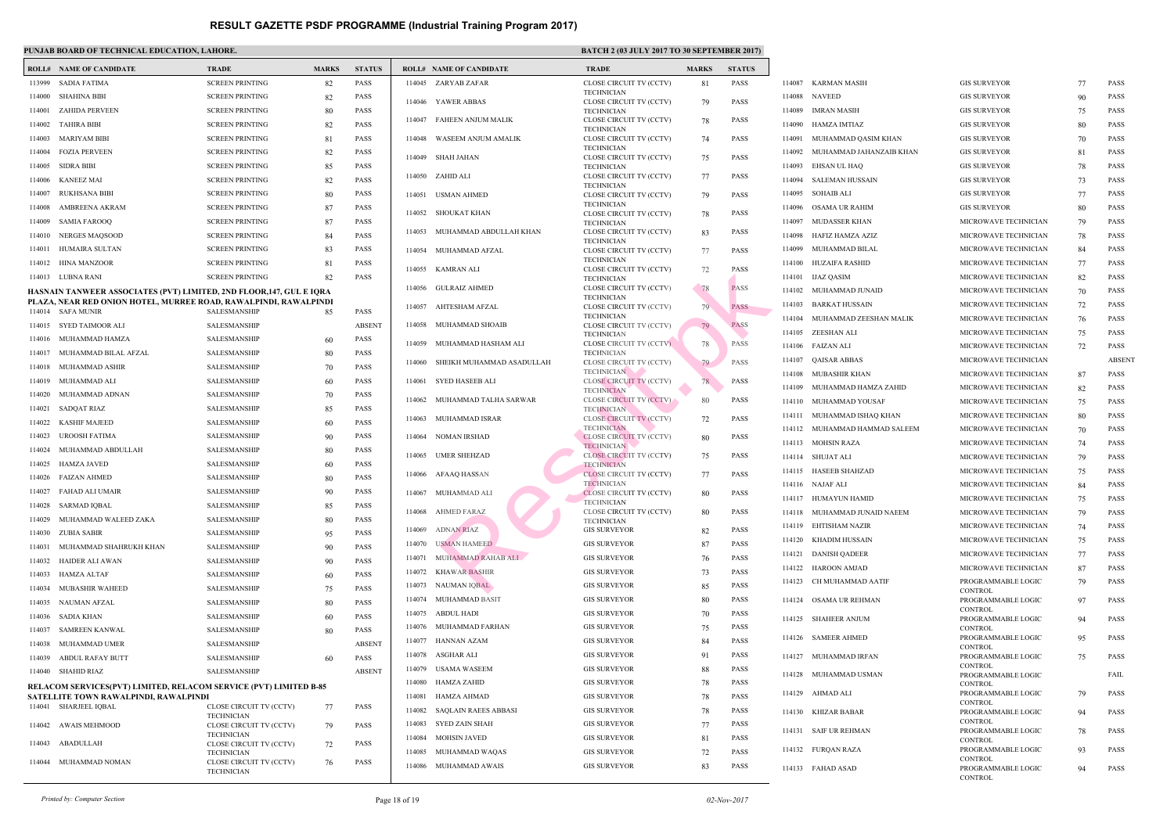|                                                                   | <b>BATC</b><br>PUNJAB BOARD OF TECHNICAL EDUCATION, LAHORE.         |                                              |              |               |                  |                                         |                               |  |  |  |
|-------------------------------------------------------------------|---------------------------------------------------------------------|----------------------------------------------|--------------|---------------|------------------|-----------------------------------------|-------------------------------|--|--|--|
|                                                                   | <b>ROLL# NAME OF CANDIDATE</b>                                      | <b>TRADE</b>                                 | <b>MARKS</b> | <b>STATUS</b> |                  | <b>ROLL# NAME OF CANDIDATE</b>          | <b>TRAL</b>                   |  |  |  |
| 113999                                                            | SADIA FATIMA                                                        | <b>SCREEN PRINTING</b>                       | 82           | <b>PASS</b>   |                  | 114045 ZARYAB ZAFAR                     | <b>CLOSE</b>                  |  |  |  |
|                                                                   | 114000 SHAHINA BIBI                                                 | <b>SCREEN PRINTING</b>                       | 82           | <b>PASS</b>   |                  | 114046 YAWER ABBAS                      | <b>TECHI</b><br><b>CLOSE</b>  |  |  |  |
| 114001                                                            | ZAHIDA PERVEEN                                                      | <b>SCREEN PRINTING</b>                       | 80           | <b>PASS</b>   |                  |                                         | <b>TECHI</b>                  |  |  |  |
|                                                                   | 114002 TAHIRA BIBI                                                  | <b>SCREEN PRINTING</b>                       | 82           | <b>PASS</b>   |                  | 114047 FAHEEN ANJUM MALIK               | <b>CLOSE</b><br><b>TECHN</b>  |  |  |  |
| 114003                                                            | MARIYAM BIBI                                                        | <b>SCREEN PRINTING</b>                       | 81           | <b>PASS</b>   |                  | 114048 WASEEM ANJUM AMALIK              | <b>CLOSE</b>                  |  |  |  |
| 114004                                                            | FOZIA PERVEEN                                                       | <b>SCREEN PRINTING</b>                       | 82           | <b>PASS</b>   |                  | 114049 SHAH JAHAN                       | <b>TECHI</b><br><b>CLOSE</b>  |  |  |  |
| 114005                                                            | SIDRA BIBI                                                          | <b>SCREEN PRINTING</b>                       | 85           | <b>PASS</b>   |                  |                                         | <b>TECHI</b>                  |  |  |  |
| 114006                                                            | KANEEZ MAI                                                          | <b>SCREEN PRINTING</b>                       | 82           | <b>PASS</b>   |                  | 114050 ZAHID ALI                        | <b>CLOSE</b><br><b>TECHI</b>  |  |  |  |
| 114007                                                            | RUKHSANA BIBI                                                       | <b>SCREEN PRINTING</b>                       | 80           | <b>PASS</b>   |                  | 114051 USMAN AHMED                      | <b>CLOSE</b>                  |  |  |  |
| 114008                                                            | AMBREENA AKRAM                                                      | <b>SCREEN PRINTING</b>                       | 87           | <b>PASS</b>   |                  | 114052 SHOUKAT KHAN                     | <b>TECHN</b><br><b>CLOSE</b>  |  |  |  |
| 114009                                                            | <b>SAMIA FAROOQ</b>                                                 | <b>SCREEN PRINTING</b>                       | 87           | <b>PASS</b>   |                  |                                         | <b>TECHI</b>                  |  |  |  |
| 114010                                                            | NERGES MAQSOOD                                                      | <b>SCREEN PRINTING</b>                       | 84           | <b>PASS</b>   |                  | 114053 MUHAMMAD ABDULLAH KHAN           | <b>CLOSE</b><br><b>TECHI</b>  |  |  |  |
| 114011                                                            | HUMAIRA SULTAN                                                      | <b>SCREEN PRINTING</b>                       | 83           | <b>PASS</b>   |                  | 114054 MUHAMMAD AFZAL                   | <b>CLOSE</b>                  |  |  |  |
|                                                                   | 114012 HINA MANZOOR                                                 | <b>SCREEN PRINTING</b>                       | 81           | <b>PASS</b>   |                  | 114055 KAMRAN ALI                       | <b>TECHI</b>                  |  |  |  |
|                                                                   | 114013 LUBNA RANI                                                   | <b>SCREEN PRINTING</b>                       | 82           | PASS          |                  |                                         | <b>CLOSE</b><br><b>TECHI</b>  |  |  |  |
|                                                                   | HASNAIN TANWEER ASSOCIATES (PVT) LIMITED, 2ND FLOOR,147, GUL E IQRA |                                              |              |               |                  | 114056 GULRAIZ AHMED                    | <b>CLOSE</b>                  |  |  |  |
|                                                                   | PLAZA, NEAR RED ONION HOTEL, MURREE ROAD, RAWALPINDI, RAWALPINDI    |                                              |              |               |                  | 114057 AHTESHAM AFZAL                   | <b>TECHI</b><br><b>CLOSE</b>  |  |  |  |
|                                                                   | 114014 SAFA MUNIR                                                   | SALESMANSHIP                                 | 85           | <b>PASS</b>   |                  |                                         | <b>TECHN</b>                  |  |  |  |
|                                                                   | 114015 SYED TAIMOOR ALI                                             | SALESMANSHIP                                 |              | <b>ABSENT</b> |                  | 114058 MUHAMMAD SHOAIB                  | <b>CLOSE</b><br><b>TECHI</b>  |  |  |  |
|                                                                   | 114016 MUHAMMAD HAMZA                                               | SALESMANSHIP                                 | 60           | <b>PASS</b>   | 114059           | MUHAMMAD HASHAM ALI                     | <b>CLOSE</b>                  |  |  |  |
|                                                                   | 114017 MUHAMMAD BILAL AFZAL                                         | SALESMANSHIP                                 | 80           | <b>PASS</b>   |                  | 114060 SHEIKH MUHAMMAD ASADULLAH        | <b>TECHN</b><br><b>CLOSE</b>  |  |  |  |
| 114018                                                            | MUHAMMAD ASHIR                                                      | SALESMANSHIP                                 | 70           | <b>PASS</b>   |                  |                                         | <b>TECHN</b>                  |  |  |  |
|                                                                   | 114019 MUHAMMAD ALI                                                 | SALESMANSHIP                                 | 60           | <b>PASS</b>   |                  | 114061 SYED HASEEB ALI                  | <b>CLOSI</b><br><b>TECHN</b>  |  |  |  |
| 114020                                                            | MUHAMMAD ADNAN                                                      | SALESMANSHIP                                 | 70           | <b>PASS</b>   |                  | 114062 MUHAMMAD TALHA SARWAR            | <b>CLOSE</b>                  |  |  |  |
| 114021                                                            | SADQAT RIAZ                                                         | SALESMANSHIP                                 | 85           | <b>PASS</b>   |                  | 114063 MUHAMMAD ISRAR                   | <b>TECHI</b><br><b>CLOSE</b>  |  |  |  |
| 114022                                                            | KASHIF MAJEED                                                       | SALESMANSHIP                                 | 60           | <b>PASS</b>   |                  |                                         | TECHI                         |  |  |  |
| 114023                                                            | UROOSH FATIMA                                                       | SALESMANSHIP                                 | 90           | <b>PASS</b>   | 114064           | NOMAN IRSHAD                            | <b>CLOSE</b><br><b>TECHI</b>  |  |  |  |
| 114024                                                            | MUHAMMAD ABDULLAH                                                   | SALESMANSHIP                                 | 80           | <b>PASS</b>   |                  | 114065 UMER SHEHZAD                     | <b>CLOSE</b>                  |  |  |  |
| 114025                                                            | HAMZA JAVED                                                         | SALESMANSHIP                                 | 60           | <b>PASS</b>   |                  | 114066 AFAAQ HASSAN                     | <b>TECHI</b><br><b>CLOSI</b>  |  |  |  |
|                                                                   | 114026 FAIZAN AHMED                                                 | <b>SALESMANSHIP</b>                          | 80           | <b>PASS</b>   |                  |                                         | <b>TECHN</b>                  |  |  |  |
| 114027                                                            | FAHAD ALI UMAIR                                                     | SALESMANSHIP                                 | 90           | PASS          |                  | 114067 MUHAMMAD ALI                     | <b>CLOSI</b><br><b>TECHN</b>  |  |  |  |
| 114028                                                            | SARMAD IQBAL                                                        | SALESMANSHIP                                 | 85           | <b>PASS</b>   |                  | 114068 AHMED FARAZ                      | <b>CLOSE</b>                  |  |  |  |
| 114029                                                            | MUHAMMAD WALEED ZAKA                                                | SALESMANSHIP                                 | 80           | <b>PASS</b>   | 114069           | ADNAN RIAZ                              | <b>TECHI</b><br><b>GIS SU</b> |  |  |  |
| 114030                                                            | ZUBIA SABIR                                                         | SALESMANSHIP                                 | 95           | <b>PASS</b>   | 114070           | <b>USMAN HAMEED</b>                     | <b>GIS SU</b>                 |  |  |  |
| 114031                                                            | MUHAMMAD SHAHRUKH KHAN                                              | SALESMANSHIP                                 | 90           | <b>PASS</b>   | 114071           | MUHAMMAD RAHAB ALI                      | <b>GIS SU</b>                 |  |  |  |
| 114032                                                            | HAIDER ALI AWAN                                                     | SALESMANSHIP                                 | 90           | <b>PASS</b>   | 114072           | <b>KHAWAR BASHIR</b>                    | <b>GIS SU</b>                 |  |  |  |
| 114033                                                            | <b>HAMZA ALTAF</b>                                                  | SALESMANSHIP                                 | 60           | <b>PASS</b>   | 114073           | NAUMAN IQBAL                            | <b>GIS SU</b>                 |  |  |  |
| 114034                                                            | MUBASHIR WAHEED                                                     | SALESMANSHIP                                 | 75           | <b>PASS</b>   | 114074           | MUHAMMAD BASIT                          | <b>GIS SU</b>                 |  |  |  |
| 114035                                                            | NAUMAN AFZAL                                                        | SALESMANSHIP                                 | 80           | <b>PASS</b>   | 114075           | ABDUL HADI                              | <b>GIS SU</b>                 |  |  |  |
| 114036                                                            | <b>SADIA KHAN</b>                                                   | SALESMANSHIP                                 | 60           | <b>PASS</b>   | 114076           | MUHAMMAD FARHAN                         | <b>GIS SU</b>                 |  |  |  |
| 114037                                                            | <b>SAMREEN KANWAL</b>                                               | SALESMANSHIP                                 | 80           | <b>PASS</b>   |                  | 114077 HANNAN AZAM                      | <b>GIS SU</b>                 |  |  |  |
| 114038                                                            | MUHAMMAD UMER                                                       | SALESMANSHIP                                 |              | <b>ABSENT</b> | 114078           | ASGHAR ALI                              | <b>GIS SU</b>                 |  |  |  |
| 114039                                                            | <b>ABDUL RAFAY BUTT</b>                                             | SALESMANSHIP                                 | 60           | <b>PASS</b>   | 114079           | USAMA WASEEM                            | <b>GIS SU</b>                 |  |  |  |
| 114040                                                            | SHAHID RIAZ                                                         | SALESMANSHIP                                 |              | <b>ABSENT</b> |                  | 114080 HAMZA ZAHID                      | <b>GIS SU</b>                 |  |  |  |
| RELACOM SERVICES(PVT) LIMITED, RELACOM SERVICE (PVT) LIMITED B-85 |                                                                     |                                              |              |               |                  | <b>HAMZA AHMAD</b>                      | <b>GIS SU</b>                 |  |  |  |
|                                                                   | SATELLITE TOWN RAWALPINDI, RAWALPINDI<br>114041 SHARJEEL IQBAL      | CLOSE CIRCUIT TV (CCTV)                      | 77           | <b>PASS</b>   | 114081<br>114082 | SAQLAIN RAEES ABBASI                    | <b>GIS SU</b>                 |  |  |  |
|                                                                   |                                                                     | <b>TECHNICIAN</b>                            |              |               | 114083           | SYED ZAIN SHAH                          | <b>GIS SU</b>                 |  |  |  |
| 114042                                                            | AWAIS MEHMOOD                                                       | CLOSE CIRCUIT TV (CCTV)<br><b>TECHNICIAN</b> | 79           | <b>PASS</b>   |                  |                                         |                               |  |  |  |
| 114043                                                            | ABADULLAH                                                           | CLOSE CIRCUIT TV (CCTV)                      | 72           | <b>PASS</b>   | 114084           | <b>MOHSIN JAVED</b>                     | <b>GIS SU</b>                 |  |  |  |
| 114044                                                            | MUHAMMAD NOMAN                                                      | <b>TECHNICIAN</b><br>CLOSE CIRCUIT TV (CCTV) | 76           | <b>PASS</b>   | 114085           | MUHAMMAD WAQAS<br>114086 MUHAMMAD AWAIS | <b>GIS SU</b>                 |  |  |  |
|                                                                   |                                                                     | <b>TECHNICIAN</b>                            |              |               |                  |                                         | GIS SU                        |  |  |  |